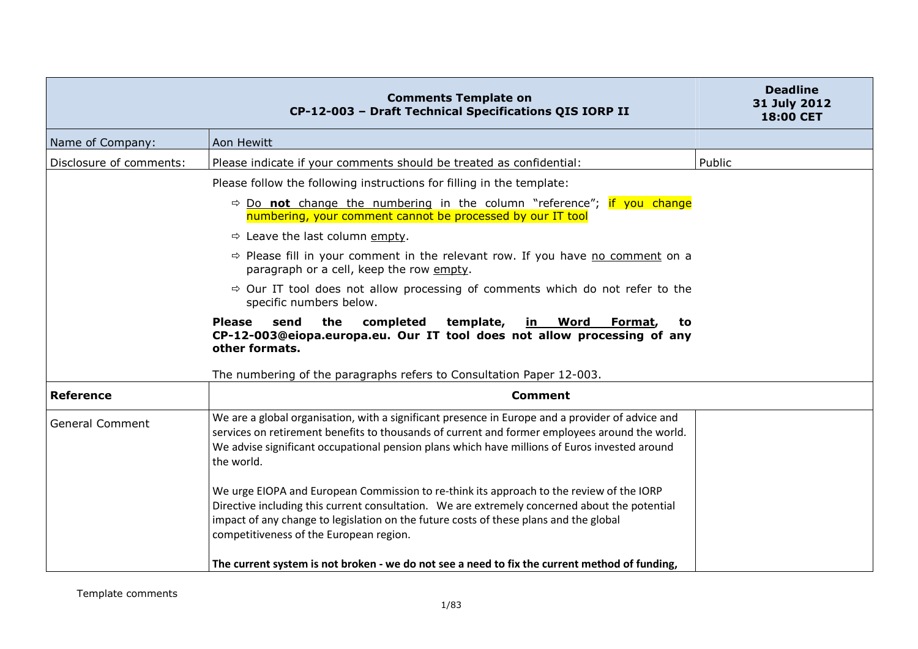|                         | <b>Comments Template on</b><br>CP-12-003 - Draft Technical Specifications QIS IORP II                                                                                                                                                                                                                                         | <b>Deadline</b><br>31 July 2012<br>18:00 CET |
|-------------------------|-------------------------------------------------------------------------------------------------------------------------------------------------------------------------------------------------------------------------------------------------------------------------------------------------------------------------------|----------------------------------------------|
| Name of Company:        | Aon Hewitt                                                                                                                                                                                                                                                                                                                    |                                              |
| Disclosure of comments: | Please indicate if your comments should be treated as confidential:                                                                                                                                                                                                                                                           | Public                                       |
|                         | Please follow the following instructions for filling in the template:                                                                                                                                                                                                                                                         |                                              |
|                         | $\Rightarrow$ Do not change the numbering in the column "reference"; if you change<br>numbering, your comment cannot be processed by our IT tool                                                                                                                                                                              |                                              |
|                         | $\Rightarrow$ Leave the last column empty.                                                                                                                                                                                                                                                                                    |                                              |
|                         | $\Rightarrow$ Please fill in your comment in the relevant row. If you have no comment on a<br>paragraph or a cell, keep the row empty.                                                                                                                                                                                        |                                              |
|                         | $\Rightarrow$ Our IT tool does not allow processing of comments which do not refer to the<br>specific numbers below.                                                                                                                                                                                                          |                                              |
|                         | <b>Please</b><br>send<br>the<br>completed<br>template,<br><u>in Word</u><br>Format,<br>to<br>CP-12-003@eiopa.europa.eu. Our IT tool does not allow processing of any<br>other formats.                                                                                                                                        |                                              |
|                         | The numbering of the paragraphs refers to Consultation Paper 12-003.                                                                                                                                                                                                                                                          |                                              |
| <b>Reference</b>        | <b>Comment</b>                                                                                                                                                                                                                                                                                                                |                                              |
| <b>General Comment</b>  | We are a global organisation, with a significant presence in Europe and a provider of advice and<br>services on retirement benefits to thousands of current and former employees around the world.<br>We advise significant occupational pension plans which have millions of Euros invested around<br>the world.             |                                              |
|                         | We urge EIOPA and European Commission to re-think its approach to the review of the IORP<br>Directive including this current consultation. We are extremely concerned about the potential<br>impact of any change to legislation on the future costs of these plans and the global<br>competitiveness of the European region. |                                              |
|                         | The current system is not broken - we do not see a need to fix the current method of funding,                                                                                                                                                                                                                                 |                                              |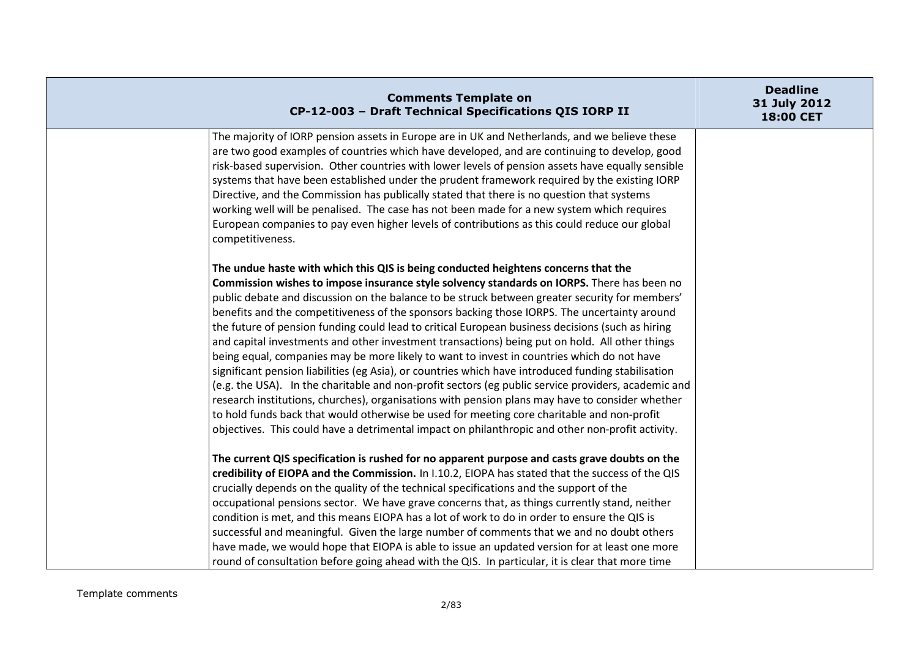| <b>Comments Template on</b><br>CP-12-003 - Draft Technical Specifications QIS IORP II                                                                                                      | <b>Deadline</b><br>31 July 2012<br>18:00 CET |
|--------------------------------------------------------------------------------------------------------------------------------------------------------------------------------------------|----------------------------------------------|
| The majority of IORP pension assets in Europe are in UK and Netherlands, and we believe these                                                                                              |                                              |
| are two good examples of countries which have developed, and are continuing to develop, good                                                                                               |                                              |
| risk-based supervision. Other countries with lower levels of pension assets have equally sensible                                                                                          |                                              |
| systems that have been established under the prudent framework required by the existing IORP<br>Directive, and the Commission has publically stated that there is no question that systems |                                              |
| working well will be penalised. The case has not been made for a new system which requires                                                                                                 |                                              |
| European companies to pay even higher levels of contributions as this could reduce our global                                                                                              |                                              |
| competitiveness.                                                                                                                                                                           |                                              |
| The undue haste with which this QIS is being conducted heightens concerns that the                                                                                                         |                                              |
| Commission wishes to impose insurance style solvency standards on IORPS. There has been no                                                                                                 |                                              |
| public debate and discussion on the balance to be struck between greater security for members'                                                                                             |                                              |
| benefits and the competitiveness of the sponsors backing those IORPS. The uncertainty around                                                                                               |                                              |
| the future of pension funding could lead to critical European business decisions (such as hiring                                                                                           |                                              |
| and capital investments and other investment transactions) being put on hold. All other things                                                                                             |                                              |
| being equal, companies may be more likely to want to invest in countries which do not have                                                                                                 |                                              |
| significant pension liabilities (eg Asia), or countries which have introduced funding stabilisation                                                                                        |                                              |
| (e.g. the USA). In the charitable and non-profit sectors (eg public service providers, academic and                                                                                        |                                              |
| research institutions, churches), organisations with pension plans may have to consider whether                                                                                            |                                              |
| to hold funds back that would otherwise be used for meeting core charitable and non-profit                                                                                                 |                                              |
| objectives. This could have a detrimental impact on philanthropic and other non-profit activity.                                                                                           |                                              |
| The current QIS specification is rushed for no apparent purpose and casts grave doubts on the                                                                                              |                                              |
| credibility of EIOPA and the Commission. In I.10.2, EIOPA has stated that the success of the QIS                                                                                           |                                              |
| crucially depends on the quality of the technical specifications and the support of the                                                                                                    |                                              |
| occupational pensions sector. We have grave concerns that, as things currently stand, neither                                                                                              |                                              |
| condition is met, and this means EIOPA has a lot of work to do in order to ensure the QIS is                                                                                               |                                              |
| successful and meaningful. Given the large number of comments that we and no doubt others                                                                                                  |                                              |
| have made, we would hope that EIOPA is able to issue an updated version for at least one more                                                                                              |                                              |
| round of consultation before going ahead with the QIS. In particular, it is clear that more time                                                                                           |                                              |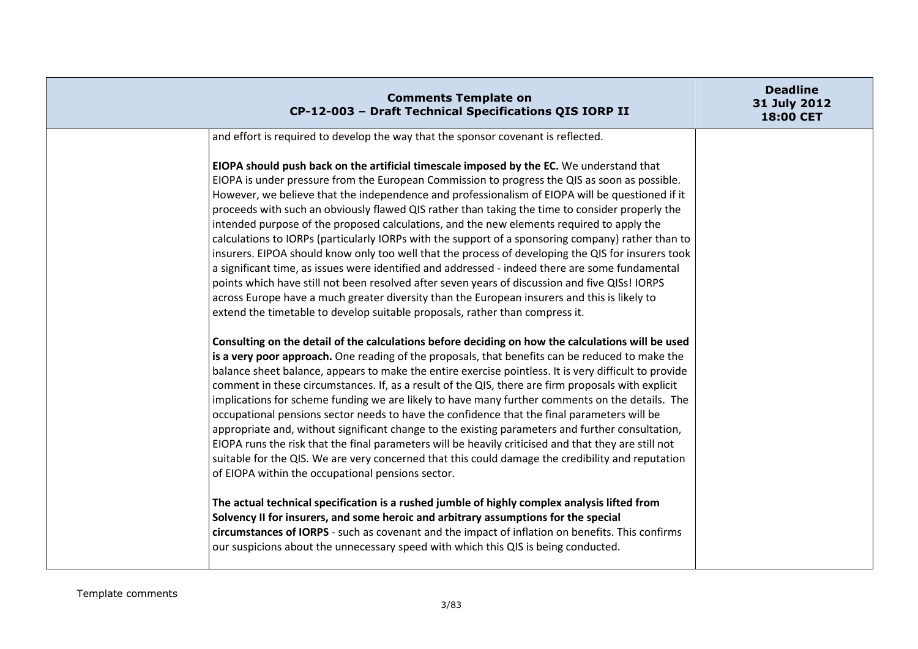| <b>Comments Template on</b><br>CP-12-003 - Draft Technical Specifications QIS IORP II                                                                                                                                                                                                                                                                                                                                                                                                                                                                                                                                                                                                                                                                                                                                                                                                                                                  | <b>Deadline</b><br>31 July 2012<br>18:00 CET |
|----------------------------------------------------------------------------------------------------------------------------------------------------------------------------------------------------------------------------------------------------------------------------------------------------------------------------------------------------------------------------------------------------------------------------------------------------------------------------------------------------------------------------------------------------------------------------------------------------------------------------------------------------------------------------------------------------------------------------------------------------------------------------------------------------------------------------------------------------------------------------------------------------------------------------------------|----------------------------------------------|
| and effort is required to develop the way that the sponsor covenant is reflected.<br>EIOPA should push back on the artificial timescale imposed by the EC. We understand that<br>EIOPA is under pressure from the European Commission to progress the QIS as soon as possible.<br>However, we believe that the independence and professionalism of EIOPA will be questioned if it<br>proceeds with such an obviously flawed QIS rather than taking the time to consider properly the<br>intended purpose of the proposed calculations, and the new elements required to apply the                                                                                                                                                                                                                                                                                                                                                      |                                              |
| calculations to IORPs (particularly IORPs with the support of a sponsoring company) rather than to<br>insurers. EIPOA should know only too well that the process of developing the QIS for insurers took<br>a significant time, as issues were identified and addressed - indeed there are some fundamental<br>points which have still not been resolved after seven years of discussion and five QISs! IORPS<br>across Europe have a much greater diversity than the European insurers and this is likely to<br>extend the timetable to develop suitable proposals, rather than compress it.                                                                                                                                                                                                                                                                                                                                          |                                              |
| Consulting on the detail of the calculations before deciding on how the calculations will be used<br>is a very poor approach. One reading of the proposals, that benefits can be reduced to make the<br>balance sheet balance, appears to make the entire exercise pointless. It is very difficult to provide<br>comment in these circumstances. If, as a result of the QIS, there are firm proposals with explicit<br>implications for scheme funding we are likely to have many further comments on the details. The<br>occupational pensions sector needs to have the confidence that the final parameters will be<br>appropriate and, without significant change to the existing parameters and further consultation,<br>EIOPA runs the risk that the final parameters will be heavily criticised and that they are still not<br>suitable for the QIS. We are very concerned that this could damage the credibility and reputation |                                              |
| of EIOPA within the occupational pensions sector.<br>The actual technical specification is a rushed jumble of highly complex analysis lifted from<br>Solvency II for insurers, and some heroic and arbitrary assumptions for the special<br>circumstances of IORPS - such as covenant and the impact of inflation on benefits. This confirms<br>our suspicions about the unnecessary speed with which this QIS is being conducted.                                                                                                                                                                                                                                                                                                                                                                                                                                                                                                     |                                              |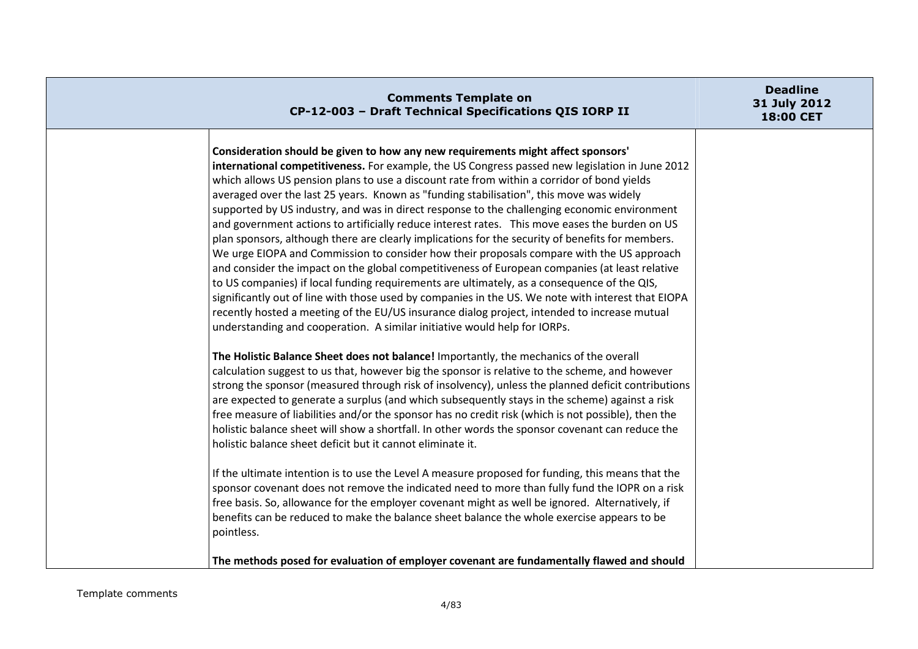| <b>Comments Template on</b><br>CP-12-003 - Draft Technical Specifications QIS IORP II                                                                                                                                                                                                                                                                                                                                                                                                                                                                                                                                                                                                                                                                                                                                                                                                                                                                                                                                                                                                                                                                                                                                                                               | <b>Deadline</b><br>31 July 2012<br>18:00 CET |
|---------------------------------------------------------------------------------------------------------------------------------------------------------------------------------------------------------------------------------------------------------------------------------------------------------------------------------------------------------------------------------------------------------------------------------------------------------------------------------------------------------------------------------------------------------------------------------------------------------------------------------------------------------------------------------------------------------------------------------------------------------------------------------------------------------------------------------------------------------------------------------------------------------------------------------------------------------------------------------------------------------------------------------------------------------------------------------------------------------------------------------------------------------------------------------------------------------------------------------------------------------------------|----------------------------------------------|
| Consideration should be given to how any new requirements might affect sponsors'<br>international competitiveness. For example, the US Congress passed new legislation in June 2012<br>which allows US pension plans to use a discount rate from within a corridor of bond yields<br>averaged over the last 25 years. Known as "funding stabilisation", this move was widely<br>supported by US industry, and was in direct response to the challenging economic environment<br>and government actions to artificially reduce interest rates. This move eases the burden on US<br>plan sponsors, although there are clearly implications for the security of benefits for members.<br>We urge EIOPA and Commission to consider how their proposals compare with the US approach<br>and consider the impact on the global competitiveness of European companies (at least relative<br>to US companies) if local funding requirements are ultimately, as a consequence of the QIS,<br>significantly out of line with those used by companies in the US. We note with interest that EIOPA<br>recently hosted a meeting of the EU/US insurance dialog project, intended to increase mutual<br>understanding and cooperation. A similar initiative would help for IORPs. |                                              |
| The Holistic Balance Sheet does not balance! Importantly, the mechanics of the overall<br>calculation suggest to us that, however big the sponsor is relative to the scheme, and however<br>strong the sponsor (measured through risk of insolvency), unless the planned deficit contributions<br>are expected to generate a surplus (and which subsequently stays in the scheme) against a risk<br>free measure of liabilities and/or the sponsor has no credit risk (which is not possible), then the<br>holistic balance sheet will show a shortfall. In other words the sponsor covenant can reduce the<br>holistic balance sheet deficit but it cannot eliminate it.                                                                                                                                                                                                                                                                                                                                                                                                                                                                                                                                                                                           |                                              |
| If the ultimate intention is to use the Level A measure proposed for funding, this means that the<br>sponsor covenant does not remove the indicated need to more than fully fund the IOPR on a risk<br>free basis. So, allowance for the employer covenant might as well be ignored. Alternatively, if<br>benefits can be reduced to make the balance sheet balance the whole exercise appears to be<br>pointless.<br>The methods posed for evaluation of employer covenant are fundamentally flawed and should                                                                                                                                                                                                                                                                                                                                                                                                                                                                                                                                                                                                                                                                                                                                                     |                                              |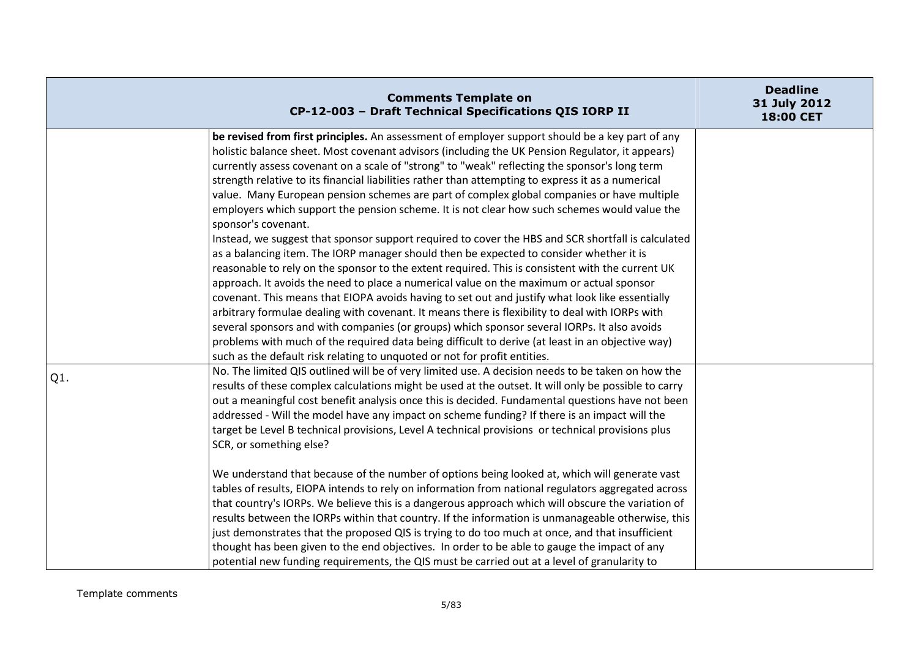|     | <b>Comments Template on</b><br>CP-12-003 - Draft Technical Specifications QIS IORP II                                                                                                                                                                                                                                                                                                                                                                                                                                                                                                                                                                                                                                                                                                                                                                                                                                                                                                                                                                                                                                                                                                                                                                                                                                                                                                                                                                                                                                 | <b>Deadline</b><br>31 July 2012<br>18:00 CET |
|-----|-----------------------------------------------------------------------------------------------------------------------------------------------------------------------------------------------------------------------------------------------------------------------------------------------------------------------------------------------------------------------------------------------------------------------------------------------------------------------------------------------------------------------------------------------------------------------------------------------------------------------------------------------------------------------------------------------------------------------------------------------------------------------------------------------------------------------------------------------------------------------------------------------------------------------------------------------------------------------------------------------------------------------------------------------------------------------------------------------------------------------------------------------------------------------------------------------------------------------------------------------------------------------------------------------------------------------------------------------------------------------------------------------------------------------------------------------------------------------------------------------------------------------|----------------------------------------------|
|     | be revised from first principles. An assessment of employer support should be a key part of any<br>holistic balance sheet. Most covenant advisors (including the UK Pension Regulator, it appears)<br>currently assess covenant on a scale of "strong" to "weak" reflecting the sponsor's long term<br>strength relative to its financial liabilities rather than attempting to express it as a numerical<br>value. Many European pension schemes are part of complex global companies or have multiple<br>employers which support the pension scheme. It is not clear how such schemes would value the<br>sponsor's covenant.<br>Instead, we suggest that sponsor support required to cover the HBS and SCR shortfall is calculated<br>as a balancing item. The IORP manager should then be expected to consider whether it is<br>reasonable to rely on the sponsor to the extent required. This is consistent with the current UK<br>approach. It avoids the need to place a numerical value on the maximum or actual sponsor<br>covenant. This means that EIOPA avoids having to set out and justify what look like essentially<br>arbitrary formulae dealing with covenant. It means there is flexibility to deal with IORPs with<br>several sponsors and with companies (or groups) which sponsor several IORPs. It also avoids<br>problems with much of the required data being difficult to derive (at least in an objective way)<br>such as the default risk relating to unquoted or not for profit entities. |                                              |
| Q1. | No. The limited QIS outlined will be of very limited use. A decision needs to be taken on how the<br>results of these complex calculations might be used at the outset. It will only be possible to carry<br>out a meaningful cost benefit analysis once this is decided. Fundamental questions have not been<br>addressed - Will the model have any impact on scheme funding? If there is an impact will the<br>target be Level B technical provisions, Level A technical provisions or technical provisions plus<br>SCR, or something else?<br>We understand that because of the number of options being looked at, which will generate vast<br>tables of results, EIOPA intends to rely on information from national regulators aggregated across<br>that country's IORPs. We believe this is a dangerous approach which will obscure the variation of<br>results between the IORPs within that country. If the information is unmanageable otherwise, this<br>just demonstrates that the proposed QIS is trying to do too much at once, and that insufficient<br>thought has been given to the end objectives. In order to be able to gauge the impact of any<br>potential new funding requirements, the QIS must be carried out at a level of granularity to                                                                                                                                                                                                                                                     |                                              |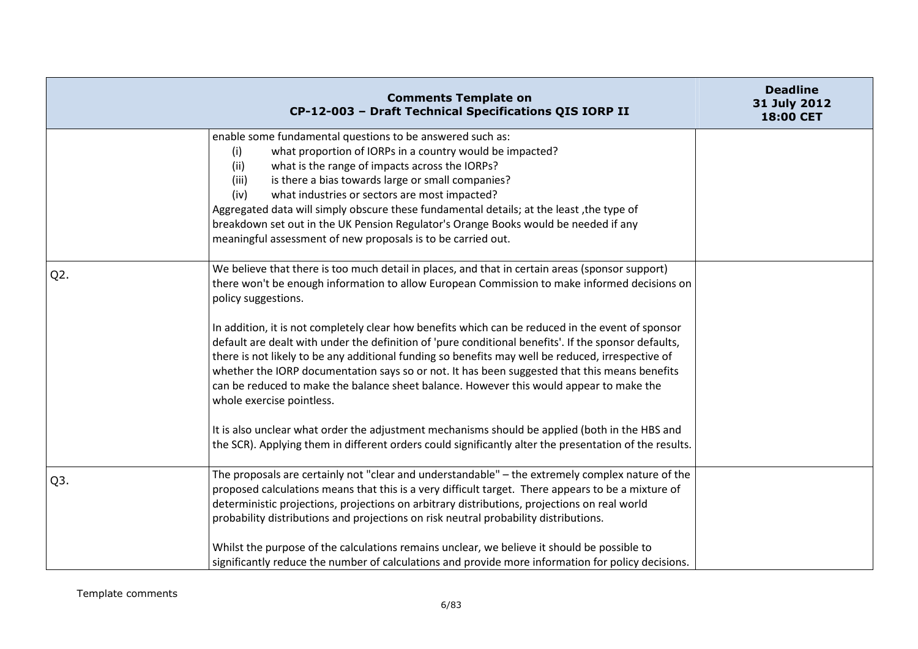|                  | <b>Comments Template on</b><br>CP-12-003 - Draft Technical Specifications QIS IORP II                                                                                                                                                                                                                                                                                                                                                                                                                                                   | <b>Deadline</b><br>31 July 2012<br>18:00 CET |
|------------------|-----------------------------------------------------------------------------------------------------------------------------------------------------------------------------------------------------------------------------------------------------------------------------------------------------------------------------------------------------------------------------------------------------------------------------------------------------------------------------------------------------------------------------------------|----------------------------------------------|
|                  | enable some fundamental questions to be answered such as:<br>what proportion of IORPs in a country would be impacted?<br>(i)<br>what is the range of impacts across the IORPs?<br>(ii)<br>is there a bias towards large or small companies?<br>(iii)<br>what industries or sectors are most impacted?<br>(iv)<br>Aggregated data will simply obscure these fundamental details; at the least, the type of<br>breakdown set out in the UK Pension Regulator's Orange Books would be needed if any                                        |                                              |
| Q <sub>2</sub> . | meaningful assessment of new proposals is to be carried out.<br>We believe that there is too much detail in places, and that in certain areas (sponsor support)<br>there won't be enough information to allow European Commission to make informed decisions on<br>policy suggestions.                                                                                                                                                                                                                                                  |                                              |
|                  | In addition, it is not completely clear how benefits which can be reduced in the event of sponsor<br>default are dealt with under the definition of 'pure conditional benefits'. If the sponsor defaults,<br>there is not likely to be any additional funding so benefits may well be reduced, irrespective of<br>whether the IORP documentation says so or not. It has been suggested that this means benefits<br>can be reduced to make the balance sheet balance. However this would appear to make the<br>whole exercise pointless. |                                              |
|                  | It is also unclear what order the adjustment mechanisms should be applied (both in the HBS and<br>the SCR). Applying them in different orders could significantly alter the presentation of the results.                                                                                                                                                                                                                                                                                                                                |                                              |
| Q <sub>3</sub> . | The proposals are certainly not "clear and understandable" - the extremely complex nature of the<br>proposed calculations means that this is a very difficult target. There appears to be a mixture of<br>deterministic projections, projections on arbitrary distributions, projections on real world<br>probability distributions and projections on risk neutral probability distributions.                                                                                                                                          |                                              |
|                  | Whilst the purpose of the calculations remains unclear, we believe it should be possible to<br>significantly reduce the number of calculations and provide more information for policy decisions.                                                                                                                                                                                                                                                                                                                                       |                                              |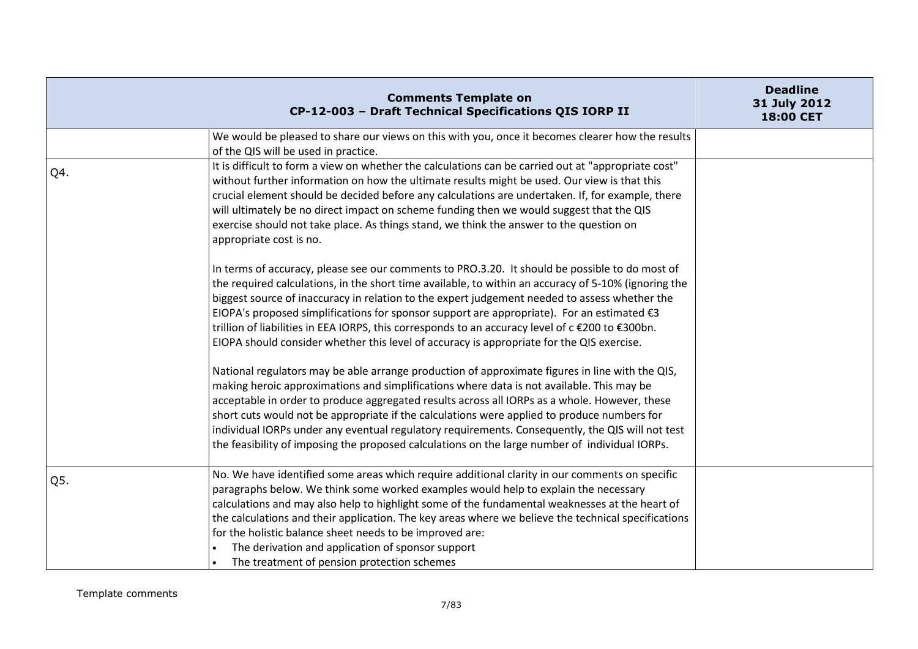|     | <b>Comments Template on</b><br>CP-12-003 - Draft Technical Specifications QIS IORP II                                                                                                                                                                                                                                                                                                                                                                                                                                                                                                                            | <b>Deadline</b><br>31 July 2012<br>18:00 CET |
|-----|------------------------------------------------------------------------------------------------------------------------------------------------------------------------------------------------------------------------------------------------------------------------------------------------------------------------------------------------------------------------------------------------------------------------------------------------------------------------------------------------------------------------------------------------------------------------------------------------------------------|----------------------------------------------|
|     | We would be pleased to share our views on this with you, once it becomes clearer how the results<br>of the QIS will be used in practice.                                                                                                                                                                                                                                                                                                                                                                                                                                                                         |                                              |
| Q4. | It is difficult to form a view on whether the calculations can be carried out at "appropriate cost"<br>without further information on how the ultimate results might be used. Our view is that this<br>crucial element should be decided before any calculations are undertaken. If, for example, there<br>will ultimately be no direct impact on scheme funding then we would suggest that the QIS<br>exercise should not take place. As things stand, we think the answer to the question on<br>appropriate cost is no.                                                                                        |                                              |
|     | In terms of accuracy, please see our comments to PRO.3.20. It should be possible to do most of<br>the required calculations, in the short time available, to within an accuracy of 5-10% (ignoring the<br>biggest source of inaccuracy in relation to the expert judgement needed to assess whether the<br>EIOPA's proposed simplifications for sponsor support are appropriate). For an estimated $\epsilon$ 3<br>trillion of liabilities in EEA IORPS, this corresponds to an accuracy level of c €200 to €300bn.<br>EIOPA should consider whether this level of accuracy is appropriate for the QIS exercise. |                                              |
|     | National regulators may be able arrange production of approximate figures in line with the QIS,<br>making heroic approximations and simplifications where data is not available. This may be<br>acceptable in order to produce aggregated results across all IORPs as a whole. However, these<br>short cuts would not be appropriate if the calculations were applied to produce numbers for<br>individual IORPs under any eventual regulatory requirements. Consequently, the QIS will not test<br>the feasibility of imposing the proposed calculations on the large number of individual IORPs.               |                                              |
| Q5. | No. We have identified some areas which require additional clarity in our comments on specific<br>paragraphs below. We think some worked examples would help to explain the necessary<br>calculations and may also help to highlight some of the fundamental weaknesses at the heart of<br>the calculations and their application. The key areas where we believe the technical specifications<br>for the holistic balance sheet needs to be improved are:<br>The derivation and application of sponsor support<br>The treatment of pension protection schemes                                                   |                                              |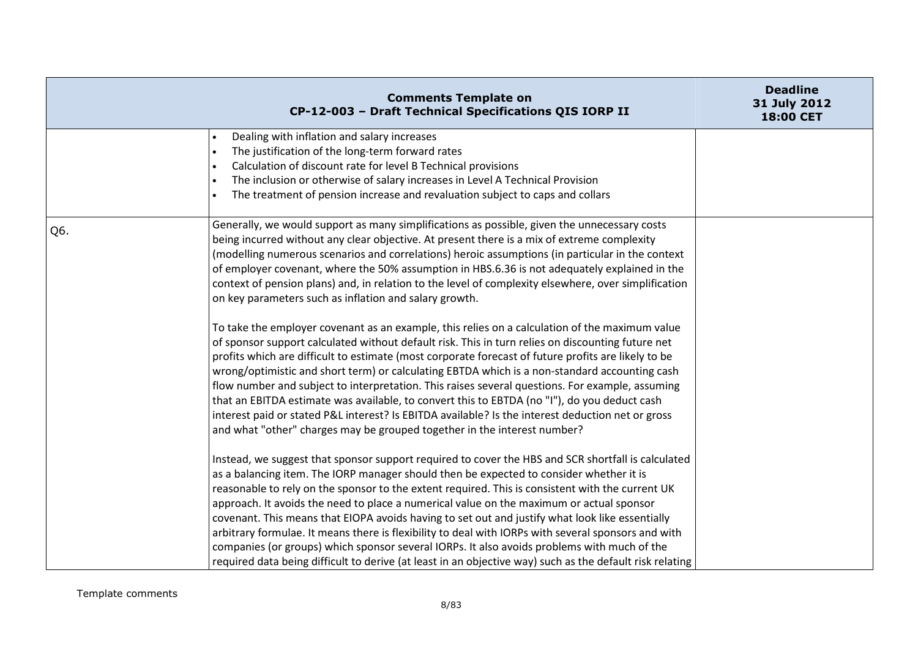|     | <b>Comments Template on</b><br>CP-12-003 - Draft Technical Specifications QIS IORP II                                                                                                                                                                                                                                                                                                                                                                                                                                                                                                                                                                                                                                                                                                                                                                                                                                                                                                                                                                                                                                                                                                                                                                                                                                                                                 | <b>Deadline</b><br>31 July 2012<br>18:00 CET |
|-----|-----------------------------------------------------------------------------------------------------------------------------------------------------------------------------------------------------------------------------------------------------------------------------------------------------------------------------------------------------------------------------------------------------------------------------------------------------------------------------------------------------------------------------------------------------------------------------------------------------------------------------------------------------------------------------------------------------------------------------------------------------------------------------------------------------------------------------------------------------------------------------------------------------------------------------------------------------------------------------------------------------------------------------------------------------------------------------------------------------------------------------------------------------------------------------------------------------------------------------------------------------------------------------------------------------------------------------------------------------------------------|----------------------------------------------|
|     | Dealing with inflation and salary increases<br>The justification of the long-term forward rates<br>$\bullet$<br>Calculation of discount rate for level B Technical provisions<br>The inclusion or otherwise of salary increases in Level A Technical Provision<br>$\bullet$<br>The treatment of pension increase and revaluation subject to caps and collars                                                                                                                                                                                                                                                                                                                                                                                                                                                                                                                                                                                                                                                                                                                                                                                                                                                                                                                                                                                                          |                                              |
| Q6. | Generally, we would support as many simplifications as possible, given the unnecessary costs<br>being incurred without any clear objective. At present there is a mix of extreme complexity<br>(modelling numerous scenarios and correlations) heroic assumptions (in particular in the context<br>of employer covenant, where the 50% assumption in HBS.6.36 is not adequately explained in the<br>context of pension plans) and, in relation to the level of complexity elsewhere, over simplification<br>on key parameters such as inflation and salary growth.<br>To take the employer covenant as an example, this relies on a calculation of the maximum value<br>of sponsor support calculated without default risk. This in turn relies on discounting future net<br>profits which are difficult to estimate (most corporate forecast of future profits are likely to be<br>wrong/optimistic and short term) or calculating EBTDA which is a non-standard accounting cash<br>flow number and subject to interpretation. This raises several questions. For example, assuming<br>that an EBITDA estimate was available, to convert this to EBTDA (no "I"), do you deduct cash<br>interest paid or stated P&L interest? Is EBITDA available? Is the interest deduction net or gross<br>and what "other" charges may be grouped together in the interest number? |                                              |
|     | Instead, we suggest that sponsor support required to cover the HBS and SCR shortfall is calculated<br>as a balancing item. The IORP manager should then be expected to consider whether it is<br>reasonable to rely on the sponsor to the extent required. This is consistent with the current UK<br>approach. It avoids the need to place a numerical value on the maximum or actual sponsor<br>covenant. This means that EIOPA avoids having to set out and justify what look like essentially<br>arbitrary formulae. It means there is flexibility to deal with IORPs with several sponsors and with<br>companies (or groups) which sponsor several IORPs. It also avoids problems with much of the<br>required data being difficult to derive (at least in an objective way) such as the default risk relating                                                                                                                                                                                                                                                                                                                                                                                                                                                                                                                                                    |                                              |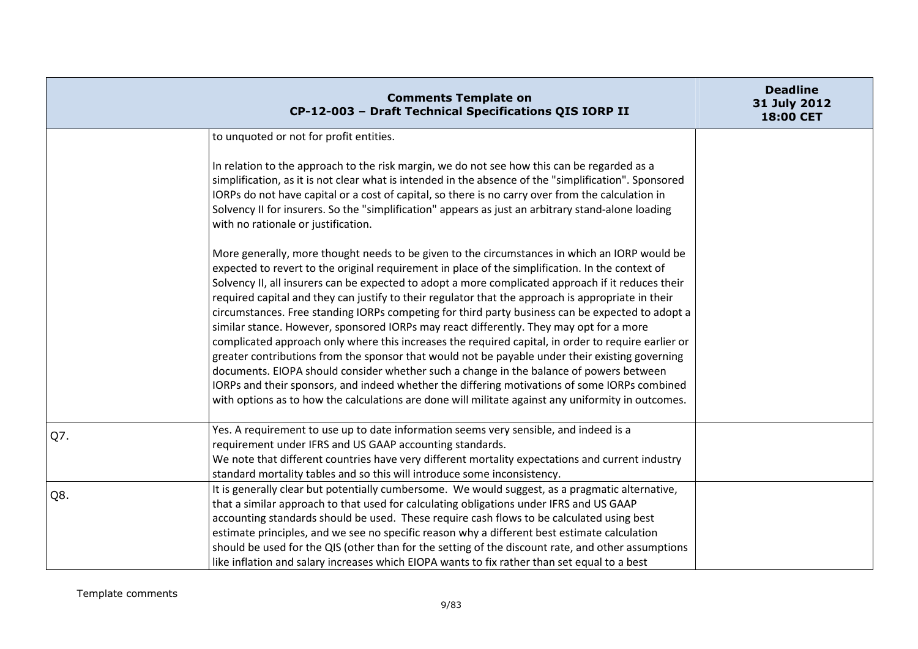|     | <b>Comments Template on</b><br>CP-12-003 - Draft Technical Specifications QIS IORP II                                                                                                                                                                                                                                                                                                                                                                                                                                                                                                                                                                                                                                                                                                                                                                                                                                                                                                                                                                                                                                    | <b>Deadline</b><br>31 July 2012<br>18:00 CET |
|-----|--------------------------------------------------------------------------------------------------------------------------------------------------------------------------------------------------------------------------------------------------------------------------------------------------------------------------------------------------------------------------------------------------------------------------------------------------------------------------------------------------------------------------------------------------------------------------------------------------------------------------------------------------------------------------------------------------------------------------------------------------------------------------------------------------------------------------------------------------------------------------------------------------------------------------------------------------------------------------------------------------------------------------------------------------------------------------------------------------------------------------|----------------------------------------------|
|     | to unquoted or not for profit entities.                                                                                                                                                                                                                                                                                                                                                                                                                                                                                                                                                                                                                                                                                                                                                                                                                                                                                                                                                                                                                                                                                  |                                              |
|     | In relation to the approach to the risk margin, we do not see how this can be regarded as a<br>simplification, as it is not clear what is intended in the absence of the "simplification". Sponsored<br>IORPs do not have capital or a cost of capital, so there is no carry over from the calculation in<br>Solvency II for insurers. So the "simplification" appears as just an arbitrary stand-alone loading<br>with no rationale or justification.                                                                                                                                                                                                                                                                                                                                                                                                                                                                                                                                                                                                                                                                   |                                              |
|     | More generally, more thought needs to be given to the circumstances in which an IORP would be<br>expected to revert to the original requirement in place of the simplification. In the context of<br>Solvency II, all insurers can be expected to adopt a more complicated approach if it reduces their<br>required capital and they can justify to their regulator that the approach is appropriate in their<br>circumstances. Free standing IORPs competing for third party business can be expected to adopt a<br>similar stance. However, sponsored IORPs may react differently. They may opt for a more<br>complicated approach only where this increases the required capital, in order to require earlier or<br>greater contributions from the sponsor that would not be payable under their existing governing<br>documents. EIOPA should consider whether such a change in the balance of powers between<br>IORPs and their sponsors, and indeed whether the differing motivations of some IORPs combined<br>with options as to how the calculations are done will militate against any uniformity in outcomes. |                                              |
| Q7. | Yes. A requirement to use up to date information seems very sensible, and indeed is a<br>requirement under IFRS and US GAAP accounting standards.<br>We note that different countries have very different mortality expectations and current industry<br>standard mortality tables and so this will introduce some inconsistency.                                                                                                                                                                                                                                                                                                                                                                                                                                                                                                                                                                                                                                                                                                                                                                                        |                                              |
| Q8. | It is generally clear but potentially cumbersome. We would suggest, as a pragmatic alternative,<br>that a similar approach to that used for calculating obligations under IFRS and US GAAP<br>accounting standards should be used. These require cash flows to be calculated using best<br>estimate principles, and we see no specific reason why a different best estimate calculation<br>should be used for the QIS (other than for the setting of the discount rate, and other assumptions<br>like inflation and salary increases which EIOPA wants to fix rather than set equal to a best                                                                                                                                                                                                                                                                                                                                                                                                                                                                                                                            |                                              |

Template comments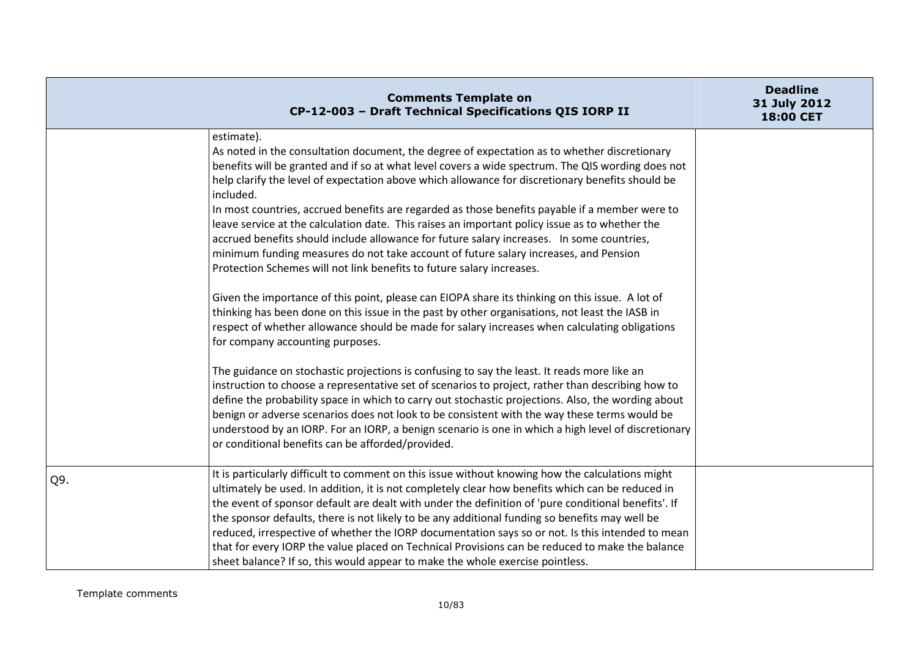|     | <b>Comments Template on</b><br>CP-12-003 - Draft Technical Specifications QIS IORP II                                                                                                                                                                                                                                                                                                                                                                                                                                                                                                                                                                                                                                                                                                                                                                                                                                                                                                                                                                                                                                                                                                                                                                                                                                                                                                                                                                                                                                                                                                                                                                                                                              | <b>Deadline</b><br>31 July 2012<br>18:00 CET |
|-----|--------------------------------------------------------------------------------------------------------------------------------------------------------------------------------------------------------------------------------------------------------------------------------------------------------------------------------------------------------------------------------------------------------------------------------------------------------------------------------------------------------------------------------------------------------------------------------------------------------------------------------------------------------------------------------------------------------------------------------------------------------------------------------------------------------------------------------------------------------------------------------------------------------------------------------------------------------------------------------------------------------------------------------------------------------------------------------------------------------------------------------------------------------------------------------------------------------------------------------------------------------------------------------------------------------------------------------------------------------------------------------------------------------------------------------------------------------------------------------------------------------------------------------------------------------------------------------------------------------------------------------------------------------------------------------------------------------------------|----------------------------------------------|
|     | estimate).<br>As noted in the consultation document, the degree of expectation as to whether discretionary<br>benefits will be granted and if so at what level covers a wide spectrum. The QIS wording does not<br>help clarify the level of expectation above which allowance for discretionary benefits should be<br>included.<br>In most countries, accrued benefits are regarded as those benefits payable if a member were to<br>leave service at the calculation date. This raises an important policy issue as to whether the<br>accrued benefits should include allowance for future salary increases. In some countries,<br>minimum funding measures do not take account of future salary increases, and Pension<br>Protection Schemes will not link benefits to future salary increases.<br>Given the importance of this point, please can EIOPA share its thinking on this issue. A lot of<br>thinking has been done on this issue in the past by other organisations, not least the IASB in<br>respect of whether allowance should be made for salary increases when calculating obligations<br>for company accounting purposes.<br>The guidance on stochastic projections is confusing to say the least. It reads more like an<br>instruction to choose a representative set of scenarios to project, rather than describing how to<br>define the probability space in which to carry out stochastic projections. Also, the wording about<br>benign or adverse scenarios does not look to be consistent with the way these terms would be<br>understood by an IORP. For an IORP, a benign scenario is one in which a high level of discretionary<br>or conditional benefits can be afforded/provided. |                                              |
| Q9. | It is particularly difficult to comment on this issue without knowing how the calculations might<br>ultimately be used. In addition, it is not completely clear how benefits which can be reduced in<br>the event of sponsor default are dealt with under the definition of 'pure conditional benefits'. If<br>the sponsor defaults, there is not likely to be any additional funding so benefits may well be<br>reduced, irrespective of whether the IORP documentation says so or not. Is this intended to mean<br>that for every IORP the value placed on Technical Provisions can be reduced to make the balance<br>sheet balance? If so, this would appear to make the whole exercise pointless.                                                                                                                                                                                                                                                                                                                                                                                                                                                                                                                                                                                                                                                                                                                                                                                                                                                                                                                                                                                                              |                                              |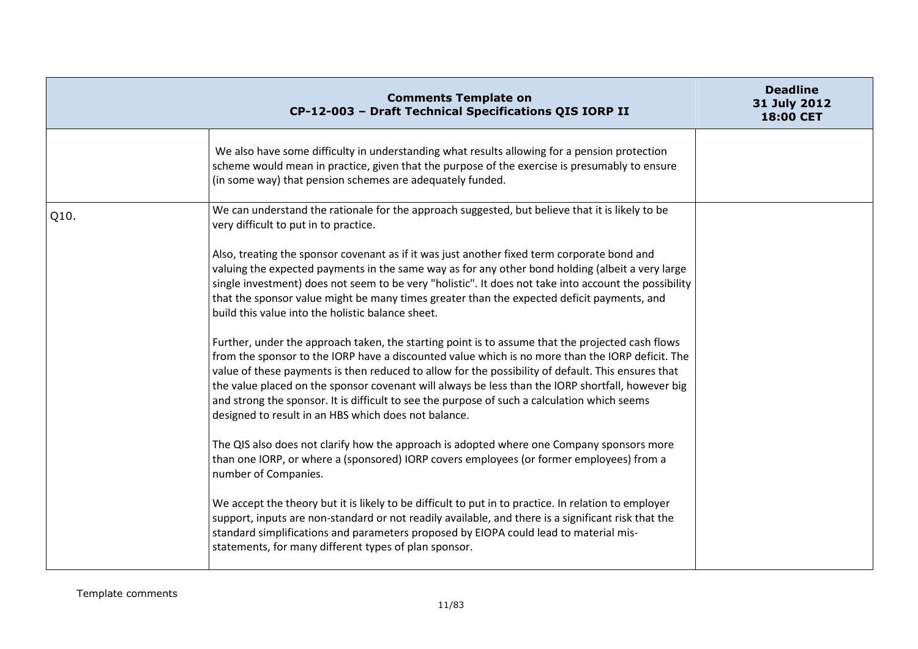|      | <b>Comments Template on</b><br>CP-12-003 - Draft Technical Specifications QIS IORP II                                                                                                                                                                                                                                                                                                                                                                                                                                                                                   | <b>Deadline</b><br>31 July 2012<br>18:00 CET |
|------|-------------------------------------------------------------------------------------------------------------------------------------------------------------------------------------------------------------------------------------------------------------------------------------------------------------------------------------------------------------------------------------------------------------------------------------------------------------------------------------------------------------------------------------------------------------------------|----------------------------------------------|
|      | We also have some difficulty in understanding what results allowing for a pension protection<br>scheme would mean in practice, given that the purpose of the exercise is presumably to ensure<br>(in some way) that pension schemes are adequately funded.                                                                                                                                                                                                                                                                                                              |                                              |
| Q10. | We can understand the rationale for the approach suggested, but believe that it is likely to be<br>very difficult to put in to practice.                                                                                                                                                                                                                                                                                                                                                                                                                                |                                              |
|      | Also, treating the sponsor covenant as if it was just another fixed term corporate bond and<br>valuing the expected payments in the same way as for any other bond holding (albeit a very large<br>single investment) does not seem to be very "holistic". It does not take into account the possibility<br>that the sponsor value might be many times greater than the expected deficit payments, and<br>build this value into the holistic balance sheet.                                                                                                             |                                              |
|      | Further, under the approach taken, the starting point is to assume that the projected cash flows<br>from the sponsor to the IORP have a discounted value which is no more than the IORP deficit. The<br>value of these payments is then reduced to allow for the possibility of default. This ensures that<br>the value placed on the sponsor covenant will always be less than the IORP shortfall, however big<br>and strong the sponsor. It is difficult to see the purpose of such a calculation which seems<br>designed to result in an HBS which does not balance. |                                              |
|      | The QIS also does not clarify how the approach is adopted where one Company sponsors more<br>than one IORP, or where a (sponsored) IORP covers employees (or former employees) from a<br>number of Companies.                                                                                                                                                                                                                                                                                                                                                           |                                              |
|      | We accept the theory but it is likely to be difficult to put in to practice. In relation to employer<br>support, inputs are non-standard or not readily available, and there is a significant risk that the<br>standard simplifications and parameters proposed by EIOPA could lead to material mis-<br>statements, for many different types of plan sponsor.                                                                                                                                                                                                           |                                              |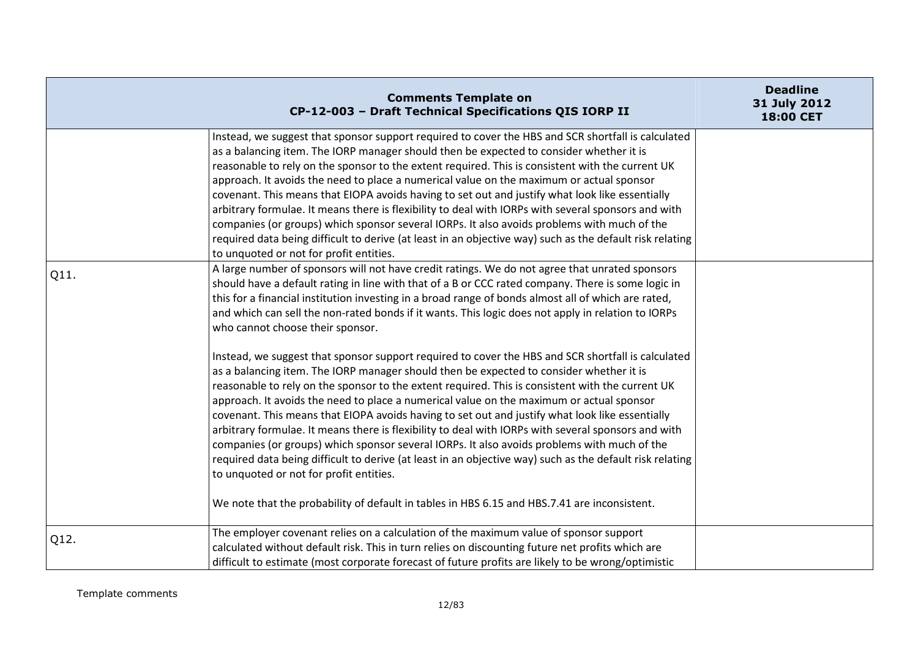|      | <b>Comments Template on</b><br>CP-12-003 - Draft Technical Specifications QIS IORP II                                                                                                                                                                                                                                                                                                                                                                                                                                                                                                                                                                                                                                                                                                                                                                         | <b>Deadline</b><br>31 July 2012<br>18:00 CET |
|------|---------------------------------------------------------------------------------------------------------------------------------------------------------------------------------------------------------------------------------------------------------------------------------------------------------------------------------------------------------------------------------------------------------------------------------------------------------------------------------------------------------------------------------------------------------------------------------------------------------------------------------------------------------------------------------------------------------------------------------------------------------------------------------------------------------------------------------------------------------------|----------------------------------------------|
|      | Instead, we suggest that sponsor support required to cover the HBS and SCR shortfall is calculated<br>as a balancing item. The IORP manager should then be expected to consider whether it is<br>reasonable to rely on the sponsor to the extent required. This is consistent with the current UK<br>approach. It avoids the need to place a numerical value on the maximum or actual sponsor<br>covenant. This means that EIOPA avoids having to set out and justify what look like essentially<br>arbitrary formulae. It means there is flexibility to deal with IORPs with several sponsors and with<br>companies (or groups) which sponsor several IORPs. It also avoids problems with much of the<br>required data being difficult to derive (at least in an objective way) such as the default risk relating<br>to unquoted or not for profit entities. |                                              |
| Q11. | A large number of sponsors will not have credit ratings. We do not agree that unrated sponsors<br>should have a default rating in line with that of a B or CCC rated company. There is some logic in<br>this for a financial institution investing in a broad range of bonds almost all of which are rated,<br>and which can sell the non-rated bonds if it wants. This logic does not apply in relation to IORPs<br>who cannot choose their sponsor.                                                                                                                                                                                                                                                                                                                                                                                                         |                                              |
|      | Instead, we suggest that sponsor support required to cover the HBS and SCR shortfall is calculated<br>as a balancing item. The IORP manager should then be expected to consider whether it is<br>reasonable to rely on the sponsor to the extent required. This is consistent with the current UK<br>approach. It avoids the need to place a numerical value on the maximum or actual sponsor<br>covenant. This means that EIOPA avoids having to set out and justify what look like essentially<br>arbitrary formulae. It means there is flexibility to deal with IORPs with several sponsors and with<br>companies (or groups) which sponsor several IORPs. It also avoids problems with much of the<br>required data being difficult to derive (at least in an objective way) such as the default risk relating<br>to unquoted or not for profit entities. |                                              |
|      | We note that the probability of default in tables in HBS 6.15 and HBS.7.41 are inconsistent.                                                                                                                                                                                                                                                                                                                                                                                                                                                                                                                                                                                                                                                                                                                                                                  |                                              |
| Q12. | The employer covenant relies on a calculation of the maximum value of sponsor support<br>calculated without default risk. This in turn relies on discounting future net profits which are<br>difficult to estimate (most corporate forecast of future profits are likely to be wrong/optimistic                                                                                                                                                                                                                                                                                                                                                                                                                                                                                                                                                               |                                              |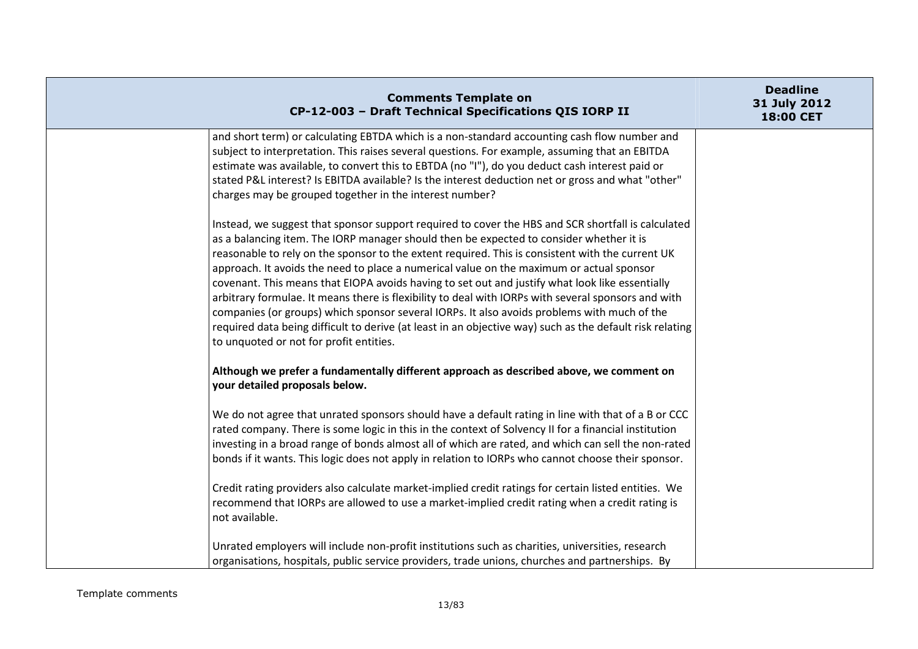|                | <b>Comments Template on</b><br>CP-12-003 - Draft Technical Specifications QIS IORP II                                                                                                                                                                                                                                                                                                                                                                                                                                                                                                                                                                                                                                                                                                                                                                         | <b>Deadline</b><br>31 July 2012<br>18:00 CET |
|----------------|---------------------------------------------------------------------------------------------------------------------------------------------------------------------------------------------------------------------------------------------------------------------------------------------------------------------------------------------------------------------------------------------------------------------------------------------------------------------------------------------------------------------------------------------------------------------------------------------------------------------------------------------------------------------------------------------------------------------------------------------------------------------------------------------------------------------------------------------------------------|----------------------------------------------|
|                | and short term) or calculating EBTDA which is a non-standard accounting cash flow number and<br>subject to interpretation. This raises several questions. For example, assuming that an EBITDA<br>estimate was available, to convert this to EBTDA (no "I"), do you deduct cash interest paid or<br>stated P&L interest? Is EBITDA available? Is the interest deduction net or gross and what "other"<br>charges may be grouped together in the interest number?                                                                                                                                                                                                                                                                                                                                                                                              |                                              |
|                | Instead, we suggest that sponsor support required to cover the HBS and SCR shortfall is calculated<br>as a balancing item. The IORP manager should then be expected to consider whether it is<br>reasonable to rely on the sponsor to the extent required. This is consistent with the current UK<br>approach. It avoids the need to place a numerical value on the maximum or actual sponsor<br>covenant. This means that EIOPA avoids having to set out and justify what look like essentially<br>arbitrary formulae. It means there is flexibility to deal with IORPs with several sponsors and with<br>companies (or groups) which sponsor several IORPs. It also avoids problems with much of the<br>required data being difficult to derive (at least in an objective way) such as the default risk relating<br>to unquoted or not for profit entities. |                                              |
|                | Although we prefer a fundamentally different approach as described above, we comment on<br>your detailed proposals below.                                                                                                                                                                                                                                                                                                                                                                                                                                                                                                                                                                                                                                                                                                                                     |                                              |
|                | We do not agree that unrated sponsors should have a default rating in line with that of a B or CCC<br>rated company. There is some logic in this in the context of Solvency II for a financial institution<br>investing in a broad range of bonds almost all of which are rated, and which can sell the non-rated<br>bonds if it wants. This logic does not apply in relation to IORPs who cannot choose their sponsor.                                                                                                                                                                                                                                                                                                                                                                                                                                       |                                              |
| not available. | Credit rating providers also calculate market-implied credit ratings for certain listed entities. We<br>recommend that IORPs are allowed to use a market-implied credit rating when a credit rating is                                                                                                                                                                                                                                                                                                                                                                                                                                                                                                                                                                                                                                                        |                                              |
|                | Unrated employers will include non-profit institutions such as charities, universities, research<br>organisations, hospitals, public service providers, trade unions, churches and partnerships. By                                                                                                                                                                                                                                                                                                                                                                                                                                                                                                                                                                                                                                                           |                                              |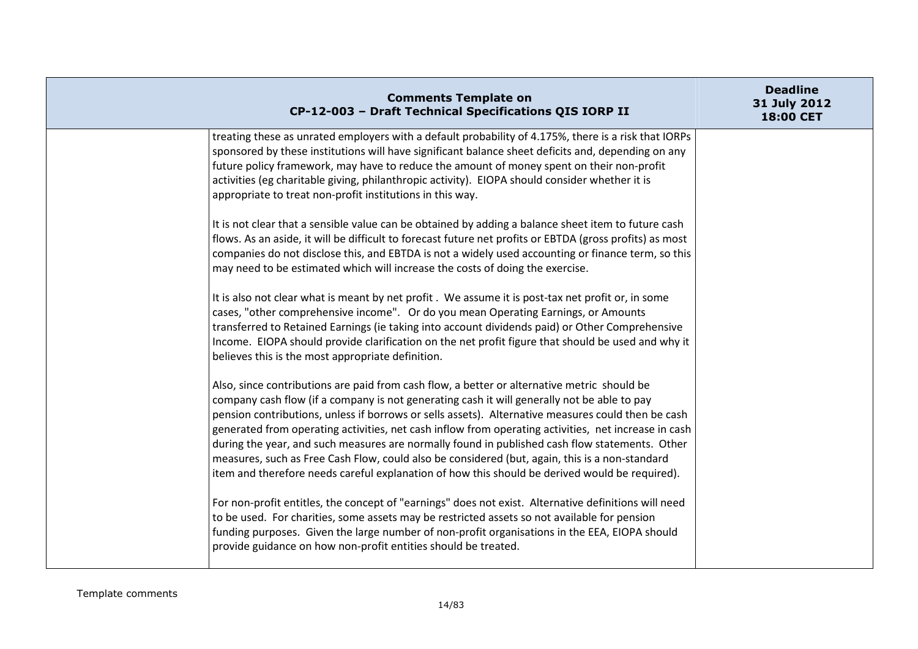| <b>Comments Template on</b><br>CP-12-003 - Draft Technical Specifications QIS IORP II                                                                                                                                                                                                                                                                                                                                                                                                                                                                                                                                                                                                                          | <b>Deadline</b><br>31 July 2012<br>18:00 CET |
|----------------------------------------------------------------------------------------------------------------------------------------------------------------------------------------------------------------------------------------------------------------------------------------------------------------------------------------------------------------------------------------------------------------------------------------------------------------------------------------------------------------------------------------------------------------------------------------------------------------------------------------------------------------------------------------------------------------|----------------------------------------------|
| treating these as unrated employers with a default probability of 4.175%, there is a risk that IORPs<br>sponsored by these institutions will have significant balance sheet deficits and, depending on any<br>future policy framework, may have to reduce the amount of money spent on their non-profit<br>activities (eg charitable giving, philanthropic activity). EIOPA should consider whether it is<br>appropriate to treat non-profit institutions in this way.                                                                                                                                                                                                                                         |                                              |
| It is not clear that a sensible value can be obtained by adding a balance sheet item to future cash<br>flows. As an aside, it will be difficult to forecast future net profits or EBTDA (gross profits) as most<br>companies do not disclose this, and EBTDA is not a widely used accounting or finance term, so this<br>may need to be estimated which will increase the costs of doing the exercise.                                                                                                                                                                                                                                                                                                         |                                              |
| It is also not clear what is meant by net profit. We assume it is post-tax net profit or, in some<br>cases, "other comprehensive income". Or do you mean Operating Earnings, or Amounts<br>transferred to Retained Earnings (ie taking into account dividends paid) or Other Comprehensive<br>Income. EIOPA should provide clarification on the net profit figure that should be used and why it<br>believes this is the most appropriate definition.                                                                                                                                                                                                                                                          |                                              |
| Also, since contributions are paid from cash flow, a better or alternative metric should be<br>company cash flow (if a company is not generating cash it will generally not be able to pay<br>pension contributions, unless if borrows or sells assets). Alternative measures could then be cash<br>generated from operating activities, net cash inflow from operating activities, net increase in cash<br>during the year, and such measures are normally found in published cash flow statements. Other<br>measures, such as Free Cash Flow, could also be considered (but, again, this is a non-standard<br>item and therefore needs careful explanation of how this should be derived would be required). |                                              |
| For non-profit entitles, the concept of "earnings" does not exist. Alternative definitions will need<br>to be used. For charities, some assets may be restricted assets so not available for pension<br>funding purposes. Given the large number of non-profit organisations in the EEA, EIOPA should<br>provide guidance on how non-profit entities should be treated.                                                                                                                                                                                                                                                                                                                                        |                                              |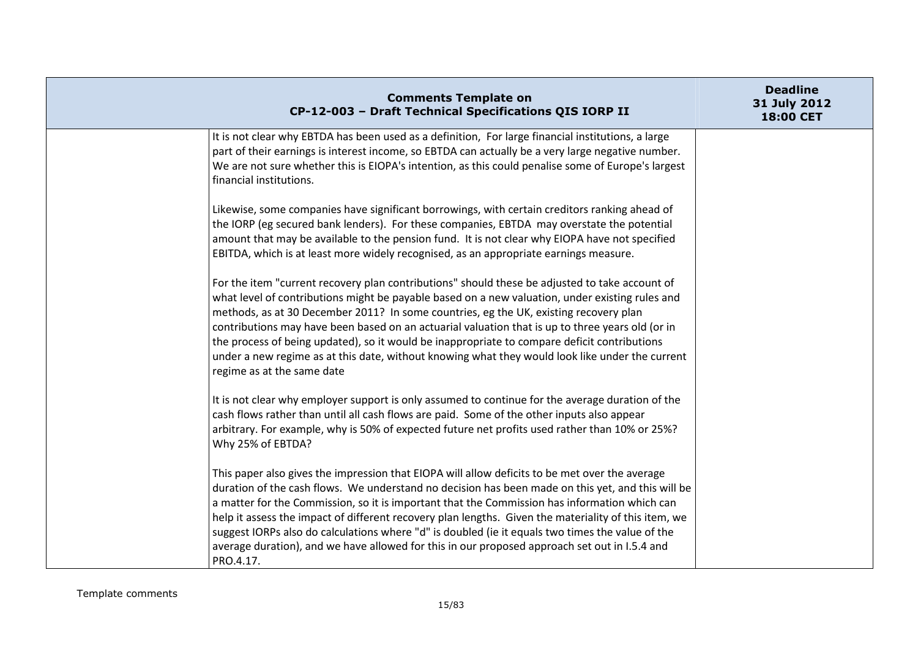| <b>Comments Template on</b><br>CP-12-003 - Draft Technical Specifications QIS IORP II                                                                                                                                                                                                                                                                                                                                                                                                                                                                                                                                           | <b>Deadline</b><br>31 July 2012<br>18:00 CET |
|---------------------------------------------------------------------------------------------------------------------------------------------------------------------------------------------------------------------------------------------------------------------------------------------------------------------------------------------------------------------------------------------------------------------------------------------------------------------------------------------------------------------------------------------------------------------------------------------------------------------------------|----------------------------------------------|
| It is not clear why EBTDA has been used as a definition, For large financial institutions, a large<br>part of their earnings is interest income, so EBTDA can actually be a very large negative number.<br>We are not sure whether this is EIOPA's intention, as this could penalise some of Europe's largest<br>financial institutions.                                                                                                                                                                                                                                                                                        |                                              |
| Likewise, some companies have significant borrowings, with certain creditors ranking ahead of<br>the IORP (eg secured bank lenders). For these companies, EBTDA may overstate the potential<br>amount that may be available to the pension fund. It is not clear why EIOPA have not specified<br>EBITDA, which is at least more widely recognised, as an appropriate earnings measure.                                                                                                                                                                                                                                          |                                              |
| For the item "current recovery plan contributions" should these be adjusted to take account of<br>what level of contributions might be payable based on a new valuation, under existing rules and<br>methods, as at 30 December 2011? In some countries, eg the UK, existing recovery plan<br>contributions may have been based on an actuarial valuation that is up to three years old (or in<br>the process of being updated), so it would be inappropriate to compare deficit contributions<br>under a new regime as at this date, without knowing what they would look like under the current<br>regime as at the same date |                                              |
| It is not clear why employer support is only assumed to continue for the average duration of the<br>cash flows rather than until all cash flows are paid. Some of the other inputs also appear<br>arbitrary. For example, why is 50% of expected future net profits used rather than 10% or 25%?<br>Why 25% of EBTDA?                                                                                                                                                                                                                                                                                                           |                                              |
| This paper also gives the impression that EIOPA will allow deficits to be met over the average<br>duration of the cash flows. We understand no decision has been made on this yet, and this will be<br>a matter for the Commission, so it is important that the Commission has information which can<br>help it assess the impact of different recovery plan lengths. Given the materiality of this item, we<br>suggest IORPs also do calculations where "d" is doubled (ie it equals two times the value of the<br>average duration), and we have allowed for this in our proposed approach set out in I.5.4 and<br>PRO.4.17.  |                                              |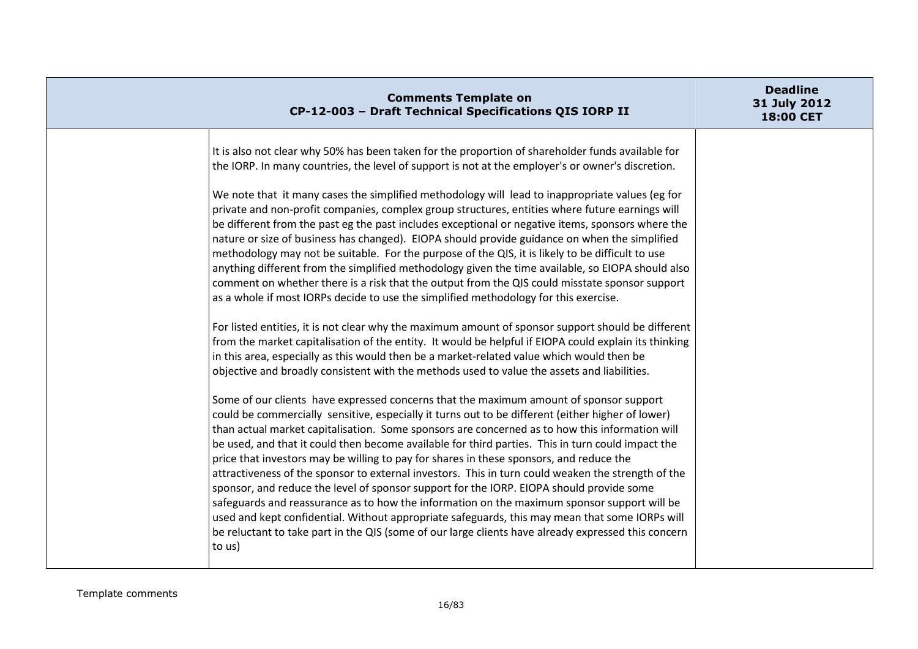| <b>Comments Template on</b><br>CP-12-003 - Draft Technical Specifications QIS IORP II                                                                                                                                                                                                                                                                                                                                                                                                                                                                                                                                                                                                                                                                                                                                                                                                                                                                                                                             | <b>Deadline</b><br>31 July 2012<br>18:00 CET |
|-------------------------------------------------------------------------------------------------------------------------------------------------------------------------------------------------------------------------------------------------------------------------------------------------------------------------------------------------------------------------------------------------------------------------------------------------------------------------------------------------------------------------------------------------------------------------------------------------------------------------------------------------------------------------------------------------------------------------------------------------------------------------------------------------------------------------------------------------------------------------------------------------------------------------------------------------------------------------------------------------------------------|----------------------------------------------|
| It is also not clear why 50% has been taken for the proportion of shareholder funds available for<br>the IORP. In many countries, the level of support is not at the employer's or owner's discretion.                                                                                                                                                                                                                                                                                                                                                                                                                                                                                                                                                                                                                                                                                                                                                                                                            |                                              |
| We note that it many cases the simplified methodology will lead to inappropriate values (eg for<br>private and non-profit companies, complex group structures, entities where future earnings will<br>be different from the past eg the past includes exceptional or negative items, sponsors where the<br>nature or size of business has changed). EIOPA should provide guidance on when the simplified<br>methodology may not be suitable. For the purpose of the QIS, it is likely to be difficult to use<br>anything different from the simplified methodology given the time available, so EIOPA should also<br>comment on whether there is a risk that the output from the QIS could misstate sponsor support<br>as a whole if most IORPs decide to use the simplified methodology for this exercise.                                                                                                                                                                                                       |                                              |
| For listed entities, it is not clear why the maximum amount of sponsor support should be different<br>from the market capitalisation of the entity. It would be helpful if EIOPA could explain its thinking<br>in this area, especially as this would then be a market-related value which would then be<br>objective and broadly consistent with the methods used to value the assets and liabilities.                                                                                                                                                                                                                                                                                                                                                                                                                                                                                                                                                                                                           |                                              |
| Some of our clients have expressed concerns that the maximum amount of sponsor support<br>could be commercially sensitive, especially it turns out to be different (either higher of lower)<br>than actual market capitalisation. Some sponsors are concerned as to how this information will<br>be used, and that it could then become available for third parties. This in turn could impact the<br>price that investors may be willing to pay for shares in these sponsors, and reduce the<br>attractiveness of the sponsor to external investors. This in turn could weaken the strength of the<br>sponsor, and reduce the level of sponsor support for the IORP. EIOPA should provide some<br>safeguards and reassurance as to how the information on the maximum sponsor support will be<br>used and kept confidential. Without appropriate safeguards, this may mean that some IORPs will<br>be reluctant to take part in the QIS (some of our large clients have already expressed this concern<br>to us) |                                              |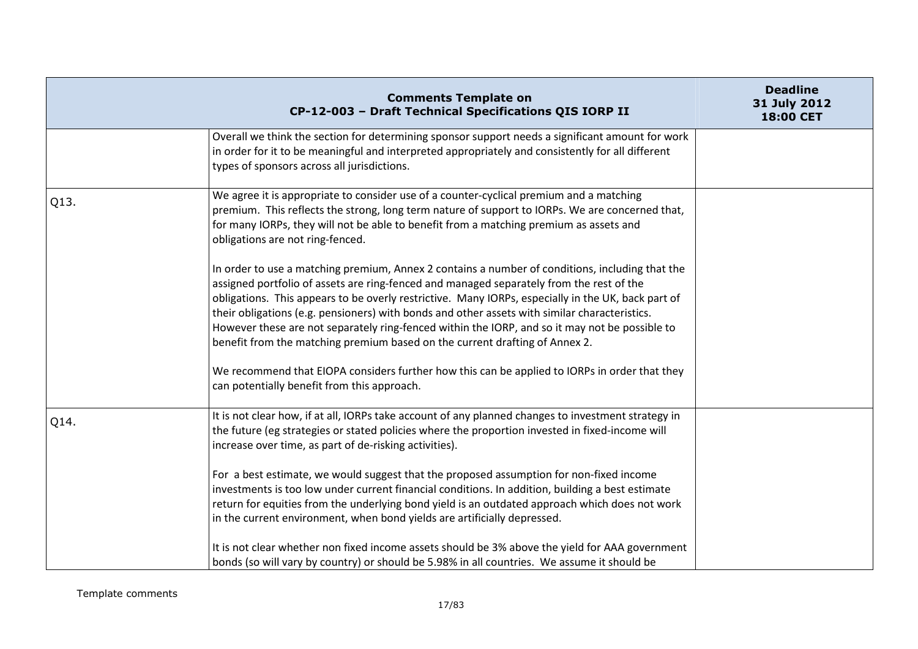|      | <b>Comments Template on</b><br>CP-12-003 - Draft Technical Specifications QIS IORP II                                                                                                                                                                                                                                                                                                                                                                                                                                                                                               | <b>Deadline</b><br>31 July 2012<br>18:00 CET |
|------|-------------------------------------------------------------------------------------------------------------------------------------------------------------------------------------------------------------------------------------------------------------------------------------------------------------------------------------------------------------------------------------------------------------------------------------------------------------------------------------------------------------------------------------------------------------------------------------|----------------------------------------------|
|      | Overall we think the section for determining sponsor support needs a significant amount for work<br>in order for it to be meaningful and interpreted appropriately and consistently for all different<br>types of sponsors across all jurisdictions.                                                                                                                                                                                                                                                                                                                                |                                              |
| Q13. | We agree it is appropriate to consider use of a counter-cyclical premium and a matching<br>premium. This reflects the strong, long term nature of support to IORPs. We are concerned that,<br>for many IORPs, they will not be able to benefit from a matching premium as assets and<br>obligations are not ring-fenced.                                                                                                                                                                                                                                                            |                                              |
|      | In order to use a matching premium, Annex 2 contains a number of conditions, including that the<br>assigned portfolio of assets are ring-fenced and managed separately from the rest of the<br>obligations. This appears to be overly restrictive. Many IORPs, especially in the UK, back part of<br>their obligations (e.g. pensioners) with bonds and other assets with similar characteristics.<br>However these are not separately ring-fenced within the IORP, and so it may not be possible to<br>benefit from the matching premium based on the current drafting of Annex 2. |                                              |
|      | We recommend that EIOPA considers further how this can be applied to IORPs in order that they<br>can potentially benefit from this approach.                                                                                                                                                                                                                                                                                                                                                                                                                                        |                                              |
| Q14. | It is not clear how, if at all, IORPs take account of any planned changes to investment strategy in<br>the future (eg strategies or stated policies where the proportion invested in fixed-income will<br>increase over time, as part of de-risking activities).                                                                                                                                                                                                                                                                                                                    |                                              |
|      | For a best estimate, we would suggest that the proposed assumption for non-fixed income<br>investments is too low under current financial conditions. In addition, building a best estimate<br>return for equities from the underlying bond yield is an outdated approach which does not work<br>in the current environment, when bond yields are artificially depressed.                                                                                                                                                                                                           |                                              |
|      | It is not clear whether non fixed income assets should be 3% above the yield for AAA government<br>bonds (so will vary by country) or should be 5.98% in all countries. We assume it should be                                                                                                                                                                                                                                                                                                                                                                                      |                                              |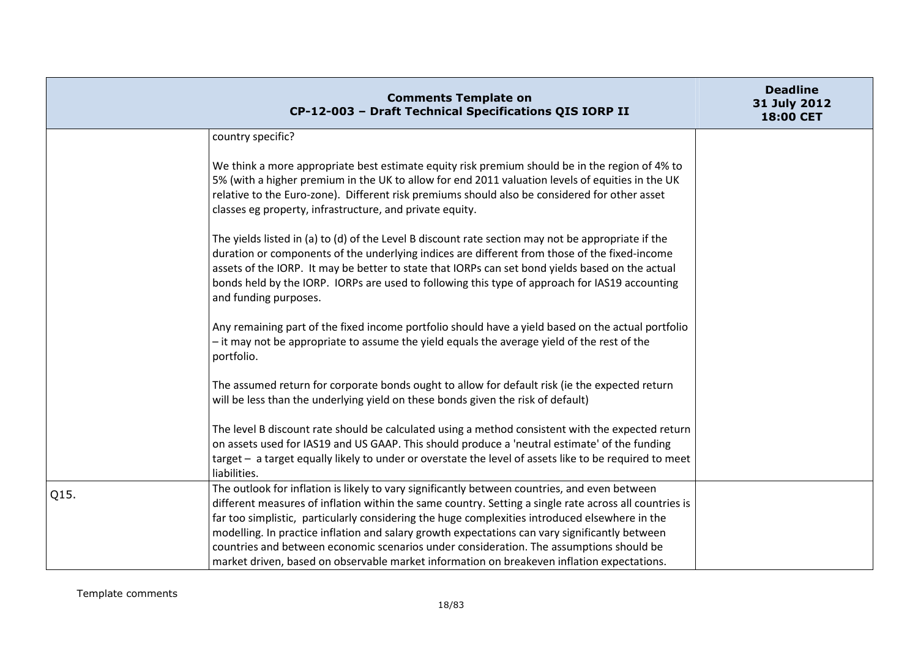|      | <b>Comments Template on</b><br>CP-12-003 - Draft Technical Specifications QIS IORP II                                                                                                                                                                                                                                                                                                                                                                                                                                                                                                                | <b>Deadline</b><br>31 July 2012<br>18:00 CET |
|------|------------------------------------------------------------------------------------------------------------------------------------------------------------------------------------------------------------------------------------------------------------------------------------------------------------------------------------------------------------------------------------------------------------------------------------------------------------------------------------------------------------------------------------------------------------------------------------------------------|----------------------------------------------|
|      | country specific?                                                                                                                                                                                                                                                                                                                                                                                                                                                                                                                                                                                    |                                              |
|      | We think a more appropriate best estimate equity risk premium should be in the region of 4% to<br>5% (with a higher premium in the UK to allow for end 2011 valuation levels of equities in the UK<br>relative to the Euro-zone). Different risk premiums should also be considered for other asset<br>classes eg property, infrastructure, and private equity.                                                                                                                                                                                                                                      |                                              |
|      | The yields listed in (a) to (d) of the Level B discount rate section may not be appropriate if the<br>duration or components of the underlying indices are different from those of the fixed-income<br>assets of the IORP. It may be better to state that IORPs can set bond yields based on the actual<br>bonds held by the IORP. IORPs are used to following this type of approach for IAS19 accounting<br>and funding purposes.                                                                                                                                                                   |                                              |
|      | Any remaining part of the fixed income portfolio should have a yield based on the actual portfolio<br>- it may not be appropriate to assume the yield equals the average yield of the rest of the<br>portfolio.                                                                                                                                                                                                                                                                                                                                                                                      |                                              |
|      | The assumed return for corporate bonds ought to allow for default risk (ie the expected return<br>will be less than the underlying yield on these bonds given the risk of default)                                                                                                                                                                                                                                                                                                                                                                                                                   |                                              |
|      | The level B discount rate should be calculated using a method consistent with the expected return<br>on assets used for IAS19 and US GAAP. This should produce a 'neutral estimate' of the funding<br>target - a target equally likely to under or overstate the level of assets like to be required to meet<br>liabilities.                                                                                                                                                                                                                                                                         |                                              |
| Q15. | The outlook for inflation is likely to vary significantly between countries, and even between<br>different measures of inflation within the same country. Setting a single rate across all countries is<br>far too simplistic, particularly considering the huge complexities introduced elsewhere in the<br>modelling. In practice inflation and salary growth expectations can vary significantly between<br>countries and between economic scenarios under consideration. The assumptions should be<br>market driven, based on observable market information on breakeven inflation expectations. |                                              |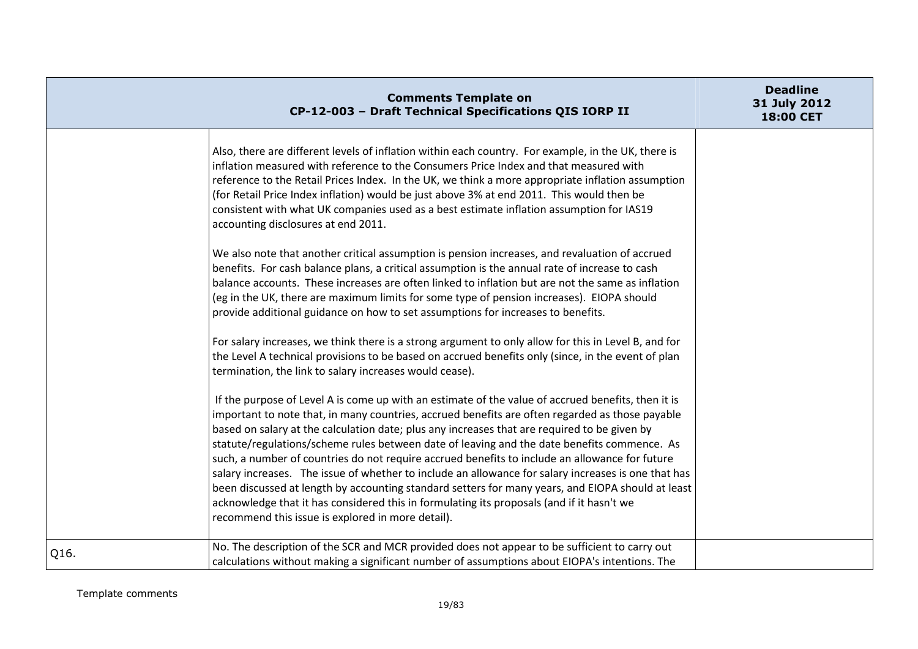| <b>Comments Template on</b><br>CP-12-003 - Draft Technical Specifications QIS IORP II                                                                                                                                                                                                                                                                                                                                                                                                                                                                                                                                                                                                                                                                                                                                                                                | <b>Deadline</b><br>31 July 2012<br>18:00 CET |
|----------------------------------------------------------------------------------------------------------------------------------------------------------------------------------------------------------------------------------------------------------------------------------------------------------------------------------------------------------------------------------------------------------------------------------------------------------------------------------------------------------------------------------------------------------------------------------------------------------------------------------------------------------------------------------------------------------------------------------------------------------------------------------------------------------------------------------------------------------------------|----------------------------------------------|
| Also, there are different levels of inflation within each country. For example, in the UK, there is<br>inflation measured with reference to the Consumers Price Index and that measured with<br>reference to the Retail Prices Index. In the UK, we think a more appropriate inflation assumption<br>(for Retail Price Index inflation) would be just above 3% at end 2011. This would then be<br>consistent with what UK companies used as a best estimate inflation assumption for IAS19<br>accounting disclosures at end 2011.<br>We also note that another critical assumption is pension increases, and revaluation of accrued                                                                                                                                                                                                                                  |                                              |
| benefits. For cash balance plans, a critical assumption is the annual rate of increase to cash<br>balance accounts. These increases are often linked to inflation but are not the same as inflation<br>(eg in the UK, there are maximum limits for some type of pension increases). EIOPA should<br>provide additional guidance on how to set assumptions for increases to benefits.                                                                                                                                                                                                                                                                                                                                                                                                                                                                                 |                                              |
| For salary increases, we think there is a strong argument to only allow for this in Level B, and for<br>the Level A technical provisions to be based on accrued benefits only (since, in the event of plan<br>termination, the link to salary increases would cease).                                                                                                                                                                                                                                                                                                                                                                                                                                                                                                                                                                                                |                                              |
| If the purpose of Level A is come up with an estimate of the value of accrued benefits, then it is<br>important to note that, in many countries, accrued benefits are often regarded as those payable<br>based on salary at the calculation date; plus any increases that are required to be given by<br>statute/regulations/scheme rules between date of leaving and the date benefits commence. As<br>such, a number of countries do not require accrued benefits to include an allowance for future<br>salary increases. The issue of whether to include an allowance for salary increases is one that has<br>been discussed at length by accounting standard setters for many years, and EIOPA should at least<br>acknowledge that it has considered this in formulating its proposals (and if it hasn't we<br>recommend this issue is explored in more detail). |                                              |
| No. The description of the SCR and MCR provided does not appear to be sufficient to carry out<br>Q16.<br>calculations without making a significant number of assumptions about EIOPA's intentions. The                                                                                                                                                                                                                                                                                                                                                                                                                                                                                                                                                                                                                                                               |                                              |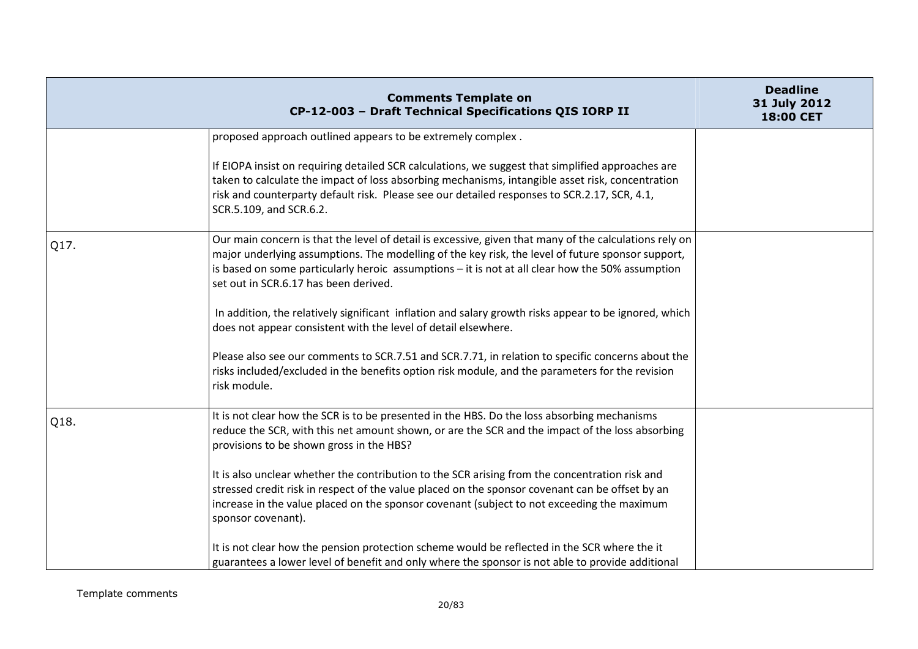|      | <b>Comments Template on</b><br>CP-12-003 - Draft Technical Specifications QIS IORP II                                                                                                                                                                                                                                                                    | <b>Deadline</b><br>31 July 2012<br>18:00 CET |
|------|----------------------------------------------------------------------------------------------------------------------------------------------------------------------------------------------------------------------------------------------------------------------------------------------------------------------------------------------------------|----------------------------------------------|
|      | proposed approach outlined appears to be extremely complex.                                                                                                                                                                                                                                                                                              |                                              |
|      | If EIOPA insist on requiring detailed SCR calculations, we suggest that simplified approaches are<br>taken to calculate the impact of loss absorbing mechanisms, intangible asset risk, concentration<br>risk and counterparty default risk. Please see our detailed responses to SCR.2.17, SCR, 4.1,<br>SCR.5.109, and SCR.6.2.                         |                                              |
| Q17. | Our main concern is that the level of detail is excessive, given that many of the calculations rely on<br>major underlying assumptions. The modelling of the key risk, the level of future sponsor support,<br>is based on some particularly heroic assumptions - it is not at all clear how the 50% assumption<br>set out in SCR.6.17 has been derived. |                                              |
|      | In addition, the relatively significant inflation and salary growth risks appear to be ignored, which<br>does not appear consistent with the level of detail elsewhere.                                                                                                                                                                                  |                                              |
|      | Please also see our comments to SCR.7.51 and SCR.7.71, in relation to specific concerns about the<br>risks included/excluded in the benefits option risk module, and the parameters for the revision<br>risk module.                                                                                                                                     |                                              |
| Q18. | It is not clear how the SCR is to be presented in the HBS. Do the loss absorbing mechanisms<br>reduce the SCR, with this net amount shown, or are the SCR and the impact of the loss absorbing<br>provisions to be shown gross in the HBS?                                                                                                               |                                              |
|      | It is also unclear whether the contribution to the SCR arising from the concentration risk and<br>stressed credit risk in respect of the value placed on the sponsor covenant can be offset by an<br>increase in the value placed on the sponsor covenant (subject to not exceeding the maximum<br>sponsor covenant).                                    |                                              |
|      | It is not clear how the pension protection scheme would be reflected in the SCR where the it<br>guarantees a lower level of benefit and only where the sponsor is not able to provide additional                                                                                                                                                         |                                              |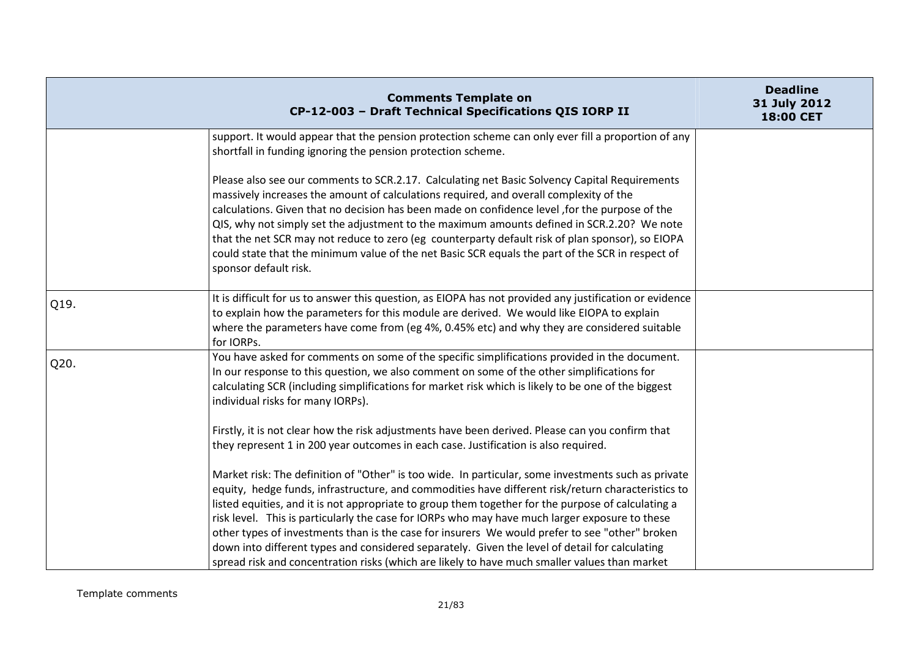|      | <b>Comments Template on</b><br>CP-12-003 - Draft Technical Specifications QIS IORP II                                                                                                                                                                                                                                                                                                                                                                                                                                                                                                                                    | <b>Deadline</b><br>31 July 2012<br>18:00 CET |
|------|--------------------------------------------------------------------------------------------------------------------------------------------------------------------------------------------------------------------------------------------------------------------------------------------------------------------------------------------------------------------------------------------------------------------------------------------------------------------------------------------------------------------------------------------------------------------------------------------------------------------------|----------------------------------------------|
|      | support. It would appear that the pension protection scheme can only ever fill a proportion of any<br>shortfall in funding ignoring the pension protection scheme.                                                                                                                                                                                                                                                                                                                                                                                                                                                       |                                              |
|      | Please also see our comments to SCR.2.17. Calculating net Basic Solvency Capital Requirements<br>massively increases the amount of calculations required, and overall complexity of the<br>calculations. Given that no decision has been made on confidence level, for the purpose of the<br>QIS, why not simply set the adjustment to the maximum amounts defined in SCR.2.20? We note<br>that the net SCR may not reduce to zero (eg counterparty default risk of plan sponsor), so EIOPA<br>could state that the minimum value of the net Basic SCR equals the part of the SCR in respect of<br>sponsor default risk. |                                              |
| Q19. | It is difficult for us to answer this question, as EIOPA has not provided any justification or evidence<br>to explain how the parameters for this module are derived. We would like EIOPA to explain<br>where the parameters have come from (eg 4%, 0.45% etc) and why they are considered suitable<br>for IORPs.                                                                                                                                                                                                                                                                                                        |                                              |
| Q20. | You have asked for comments on some of the specific simplifications provided in the document.<br>In our response to this question, we also comment on some of the other simplifications for<br>calculating SCR (including simplifications for market risk which is likely to be one of the biggest<br>individual risks for many IORPs).                                                                                                                                                                                                                                                                                  |                                              |
|      | Firstly, it is not clear how the risk adjustments have been derived. Please can you confirm that<br>they represent 1 in 200 year outcomes in each case. Justification is also required.                                                                                                                                                                                                                                                                                                                                                                                                                                  |                                              |
|      | Market risk: The definition of "Other" is too wide. In particular, some investments such as private<br>equity, hedge funds, infrastructure, and commodities have different risk/return characteristics to<br>listed equities, and it is not appropriate to group them together for the purpose of calculating a<br>risk level. This is particularly the case for IORPs who may have much larger exposure to these<br>other types of investments than is the case for insurers We would prefer to see "other" broken                                                                                                      |                                              |
|      | down into different types and considered separately. Given the level of detail for calculating<br>spread risk and concentration risks (which are likely to have much smaller values than market                                                                                                                                                                                                                                                                                                                                                                                                                          |                                              |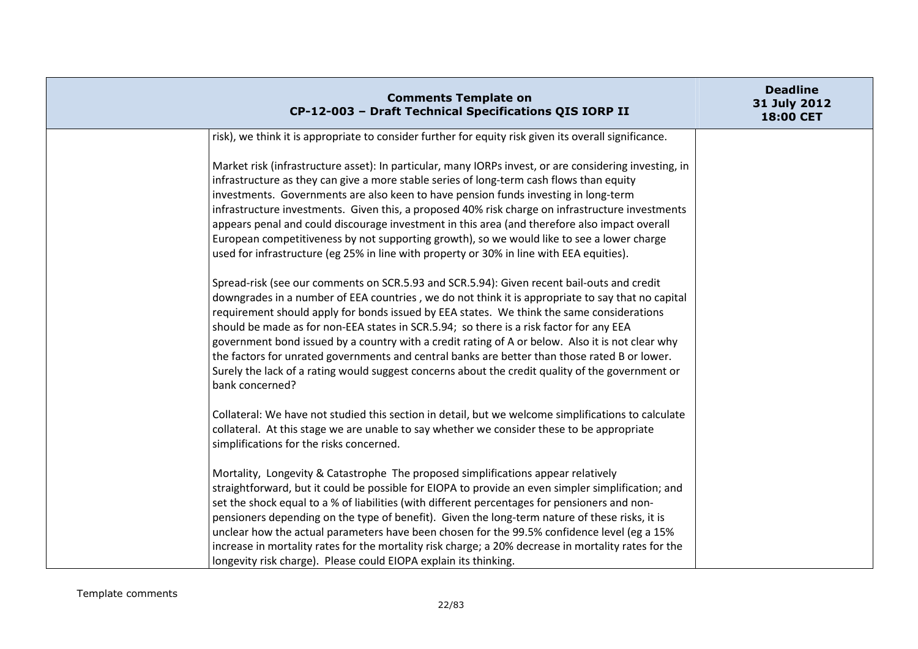| <b>Comments Template on</b><br>CP-12-003 - Draft Technical Specifications QIS IORP II                                                                                                                                                                                                                                                                                                                                                                                                                                                                                                                                                                                                                               | <b>Deadline</b><br>31 July 2012<br>18:00 CET |
|---------------------------------------------------------------------------------------------------------------------------------------------------------------------------------------------------------------------------------------------------------------------------------------------------------------------------------------------------------------------------------------------------------------------------------------------------------------------------------------------------------------------------------------------------------------------------------------------------------------------------------------------------------------------------------------------------------------------|----------------------------------------------|
| risk), we think it is appropriate to consider further for equity risk given its overall significance.                                                                                                                                                                                                                                                                                                                                                                                                                                                                                                                                                                                                               |                                              |
| Market risk (infrastructure asset): In particular, many IORPs invest, or are considering investing, in<br>infrastructure as they can give a more stable series of long-term cash flows than equity<br>investments. Governments are also keen to have pension funds investing in long-term<br>infrastructure investments. Given this, a proposed 40% risk charge on infrastructure investments<br>appears penal and could discourage investment in this area (and therefore also impact overall<br>European competitiveness by not supporting growth), so we would like to see a lower charge<br>used for infrastructure (eg 25% in line with property or 30% in line with EEA equities).                            |                                              |
| Spread-risk (see our comments on SCR.5.93 and SCR.5.94): Given recent bail-outs and credit<br>downgrades in a number of EEA countries, we do not think it is appropriate to say that no capital<br>requirement should apply for bonds issued by EEA states. We think the same considerations<br>should be made as for non-EEA states in SCR.5.94; so there is a risk factor for any EEA<br>government bond issued by a country with a credit rating of A or below. Also it is not clear why<br>the factors for unrated governments and central banks are better than those rated B or lower.<br>Surely the lack of a rating would suggest concerns about the credit quality of the government or<br>bank concerned? |                                              |
| Collateral: We have not studied this section in detail, but we welcome simplifications to calculate<br>collateral. At this stage we are unable to say whether we consider these to be appropriate<br>simplifications for the risks concerned.                                                                                                                                                                                                                                                                                                                                                                                                                                                                       |                                              |
| Mortality, Longevity & Catastrophe The proposed simplifications appear relatively<br>straightforward, but it could be possible for EIOPA to provide an even simpler simplification; and<br>set the shock equal to a % of liabilities (with different percentages for pensioners and non-<br>pensioners depending on the type of benefit). Given the long-term nature of these risks, it is<br>unclear how the actual parameters have been chosen for the 99.5% confidence level (eg a 15%<br>increase in mortality rates for the mortality risk charge; a 20% decrease in mortality rates for the<br>longevity risk charge). Please could EIOPA explain its thinking.                                               |                                              |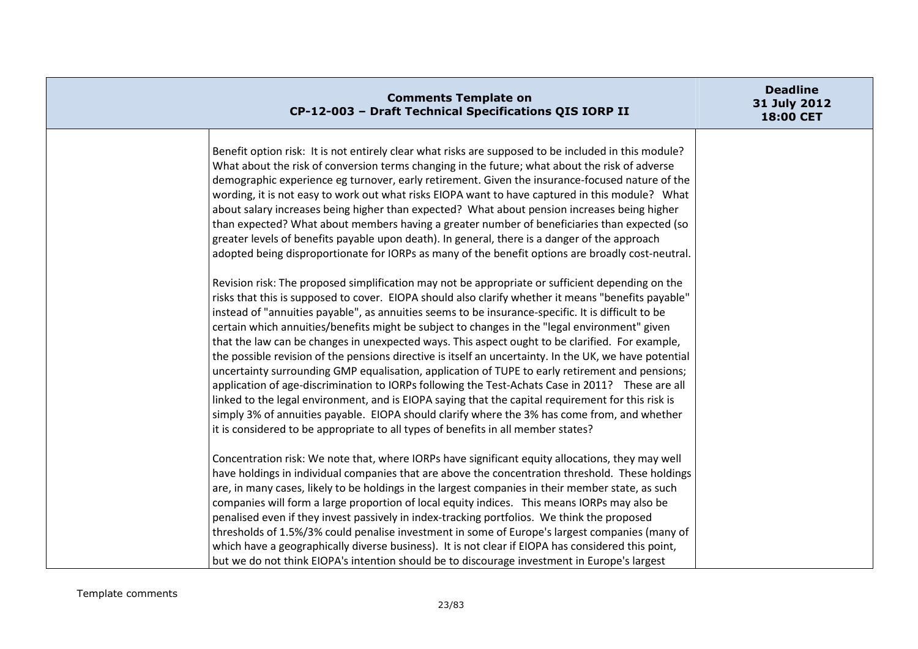| <b>Comments Template on</b><br>CP-12-003 - Draft Technical Specifications QIS IORP II                                                                                                                                                                                                                                                                                                                                                                                                                                                                                                                                                                                                                                                                                                                                                                                                                                                                                                                                                                                                                                                                                                                                                                                                                                                                                                                                                                                                                                                                                                                                                                    | <b>Deadline</b><br>31 July 2012<br>18:00 CET |
|----------------------------------------------------------------------------------------------------------------------------------------------------------------------------------------------------------------------------------------------------------------------------------------------------------------------------------------------------------------------------------------------------------------------------------------------------------------------------------------------------------------------------------------------------------------------------------------------------------------------------------------------------------------------------------------------------------------------------------------------------------------------------------------------------------------------------------------------------------------------------------------------------------------------------------------------------------------------------------------------------------------------------------------------------------------------------------------------------------------------------------------------------------------------------------------------------------------------------------------------------------------------------------------------------------------------------------------------------------------------------------------------------------------------------------------------------------------------------------------------------------------------------------------------------------------------------------------------------------------------------------------------------------|----------------------------------------------|
| Benefit option risk: It is not entirely clear what risks are supposed to be included in this module?<br>What about the risk of conversion terms changing in the future; what about the risk of adverse<br>demographic experience eg turnover, early retirement. Given the insurance-focused nature of the<br>wording, it is not easy to work out what risks EIOPA want to have captured in this module? What<br>about salary increases being higher than expected? What about pension increases being higher<br>than expected? What about members having a greater number of beneficiaries than expected (so<br>greater levels of benefits payable upon death). In general, there is a danger of the approach<br>adopted being disproportionate for IORPs as many of the benefit options are broadly cost-neutral.<br>Revision risk: The proposed simplification may not be appropriate or sufficient depending on the<br>risks that this is supposed to cover. EIOPA should also clarify whether it means "benefits payable"<br>instead of "annuities payable", as annuities seems to be insurance-specific. It is difficult to be<br>certain which annuities/benefits might be subject to changes in the "legal environment" given<br>that the law can be changes in unexpected ways. This aspect ought to be clarified. For example,<br>the possible revision of the pensions directive is itself an uncertainty. In the UK, we have potential<br>uncertainty surrounding GMP equalisation, application of TUPE to early retirement and pensions;<br>application of age-discrimination to IORPs following the Test-Achats Case in 2011? These are all |                                              |
| linked to the legal environment, and is EIOPA saying that the capital requirement for this risk is<br>simply 3% of annuities payable. EIOPA should clarify where the 3% has come from, and whether<br>it is considered to be appropriate to all types of benefits in all member states?                                                                                                                                                                                                                                                                                                                                                                                                                                                                                                                                                                                                                                                                                                                                                                                                                                                                                                                                                                                                                                                                                                                                                                                                                                                                                                                                                                  |                                              |
| Concentration risk: We note that, where IORPs have significant equity allocations, they may well<br>have holdings in individual companies that are above the concentration threshold. These holdings<br>are, in many cases, likely to be holdings in the largest companies in their member state, as such<br>companies will form a large proportion of local equity indices. This means IORPs may also be<br>penalised even if they invest passively in index-tracking portfolios. We think the proposed<br>thresholds of 1.5%/3% could penalise investment in some of Europe's largest companies (many of<br>which have a geographically diverse business). It is not clear if EIOPA has considered this point,<br>but we do not think EIOPA's intention should be to discourage investment in Europe's largest                                                                                                                                                                                                                                                                                                                                                                                                                                                                                                                                                                                                                                                                                                                                                                                                                                         |                                              |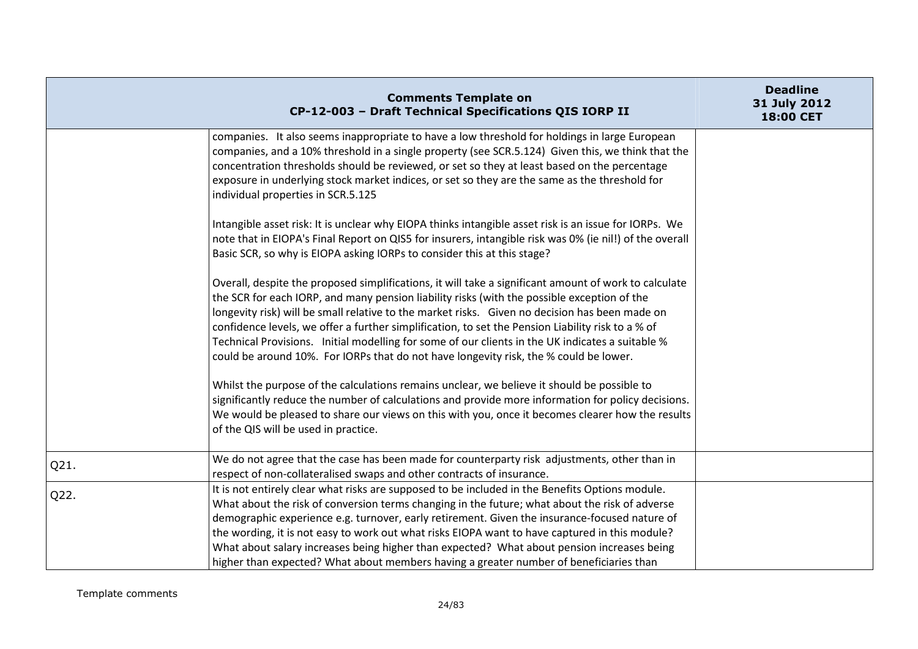|      | <b>Comments Template on</b><br>CP-12-003 - Draft Technical Specifications QIS IORP II                                                                                                                                                                                                                                                                                                                                                                                                                                                                                                                    | <b>Deadline</b><br>31 July 2012<br>18:00 CET |
|------|----------------------------------------------------------------------------------------------------------------------------------------------------------------------------------------------------------------------------------------------------------------------------------------------------------------------------------------------------------------------------------------------------------------------------------------------------------------------------------------------------------------------------------------------------------------------------------------------------------|----------------------------------------------|
|      | companies. It also seems inappropriate to have a low threshold for holdings in large European<br>companies, and a 10% threshold in a single property (see SCR.5.124) Given this, we think that the<br>concentration thresholds should be reviewed, or set so they at least based on the percentage<br>exposure in underlying stock market indices, or set so they are the same as the threshold for<br>individual properties in SCR.5.125                                                                                                                                                                |                                              |
|      | Intangible asset risk: It is unclear why EIOPA thinks intangible asset risk is an issue for IORPs. We<br>note that in EIOPA's Final Report on QIS5 for insurers, intangible risk was 0% (ie nil!) of the overall<br>Basic SCR, so why is EIOPA asking IORPs to consider this at this stage?                                                                                                                                                                                                                                                                                                              |                                              |
|      | Overall, despite the proposed simplifications, it will take a significant amount of work to calculate<br>the SCR for each IORP, and many pension liability risks (with the possible exception of the<br>longevity risk) will be small relative to the market risks. Given no decision has been made on<br>confidence levels, we offer a further simplification, to set the Pension Liability risk to a % of<br>Technical Provisions. Initial modelling for some of our clients in the UK indicates a suitable %<br>could be around 10%. For IORPs that do not have longevity risk, the % could be lower. |                                              |
|      | Whilst the purpose of the calculations remains unclear, we believe it should be possible to<br>significantly reduce the number of calculations and provide more information for policy decisions.<br>We would be pleased to share our views on this with you, once it becomes clearer how the results<br>of the QIS will be used in practice.                                                                                                                                                                                                                                                            |                                              |
| Q21. | We do not agree that the case has been made for counterparty risk adjustments, other than in<br>respect of non-collateralised swaps and other contracts of insurance.                                                                                                                                                                                                                                                                                                                                                                                                                                    |                                              |
| Q22. | It is not entirely clear what risks are supposed to be included in the Benefits Options module.<br>What about the risk of conversion terms changing in the future; what about the risk of adverse<br>demographic experience e.g. turnover, early retirement. Given the insurance-focused nature of<br>the wording, it is not easy to work out what risks EIOPA want to have captured in this module?<br>What about salary increases being higher than expected? What about pension increases being<br>higher than expected? What about members having a greater number of beneficiaries than             |                                              |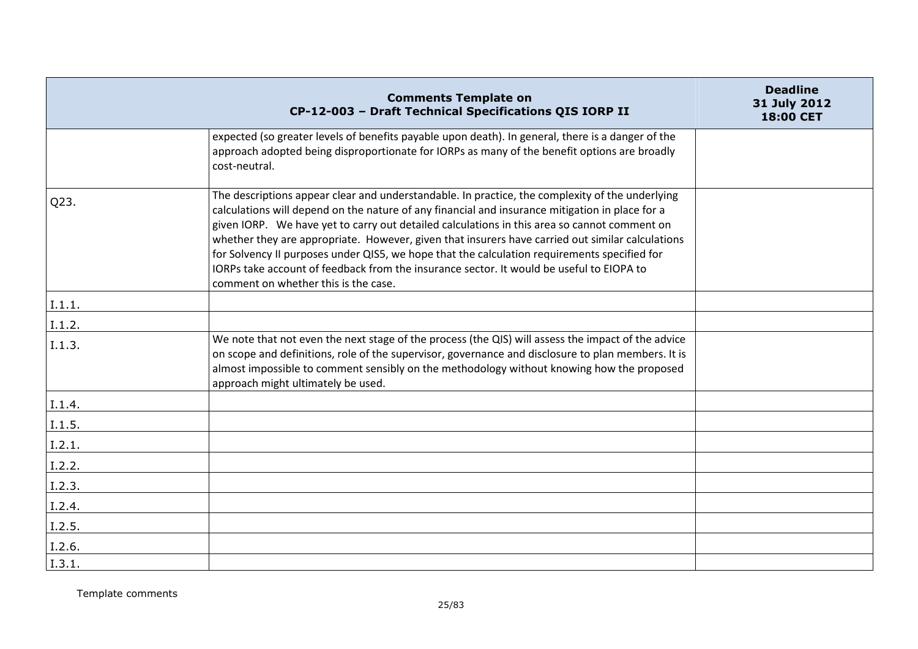|        | <b>Comments Template on</b><br>CP-12-003 - Draft Technical Specifications QIS IORP II                                                                                                                                                                                                                                                                                                                                                                                                                                                                                                                                                      | <b>Deadline</b><br>31 July 2012<br>18:00 CET |
|--------|--------------------------------------------------------------------------------------------------------------------------------------------------------------------------------------------------------------------------------------------------------------------------------------------------------------------------------------------------------------------------------------------------------------------------------------------------------------------------------------------------------------------------------------------------------------------------------------------------------------------------------------------|----------------------------------------------|
|        | expected (so greater levels of benefits payable upon death). In general, there is a danger of the<br>approach adopted being disproportionate for IORPs as many of the benefit options are broadly<br>cost-neutral.                                                                                                                                                                                                                                                                                                                                                                                                                         |                                              |
| Q23.   | The descriptions appear clear and understandable. In practice, the complexity of the underlying<br>calculations will depend on the nature of any financial and insurance mitigation in place for a<br>given IORP. We have yet to carry out detailed calculations in this area so cannot comment on<br>whether they are appropriate. However, given that insurers have carried out similar calculations<br>for Solvency II purposes under QIS5, we hope that the calculation requirements specified for<br>IORPs take account of feedback from the insurance sector. It would be useful to EIOPA to<br>comment on whether this is the case. |                                              |
| I.1.1. |                                                                                                                                                                                                                                                                                                                                                                                                                                                                                                                                                                                                                                            |                                              |
| I.1.2. |                                                                                                                                                                                                                                                                                                                                                                                                                                                                                                                                                                                                                                            |                                              |
| I.1.3. | We note that not even the next stage of the process (the QIS) will assess the impact of the advice<br>on scope and definitions, role of the supervisor, governance and disclosure to plan members. It is<br>almost impossible to comment sensibly on the methodology without knowing how the proposed<br>approach might ultimately be used.                                                                                                                                                                                                                                                                                                |                                              |
| I.1.4. |                                                                                                                                                                                                                                                                                                                                                                                                                                                                                                                                                                                                                                            |                                              |
| I.1.5. |                                                                                                                                                                                                                                                                                                                                                                                                                                                                                                                                                                                                                                            |                                              |
| I.2.1. |                                                                                                                                                                                                                                                                                                                                                                                                                                                                                                                                                                                                                                            |                                              |
| I.2.2. |                                                                                                                                                                                                                                                                                                                                                                                                                                                                                                                                                                                                                                            |                                              |
| I.2.3. |                                                                                                                                                                                                                                                                                                                                                                                                                                                                                                                                                                                                                                            |                                              |
| I.2.4. |                                                                                                                                                                                                                                                                                                                                                                                                                                                                                                                                                                                                                                            |                                              |
| I.2.5. |                                                                                                                                                                                                                                                                                                                                                                                                                                                                                                                                                                                                                                            |                                              |
| I.2.6. |                                                                                                                                                                                                                                                                                                                                                                                                                                                                                                                                                                                                                                            |                                              |
| I.3.1. |                                                                                                                                                                                                                                                                                                                                                                                                                                                                                                                                                                                                                                            |                                              |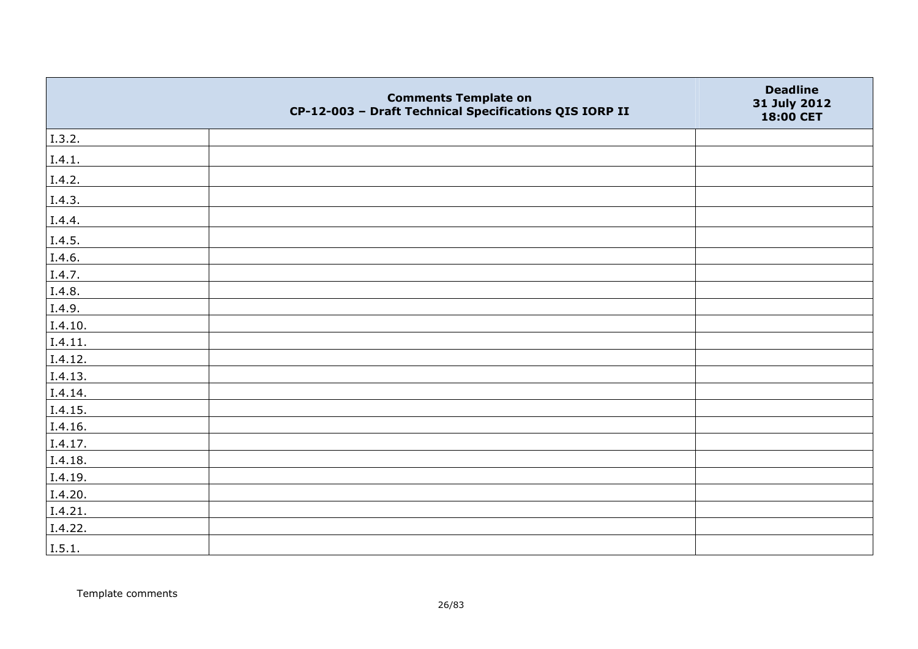|         | <b>Comments Template on</b><br>CP-12-003 - Draft Technical Specifications QIS IORP II | <b>Deadline</b><br>31 July 2012<br>18:00 CET |
|---------|---------------------------------------------------------------------------------------|----------------------------------------------|
| I.3.2.  |                                                                                       |                                              |
| I.4.1.  |                                                                                       |                                              |
| I.4.2.  |                                                                                       |                                              |
| I.4.3.  |                                                                                       |                                              |
| I.4.4.  |                                                                                       |                                              |
| I.4.5.  |                                                                                       |                                              |
| I.4.6.  |                                                                                       |                                              |
| I.4.7.  |                                                                                       |                                              |
| I.4.8.  |                                                                                       |                                              |
| I.4.9.  |                                                                                       |                                              |
| I.4.10. |                                                                                       |                                              |
| I.4.11. |                                                                                       |                                              |
| I.4.12. |                                                                                       |                                              |
| I.4.13. |                                                                                       |                                              |
| I.4.14. |                                                                                       |                                              |
| I.4.15. |                                                                                       |                                              |
| I.4.16. |                                                                                       |                                              |
| I.4.17. |                                                                                       |                                              |
| I.4.18. |                                                                                       |                                              |
| I.4.19. |                                                                                       |                                              |
| I.4.20. |                                                                                       |                                              |
| I.4.21. |                                                                                       |                                              |
| I.4.22. |                                                                                       |                                              |
| I.5.1.  |                                                                                       |                                              |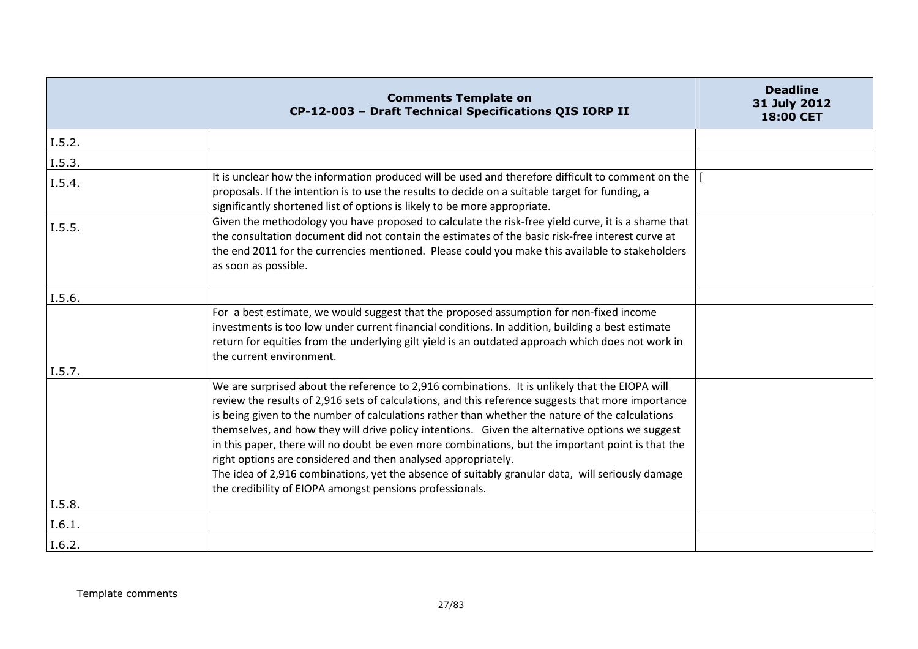|                            | <b>Comments Template on</b><br>CP-12-003 - Draft Technical Specifications QIS IORP II                                                                                                                                                                                                                                                                                                                                                                                                                                                                                                                                                                                                                                                            | <b>Deadline</b><br>31 July 2012<br>18:00 CET |
|----------------------------|--------------------------------------------------------------------------------------------------------------------------------------------------------------------------------------------------------------------------------------------------------------------------------------------------------------------------------------------------------------------------------------------------------------------------------------------------------------------------------------------------------------------------------------------------------------------------------------------------------------------------------------------------------------------------------------------------------------------------------------------------|----------------------------------------------|
| I.5.2.                     |                                                                                                                                                                                                                                                                                                                                                                                                                                                                                                                                                                                                                                                                                                                                                  |                                              |
| I.5.3.                     |                                                                                                                                                                                                                                                                                                                                                                                                                                                                                                                                                                                                                                                                                                                                                  |                                              |
| I.5.4.                     | It is unclear how the information produced will be used and therefore difficult to comment on the<br>proposals. If the intention is to use the results to decide on a suitable target for funding, a<br>significantly shortened list of options is likely to be more appropriate.                                                                                                                                                                                                                                                                                                                                                                                                                                                                |                                              |
| I.5.5.                     | Given the methodology you have proposed to calculate the risk-free yield curve, it is a shame that<br>the consultation document did not contain the estimates of the basic risk-free interest curve at<br>the end 2011 for the currencies mentioned. Please could you make this available to stakeholders<br>as soon as possible.                                                                                                                                                                                                                                                                                                                                                                                                                |                                              |
| I.5.6.                     |                                                                                                                                                                                                                                                                                                                                                                                                                                                                                                                                                                                                                                                                                                                                                  |                                              |
|                            | For a best estimate, we would suggest that the proposed assumption for non-fixed income<br>investments is too low under current financial conditions. In addition, building a best estimate<br>return for equities from the underlying gilt yield is an outdated approach which does not work in<br>the current environment.                                                                                                                                                                                                                                                                                                                                                                                                                     |                                              |
| I.5.7.<br>I.5.8.<br>I.6.1. | We are surprised about the reference to 2,916 combinations. It is unlikely that the EIOPA will<br>review the results of 2,916 sets of calculations, and this reference suggests that more importance<br>is being given to the number of calculations rather than whether the nature of the calculations<br>themselves, and how they will drive policy intentions. Given the alternative options we suggest<br>in this paper, there will no doubt be even more combinations, but the important point is that the<br>right options are considered and then analysed appropriately.<br>The idea of 2,916 combinations, yet the absence of suitably granular data, will seriously damage<br>the credibility of EIOPA amongst pensions professionals. |                                              |
| I.6.2.                     |                                                                                                                                                                                                                                                                                                                                                                                                                                                                                                                                                                                                                                                                                                                                                  |                                              |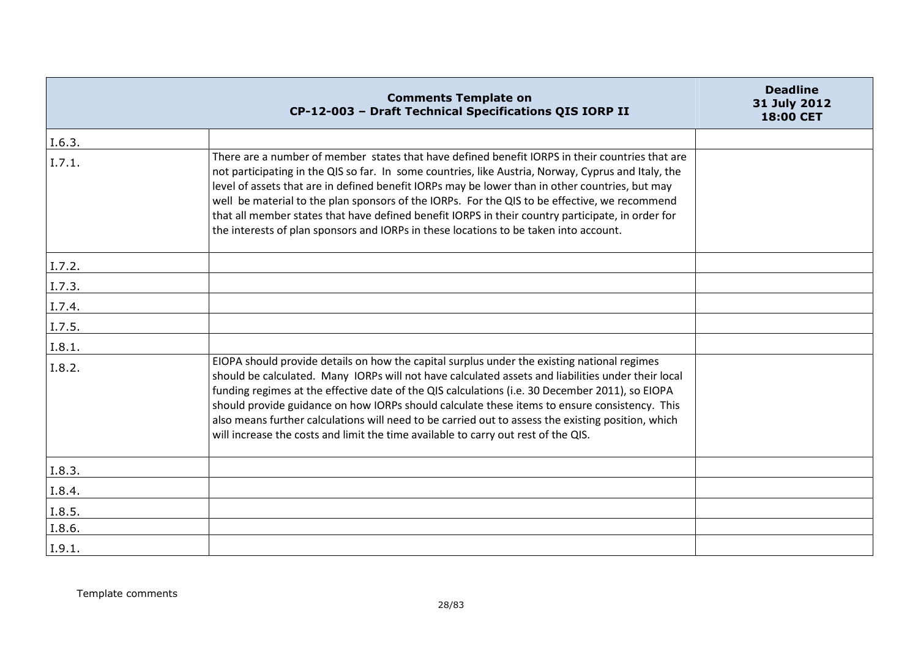|        | <b>Comments Template on</b><br>CP-12-003 - Draft Technical Specifications QIS IORP II                                                                                                                                                                                                                                                                                                                                                                                                                                                                                                                    | <b>Deadline</b><br>31 July 2012<br>18:00 CET |
|--------|----------------------------------------------------------------------------------------------------------------------------------------------------------------------------------------------------------------------------------------------------------------------------------------------------------------------------------------------------------------------------------------------------------------------------------------------------------------------------------------------------------------------------------------------------------------------------------------------------------|----------------------------------------------|
| I.6.3. |                                                                                                                                                                                                                                                                                                                                                                                                                                                                                                                                                                                                          |                                              |
| I.7.1. | There are a number of member states that have defined benefit IORPS in their countries that are<br>not participating in the QIS so far. In some countries, like Austria, Norway, Cyprus and Italy, the<br>level of assets that are in defined benefit IORPs may be lower than in other countries, but may<br>well be material to the plan sponsors of the IORPs. For the QIS to be effective, we recommend<br>that all member states that have defined benefit IORPS in their country participate, in order for<br>the interests of plan sponsors and IORPs in these locations to be taken into account. |                                              |
| I.7.2. |                                                                                                                                                                                                                                                                                                                                                                                                                                                                                                                                                                                                          |                                              |
| I.7.3. |                                                                                                                                                                                                                                                                                                                                                                                                                                                                                                                                                                                                          |                                              |
| I.7.4. |                                                                                                                                                                                                                                                                                                                                                                                                                                                                                                                                                                                                          |                                              |
| I.7.5. |                                                                                                                                                                                                                                                                                                                                                                                                                                                                                                                                                                                                          |                                              |
| I.8.1. |                                                                                                                                                                                                                                                                                                                                                                                                                                                                                                                                                                                                          |                                              |
| I.8.2. | EIOPA should provide details on how the capital surplus under the existing national regimes<br>should be calculated. Many IORPs will not have calculated assets and liabilities under their local<br>funding regimes at the effective date of the QIS calculations (i.e. 30 December 2011), so EIOPA<br>should provide guidance on how IORPs should calculate these items to ensure consistency. This<br>also means further calculations will need to be carried out to assess the existing position, which<br>will increase the costs and limit the time available to carry out rest of the QIS.        |                                              |
| I.8.3. |                                                                                                                                                                                                                                                                                                                                                                                                                                                                                                                                                                                                          |                                              |
| I.8.4. |                                                                                                                                                                                                                                                                                                                                                                                                                                                                                                                                                                                                          |                                              |
| I.8.5. |                                                                                                                                                                                                                                                                                                                                                                                                                                                                                                                                                                                                          |                                              |
| I.8.6. |                                                                                                                                                                                                                                                                                                                                                                                                                                                                                                                                                                                                          |                                              |
| I.9.1. |                                                                                                                                                                                                                                                                                                                                                                                                                                                                                                                                                                                                          |                                              |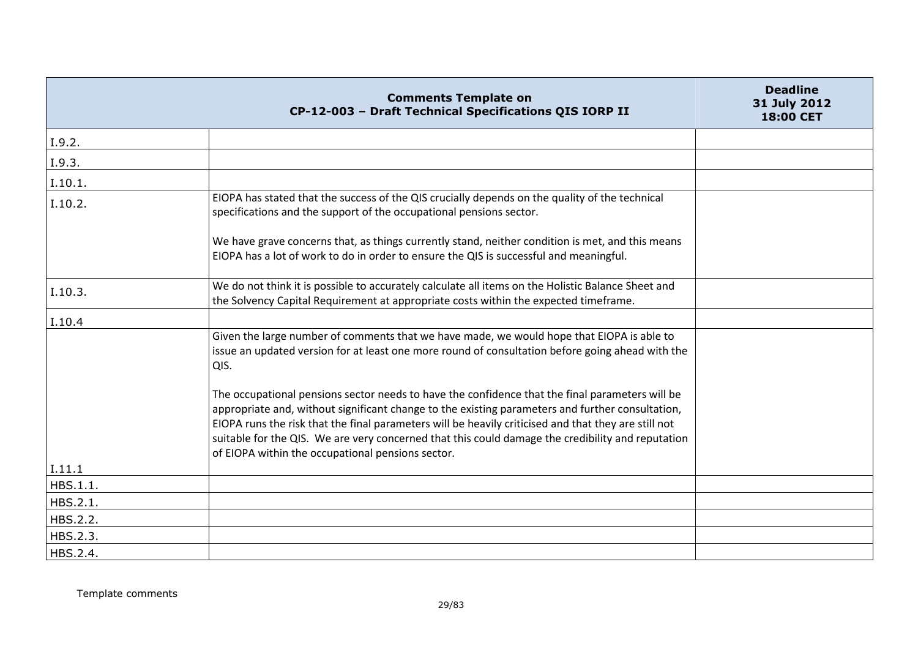|          | <b>Comments Template on</b><br>CP-12-003 - Draft Technical Specifications QIS IORP II                                                                                                                                                                                                                                                                                                                                                                                 | <b>Deadline</b><br>31 July 2012<br>18:00 CET |
|----------|-----------------------------------------------------------------------------------------------------------------------------------------------------------------------------------------------------------------------------------------------------------------------------------------------------------------------------------------------------------------------------------------------------------------------------------------------------------------------|----------------------------------------------|
| I.9.2.   |                                                                                                                                                                                                                                                                                                                                                                                                                                                                       |                                              |
| I.9.3.   |                                                                                                                                                                                                                                                                                                                                                                                                                                                                       |                                              |
| I.10.1.  |                                                                                                                                                                                                                                                                                                                                                                                                                                                                       |                                              |
| I.10.2.  | EIOPA has stated that the success of the QIS crucially depends on the quality of the technical<br>specifications and the support of the occupational pensions sector.                                                                                                                                                                                                                                                                                                 |                                              |
|          | We have grave concerns that, as things currently stand, neither condition is met, and this means<br>EIOPA has a lot of work to do in order to ensure the QIS is successful and meaningful.                                                                                                                                                                                                                                                                            |                                              |
| I.10.3.  | We do not think it is possible to accurately calculate all items on the Holistic Balance Sheet and<br>the Solvency Capital Requirement at appropriate costs within the expected timeframe.                                                                                                                                                                                                                                                                            |                                              |
| I.10.4   |                                                                                                                                                                                                                                                                                                                                                                                                                                                                       |                                              |
|          | Given the large number of comments that we have made, we would hope that EIOPA is able to<br>issue an updated version for at least one more round of consultation before going ahead with the<br>QIS.                                                                                                                                                                                                                                                                 |                                              |
|          | The occupational pensions sector needs to have the confidence that the final parameters will be<br>appropriate and, without significant change to the existing parameters and further consultation,<br>EIOPA runs the risk that the final parameters will be heavily criticised and that they are still not<br>suitable for the QIS. We are very concerned that this could damage the credibility and reputation<br>of EIOPA within the occupational pensions sector. |                                              |
| I.11.1   |                                                                                                                                                                                                                                                                                                                                                                                                                                                                       |                                              |
| HBS.1.1. |                                                                                                                                                                                                                                                                                                                                                                                                                                                                       |                                              |
| HBS.2.1. |                                                                                                                                                                                                                                                                                                                                                                                                                                                                       |                                              |
| HBS.2.2. |                                                                                                                                                                                                                                                                                                                                                                                                                                                                       |                                              |
| HBS.2.3. |                                                                                                                                                                                                                                                                                                                                                                                                                                                                       |                                              |
| HBS.2.4. |                                                                                                                                                                                                                                                                                                                                                                                                                                                                       |                                              |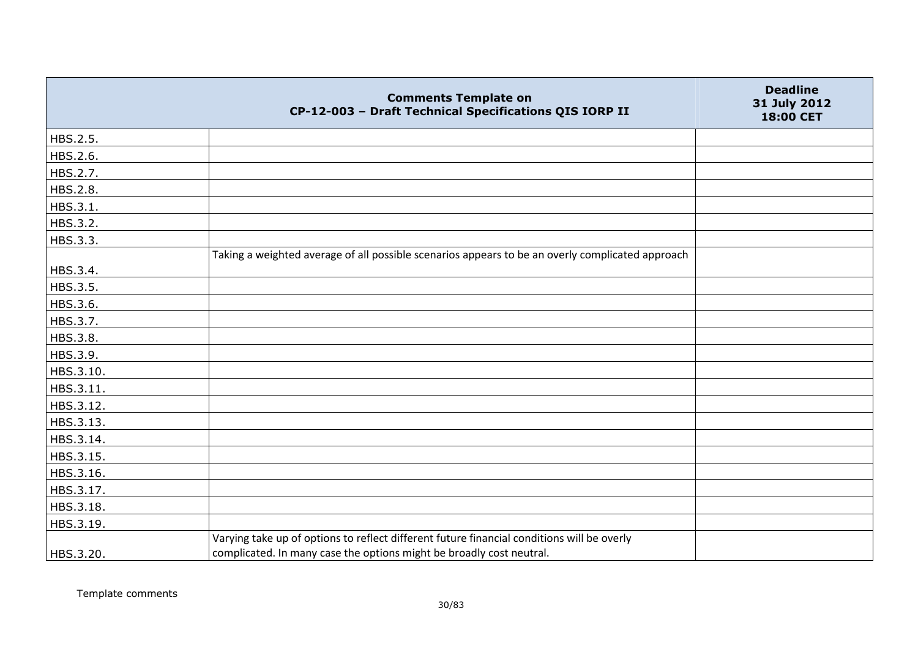|           | <b>Comments Template on</b><br>CP-12-003 - Draft Technical Specifications QIS IORP II            | <b>Deadline</b><br>31 July 2012<br>18:00 CET |
|-----------|--------------------------------------------------------------------------------------------------|----------------------------------------------|
| HBS.2.5.  |                                                                                                  |                                              |
| HBS.2.6.  |                                                                                                  |                                              |
| HBS.2.7.  |                                                                                                  |                                              |
| HBS.2.8.  |                                                                                                  |                                              |
| HBS.3.1.  |                                                                                                  |                                              |
| HBS.3.2.  |                                                                                                  |                                              |
| HBS.3.3.  |                                                                                                  |                                              |
|           | Taking a weighted average of all possible scenarios appears to be an overly complicated approach |                                              |
| HBS.3.4.  |                                                                                                  |                                              |
| HBS.3.5.  |                                                                                                  |                                              |
| HBS.3.6.  |                                                                                                  |                                              |
| HBS.3.7.  |                                                                                                  |                                              |
| HBS.3.8.  |                                                                                                  |                                              |
| HBS.3.9.  |                                                                                                  |                                              |
| HBS.3.10. |                                                                                                  |                                              |
| HBS.3.11. |                                                                                                  |                                              |
| HBS.3.12. |                                                                                                  |                                              |
| HBS.3.13. |                                                                                                  |                                              |
| HBS.3.14. |                                                                                                  |                                              |
| HBS.3.15. |                                                                                                  |                                              |
| HBS.3.16. |                                                                                                  |                                              |
| HBS.3.17. |                                                                                                  |                                              |
| HBS.3.18. |                                                                                                  |                                              |
| HBS.3.19. |                                                                                                  |                                              |
|           | Varying take up of options to reflect different future financial conditions will be overly       |                                              |
| HBS.3.20. | complicated. In many case the options might be broadly cost neutral.                             |                                              |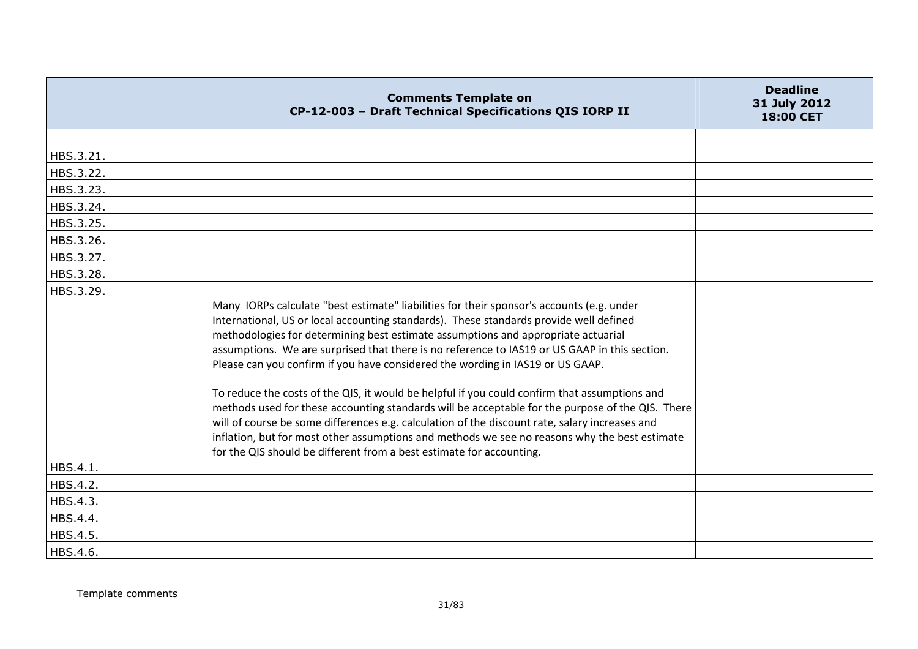|           | <b>Comments Template on</b><br>CP-12-003 - Draft Technical Specifications QIS IORP II                                                                                                                                                                                                                                                                                                                                                                                                                                                                                                                                                                                                                                                                                                                                                                                                                                                       | <b>Deadline</b><br>31 July 2012<br>18:00 CET |
|-----------|---------------------------------------------------------------------------------------------------------------------------------------------------------------------------------------------------------------------------------------------------------------------------------------------------------------------------------------------------------------------------------------------------------------------------------------------------------------------------------------------------------------------------------------------------------------------------------------------------------------------------------------------------------------------------------------------------------------------------------------------------------------------------------------------------------------------------------------------------------------------------------------------------------------------------------------------|----------------------------------------------|
|           |                                                                                                                                                                                                                                                                                                                                                                                                                                                                                                                                                                                                                                                                                                                                                                                                                                                                                                                                             |                                              |
| HBS.3.21. |                                                                                                                                                                                                                                                                                                                                                                                                                                                                                                                                                                                                                                                                                                                                                                                                                                                                                                                                             |                                              |
| HBS.3.22. |                                                                                                                                                                                                                                                                                                                                                                                                                                                                                                                                                                                                                                                                                                                                                                                                                                                                                                                                             |                                              |
| HBS.3.23. |                                                                                                                                                                                                                                                                                                                                                                                                                                                                                                                                                                                                                                                                                                                                                                                                                                                                                                                                             |                                              |
| HBS.3.24. |                                                                                                                                                                                                                                                                                                                                                                                                                                                                                                                                                                                                                                                                                                                                                                                                                                                                                                                                             |                                              |
| HBS.3.25. |                                                                                                                                                                                                                                                                                                                                                                                                                                                                                                                                                                                                                                                                                                                                                                                                                                                                                                                                             |                                              |
| HBS.3.26. |                                                                                                                                                                                                                                                                                                                                                                                                                                                                                                                                                                                                                                                                                                                                                                                                                                                                                                                                             |                                              |
| HBS.3.27. |                                                                                                                                                                                                                                                                                                                                                                                                                                                                                                                                                                                                                                                                                                                                                                                                                                                                                                                                             |                                              |
| HBS.3.28. |                                                                                                                                                                                                                                                                                                                                                                                                                                                                                                                                                                                                                                                                                                                                                                                                                                                                                                                                             |                                              |
| HBS.3.29. |                                                                                                                                                                                                                                                                                                                                                                                                                                                                                                                                                                                                                                                                                                                                                                                                                                                                                                                                             |                                              |
| HBS.4.1.  | Many IORPs calculate "best estimate" liabilities for their sponsor's accounts (e.g. under<br>International, US or local accounting standards). These standards provide well defined<br>methodologies for determining best estimate assumptions and appropriate actuarial<br>assumptions. We are surprised that there is no reference to IAS19 or US GAAP in this section.<br>Please can you confirm if you have considered the wording in IAS19 or US GAAP.<br>To reduce the costs of the QIS, it would be helpful if you could confirm that assumptions and<br>methods used for these accounting standards will be acceptable for the purpose of the QIS. There<br>will of course be some differences e.g. calculation of the discount rate, salary increases and<br>inflation, but for most other assumptions and methods we see no reasons why the best estimate<br>for the QIS should be different from a best estimate for accounting. |                                              |
| HBS.4.2.  |                                                                                                                                                                                                                                                                                                                                                                                                                                                                                                                                                                                                                                                                                                                                                                                                                                                                                                                                             |                                              |
| HBS.4.3.  |                                                                                                                                                                                                                                                                                                                                                                                                                                                                                                                                                                                                                                                                                                                                                                                                                                                                                                                                             |                                              |
| HBS.4.4.  |                                                                                                                                                                                                                                                                                                                                                                                                                                                                                                                                                                                                                                                                                                                                                                                                                                                                                                                                             |                                              |
| HBS.4.5.  |                                                                                                                                                                                                                                                                                                                                                                                                                                                                                                                                                                                                                                                                                                                                                                                                                                                                                                                                             |                                              |
| HBS.4.6.  |                                                                                                                                                                                                                                                                                                                                                                                                                                                                                                                                                                                                                                                                                                                                                                                                                                                                                                                                             |                                              |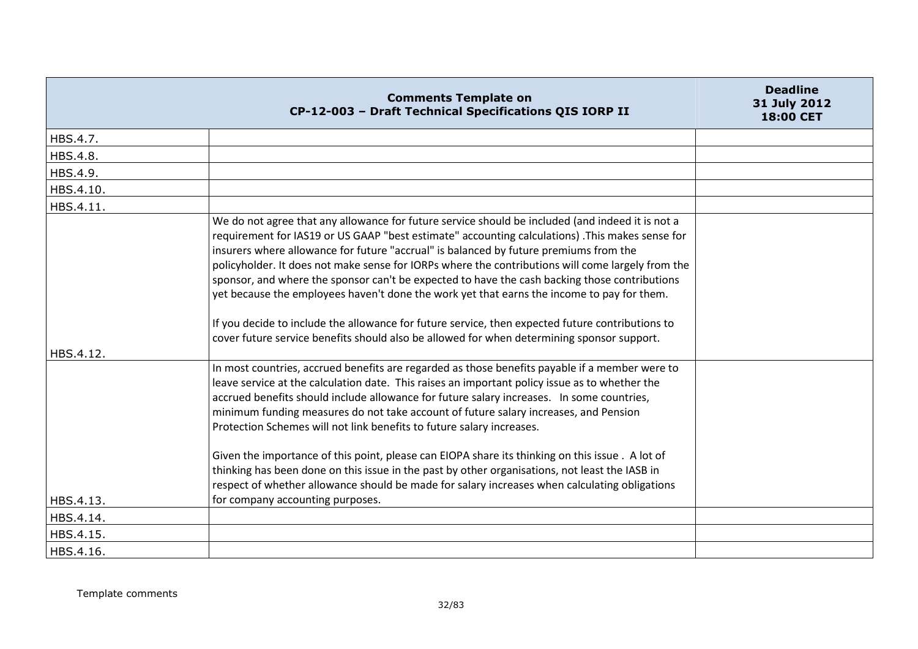|           | <b>Comments Template on</b><br>CP-12-003 - Draft Technical Specifications QIS IORP II                                                                                                                                                                                                                                                                                                                                                                                                                                                                                                                                                                                                                                                                                                              | <b>Deadline</b><br>31 July 2012<br>18:00 CET |
|-----------|----------------------------------------------------------------------------------------------------------------------------------------------------------------------------------------------------------------------------------------------------------------------------------------------------------------------------------------------------------------------------------------------------------------------------------------------------------------------------------------------------------------------------------------------------------------------------------------------------------------------------------------------------------------------------------------------------------------------------------------------------------------------------------------------------|----------------------------------------------|
| HBS.4.7.  |                                                                                                                                                                                                                                                                                                                                                                                                                                                                                                                                                                                                                                                                                                                                                                                                    |                                              |
| HBS.4.8.  |                                                                                                                                                                                                                                                                                                                                                                                                                                                                                                                                                                                                                                                                                                                                                                                                    |                                              |
| HBS.4.9.  |                                                                                                                                                                                                                                                                                                                                                                                                                                                                                                                                                                                                                                                                                                                                                                                                    |                                              |
| HBS.4.10. |                                                                                                                                                                                                                                                                                                                                                                                                                                                                                                                                                                                                                                                                                                                                                                                                    |                                              |
| HBS.4.11. |                                                                                                                                                                                                                                                                                                                                                                                                                                                                                                                                                                                                                                                                                                                                                                                                    |                                              |
|           | We do not agree that any allowance for future service should be included (and indeed it is not a<br>requirement for IAS19 or US GAAP "best estimate" accounting calculations) .This makes sense for<br>insurers where allowance for future "accrual" is balanced by future premiums from the<br>policyholder. It does not make sense for IORPs where the contributions will come largely from the<br>sponsor, and where the sponsor can't be expected to have the cash backing those contributions<br>yet because the employees haven't done the work yet that earns the income to pay for them.<br>If you decide to include the allowance for future service, then expected future contributions to<br>cover future service benefits should also be allowed for when determining sponsor support. |                                              |
| HBS.4.12. |                                                                                                                                                                                                                                                                                                                                                                                                                                                                                                                                                                                                                                                                                                                                                                                                    |                                              |
|           | In most countries, accrued benefits are regarded as those benefits payable if a member were to<br>leave service at the calculation date. This raises an important policy issue as to whether the<br>accrued benefits should include allowance for future salary increases. In some countries,<br>minimum funding measures do not take account of future salary increases, and Pension<br>Protection Schemes will not link benefits to future salary increases.                                                                                                                                                                                                                                                                                                                                     |                                              |
| HBS.4.13. | Given the importance of this point, please can EIOPA share its thinking on this issue . A lot of<br>thinking has been done on this issue in the past by other organisations, not least the IASB in<br>respect of whether allowance should be made for salary increases when calculating obligations<br>for company accounting purposes.                                                                                                                                                                                                                                                                                                                                                                                                                                                            |                                              |
|           |                                                                                                                                                                                                                                                                                                                                                                                                                                                                                                                                                                                                                                                                                                                                                                                                    |                                              |
| HBS.4.14. |                                                                                                                                                                                                                                                                                                                                                                                                                                                                                                                                                                                                                                                                                                                                                                                                    |                                              |
| HBS.4.15. |                                                                                                                                                                                                                                                                                                                                                                                                                                                                                                                                                                                                                                                                                                                                                                                                    |                                              |
| HBS.4.16. |                                                                                                                                                                                                                                                                                                                                                                                                                                                                                                                                                                                                                                                                                                                                                                                                    |                                              |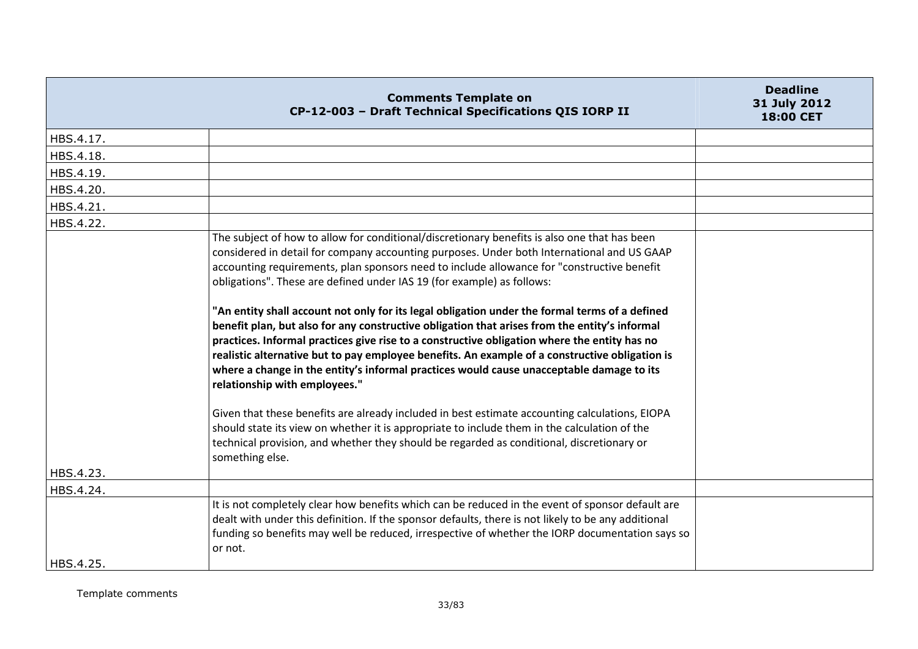|           | <b>Comments Template on</b><br>CP-12-003 - Draft Technical Specifications QIS IORP II                                                                                                                                                                                                                                                                                                                                                                                                                                                                                                                                                                                                                                                                                                                                                                                                                                                                                                                                                                                                                                                                                                                                  | <b>Deadline</b><br>31 July 2012<br><b>18:00 CET</b> |
|-----------|------------------------------------------------------------------------------------------------------------------------------------------------------------------------------------------------------------------------------------------------------------------------------------------------------------------------------------------------------------------------------------------------------------------------------------------------------------------------------------------------------------------------------------------------------------------------------------------------------------------------------------------------------------------------------------------------------------------------------------------------------------------------------------------------------------------------------------------------------------------------------------------------------------------------------------------------------------------------------------------------------------------------------------------------------------------------------------------------------------------------------------------------------------------------------------------------------------------------|-----------------------------------------------------|
| HBS.4.17. |                                                                                                                                                                                                                                                                                                                                                                                                                                                                                                                                                                                                                                                                                                                                                                                                                                                                                                                                                                                                                                                                                                                                                                                                                        |                                                     |
| HBS.4.18. |                                                                                                                                                                                                                                                                                                                                                                                                                                                                                                                                                                                                                                                                                                                                                                                                                                                                                                                                                                                                                                                                                                                                                                                                                        |                                                     |
| HBS.4.19. |                                                                                                                                                                                                                                                                                                                                                                                                                                                                                                                                                                                                                                                                                                                                                                                                                                                                                                                                                                                                                                                                                                                                                                                                                        |                                                     |
| HBS.4.20. |                                                                                                                                                                                                                                                                                                                                                                                                                                                                                                                                                                                                                                                                                                                                                                                                                                                                                                                                                                                                                                                                                                                                                                                                                        |                                                     |
| HBS.4.21. |                                                                                                                                                                                                                                                                                                                                                                                                                                                                                                                                                                                                                                                                                                                                                                                                                                                                                                                                                                                                                                                                                                                                                                                                                        |                                                     |
| HBS.4.22. |                                                                                                                                                                                                                                                                                                                                                                                                                                                                                                                                                                                                                                                                                                                                                                                                                                                                                                                                                                                                                                                                                                                                                                                                                        |                                                     |
|           | The subject of how to allow for conditional/discretionary benefits is also one that has been<br>considered in detail for company accounting purposes. Under both International and US GAAP<br>accounting requirements, plan sponsors need to include allowance for "constructive benefit<br>obligations". These are defined under IAS 19 (for example) as follows:<br>"An entity shall account not only for its legal obligation under the formal terms of a defined<br>benefit plan, but also for any constructive obligation that arises from the entity's informal<br>practices. Informal practices give rise to a constructive obligation where the entity has no<br>realistic alternative but to pay employee benefits. An example of a constructive obligation is<br>where a change in the entity's informal practices would cause unacceptable damage to its<br>relationship with employees."<br>Given that these benefits are already included in best estimate accounting calculations, EIOPA<br>should state its view on whether it is appropriate to include them in the calculation of the<br>technical provision, and whether they should be regarded as conditional, discretionary or<br>something else. |                                                     |
| HBS.4.23. |                                                                                                                                                                                                                                                                                                                                                                                                                                                                                                                                                                                                                                                                                                                                                                                                                                                                                                                                                                                                                                                                                                                                                                                                                        |                                                     |
| HBS.4.24. |                                                                                                                                                                                                                                                                                                                                                                                                                                                                                                                                                                                                                                                                                                                                                                                                                                                                                                                                                                                                                                                                                                                                                                                                                        |                                                     |
| HBS.4.25. | It is not completely clear how benefits which can be reduced in the event of sponsor default are<br>dealt with under this definition. If the sponsor defaults, there is not likely to be any additional<br>funding so benefits may well be reduced, irrespective of whether the IORP documentation says so<br>or not.                                                                                                                                                                                                                                                                                                                                                                                                                                                                                                                                                                                                                                                                                                                                                                                                                                                                                                  |                                                     |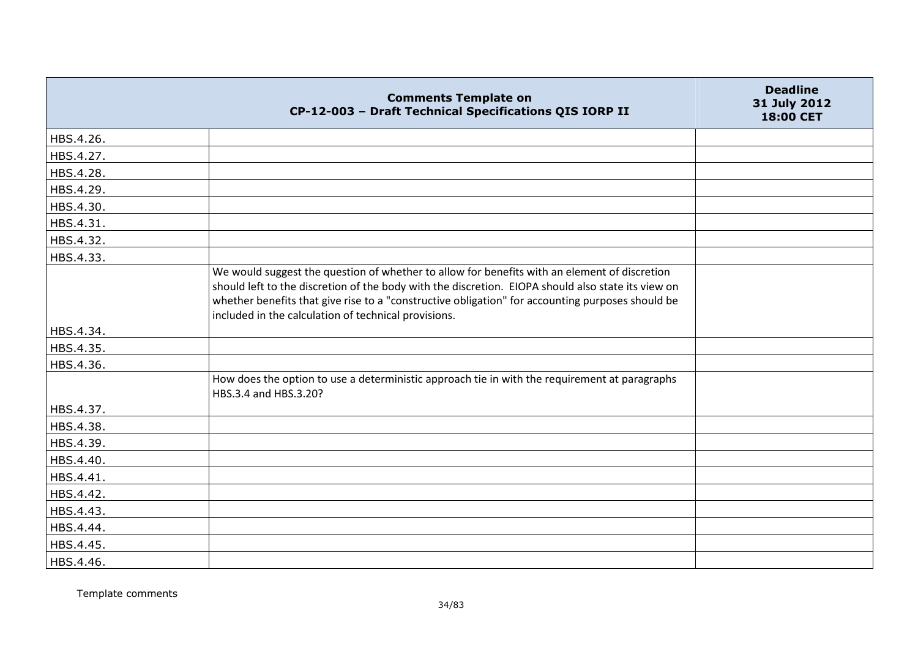|           | <b>Comments Template on</b><br>CP-12-003 - Draft Technical Specifications QIS IORP II                                                                                                                                                                                                                                                                          | <b>Deadline</b><br>31 July 2012<br>18:00 CET |
|-----------|----------------------------------------------------------------------------------------------------------------------------------------------------------------------------------------------------------------------------------------------------------------------------------------------------------------------------------------------------------------|----------------------------------------------|
| HBS.4.26. |                                                                                                                                                                                                                                                                                                                                                                |                                              |
| HBS.4.27. |                                                                                                                                                                                                                                                                                                                                                                |                                              |
| HBS.4.28. |                                                                                                                                                                                                                                                                                                                                                                |                                              |
| HBS.4.29. |                                                                                                                                                                                                                                                                                                                                                                |                                              |
| HBS.4.30. |                                                                                                                                                                                                                                                                                                                                                                |                                              |
| HBS.4.31. |                                                                                                                                                                                                                                                                                                                                                                |                                              |
| HBS.4.32. |                                                                                                                                                                                                                                                                                                                                                                |                                              |
| HBS.4.33. |                                                                                                                                                                                                                                                                                                                                                                |                                              |
|           | We would suggest the question of whether to allow for benefits with an element of discretion<br>should left to the discretion of the body with the discretion. EIOPA should also state its view on<br>whether benefits that give rise to a "constructive obligation" for accounting purposes should be<br>included in the calculation of technical provisions. |                                              |
| HBS.4.34. |                                                                                                                                                                                                                                                                                                                                                                |                                              |
| HBS.4.35. |                                                                                                                                                                                                                                                                                                                                                                |                                              |
| HBS.4.36. |                                                                                                                                                                                                                                                                                                                                                                |                                              |
|           | How does the option to use a deterministic approach tie in with the requirement at paragraphs<br>HBS.3.4 and HBS.3.20?                                                                                                                                                                                                                                         |                                              |
| HBS.4.37. |                                                                                                                                                                                                                                                                                                                                                                |                                              |
| HBS.4.38. |                                                                                                                                                                                                                                                                                                                                                                |                                              |
| HBS.4.39. |                                                                                                                                                                                                                                                                                                                                                                |                                              |
| HBS.4.40. |                                                                                                                                                                                                                                                                                                                                                                |                                              |
| HBS.4.41. |                                                                                                                                                                                                                                                                                                                                                                |                                              |
| HBS.4.42. |                                                                                                                                                                                                                                                                                                                                                                |                                              |
| HBS.4.43. |                                                                                                                                                                                                                                                                                                                                                                |                                              |
| HBS.4.44. |                                                                                                                                                                                                                                                                                                                                                                |                                              |
| HBS.4.45. |                                                                                                                                                                                                                                                                                                                                                                |                                              |
| HBS.4.46. |                                                                                                                                                                                                                                                                                                                                                                |                                              |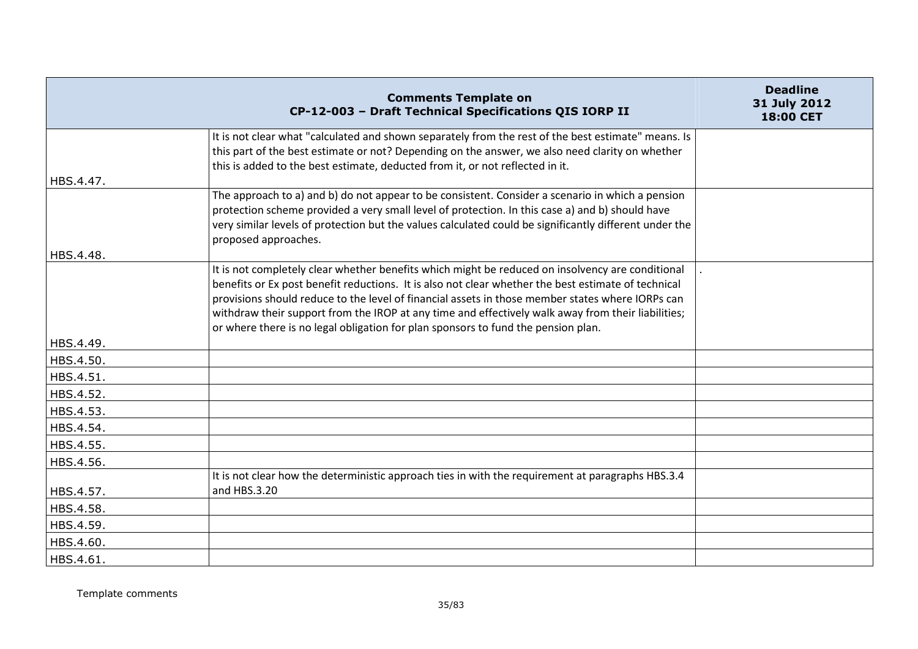|                        | <b>Comments Template on</b><br>CP-12-003 - Draft Technical Specifications QIS IORP II                                                                                                                                                                                                                                                                                                                                                                                                                  | <b>Deadline</b><br>31 July 2012<br>18:00 CET |
|------------------------|--------------------------------------------------------------------------------------------------------------------------------------------------------------------------------------------------------------------------------------------------------------------------------------------------------------------------------------------------------------------------------------------------------------------------------------------------------------------------------------------------------|----------------------------------------------|
| HBS.4.47.              | It is not clear what "calculated and shown separately from the rest of the best estimate" means. Is<br>this part of the best estimate or not? Depending on the answer, we also need clarity on whether<br>this is added to the best estimate, deducted from it, or not reflected in it.                                                                                                                                                                                                                |                                              |
|                        | The approach to a) and b) do not appear to be consistent. Consider a scenario in which a pension<br>protection scheme provided a very small level of protection. In this case a) and b) should have<br>very similar levels of protection but the values calculated could be significantly different under the<br>proposed approaches.                                                                                                                                                                  |                                              |
| HBS.4.48.              | It is not completely clear whether benefits which might be reduced on insolvency are conditional<br>benefits or Ex post benefit reductions. It is also not clear whether the best estimate of technical<br>provisions should reduce to the level of financial assets in those member states where IORPs can<br>withdraw their support from the IROP at any time and effectively walk away from their liabilities;<br>or where there is no legal obligation for plan sponsors to fund the pension plan. |                                              |
| HBS.4.49.              |                                                                                                                                                                                                                                                                                                                                                                                                                                                                                                        |                                              |
| HBS.4.50.              |                                                                                                                                                                                                                                                                                                                                                                                                                                                                                                        |                                              |
| HBS.4.51.              |                                                                                                                                                                                                                                                                                                                                                                                                                                                                                                        |                                              |
| HBS.4.52.              |                                                                                                                                                                                                                                                                                                                                                                                                                                                                                                        |                                              |
| HBS.4.53.              |                                                                                                                                                                                                                                                                                                                                                                                                                                                                                                        |                                              |
| HBS.4.54.<br>HBS.4.55. |                                                                                                                                                                                                                                                                                                                                                                                                                                                                                                        |                                              |
| HBS.4.56.              |                                                                                                                                                                                                                                                                                                                                                                                                                                                                                                        |                                              |
|                        | It is not clear how the deterministic approach ties in with the requirement at paragraphs HBS.3.4                                                                                                                                                                                                                                                                                                                                                                                                      |                                              |
| HBS.4.57.              | and HBS.3.20                                                                                                                                                                                                                                                                                                                                                                                                                                                                                           |                                              |
| HBS.4.58.              |                                                                                                                                                                                                                                                                                                                                                                                                                                                                                                        |                                              |
| HBS.4.59.              |                                                                                                                                                                                                                                                                                                                                                                                                                                                                                                        |                                              |
| HBS.4.60.              |                                                                                                                                                                                                                                                                                                                                                                                                                                                                                                        |                                              |
| HBS.4.61.              |                                                                                                                                                                                                                                                                                                                                                                                                                                                                                                        |                                              |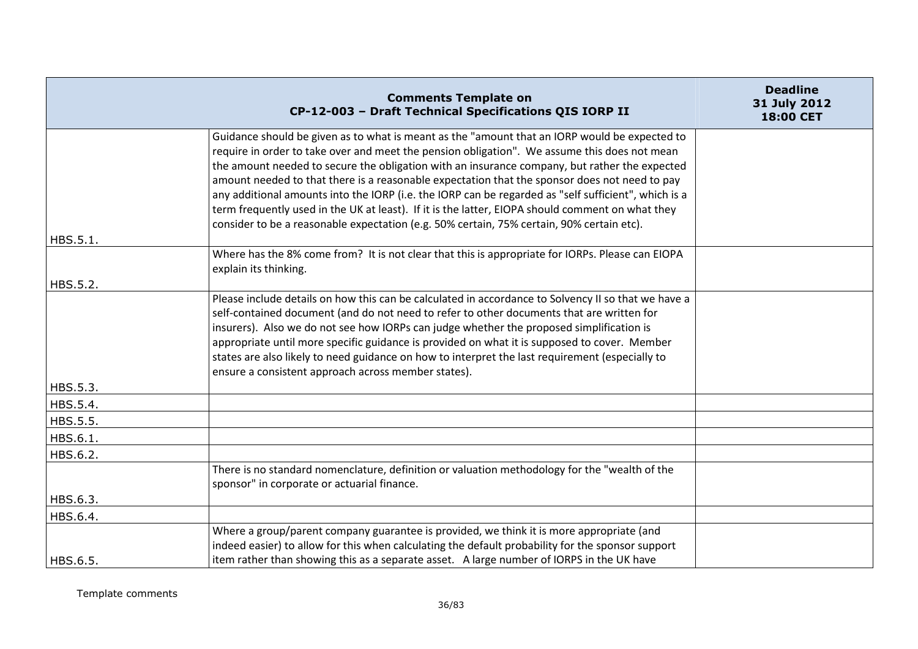|                      | <b>Comments Template on</b><br>CP-12-003 - Draft Technical Specifications QIS IORP II                                                                                                                                                                                                                                                                                                                                                                                                                                                                                                                                                                                                                    | <b>Deadline</b><br>31 July 2012<br>18:00 CET |
|----------------------|----------------------------------------------------------------------------------------------------------------------------------------------------------------------------------------------------------------------------------------------------------------------------------------------------------------------------------------------------------------------------------------------------------------------------------------------------------------------------------------------------------------------------------------------------------------------------------------------------------------------------------------------------------------------------------------------------------|----------------------------------------------|
|                      | Guidance should be given as to what is meant as the "amount that an IORP would be expected to<br>require in order to take over and meet the pension obligation". We assume this does not mean<br>the amount needed to secure the obligation with an insurance company, but rather the expected<br>amount needed to that there is a reasonable expectation that the sponsor does not need to pay<br>any additional amounts into the IORP (i.e. the IORP can be regarded as "self sufficient", which is a<br>term frequently used in the UK at least). If it is the latter, EIOPA should comment on what they<br>consider to be a reasonable expectation (e.g. 50% certain, 75% certain, 90% certain etc). |                                              |
| HBS.5.1.             | Where has the 8% come from? It is not clear that this is appropriate for IORPs. Please can EIOPA<br>explain its thinking.                                                                                                                                                                                                                                                                                                                                                                                                                                                                                                                                                                                |                                              |
| HBS.5.2.<br>HBS.5.3. | Please include details on how this can be calculated in accordance to Solvency II so that we have a<br>self-contained document (and do not need to refer to other documents that are written for<br>insurers). Also we do not see how IORPs can judge whether the proposed simplification is<br>appropriate until more specific guidance is provided on what it is supposed to cover. Member<br>states are also likely to need guidance on how to interpret the last requirement (especially to<br>ensure a consistent approach across member states).                                                                                                                                                   |                                              |
| HBS.5.4.             |                                                                                                                                                                                                                                                                                                                                                                                                                                                                                                                                                                                                                                                                                                          |                                              |
| HBS.5.5.             |                                                                                                                                                                                                                                                                                                                                                                                                                                                                                                                                                                                                                                                                                                          |                                              |
| HBS.6.1.             |                                                                                                                                                                                                                                                                                                                                                                                                                                                                                                                                                                                                                                                                                                          |                                              |
| HBS.6.2.             |                                                                                                                                                                                                                                                                                                                                                                                                                                                                                                                                                                                                                                                                                                          |                                              |
|                      | There is no standard nomenclature, definition or valuation methodology for the "wealth of the<br>sponsor" in corporate or actuarial finance.                                                                                                                                                                                                                                                                                                                                                                                                                                                                                                                                                             |                                              |
| HBS.6.3.             |                                                                                                                                                                                                                                                                                                                                                                                                                                                                                                                                                                                                                                                                                                          |                                              |
| HBS.6.4.             |                                                                                                                                                                                                                                                                                                                                                                                                                                                                                                                                                                                                                                                                                                          |                                              |
| HBS.6.5.             | Where a group/parent company guarantee is provided, we think it is more appropriate (and<br>indeed easier) to allow for this when calculating the default probability for the sponsor support<br>item rather than showing this as a separate asset. A large number of IORPS in the UK have                                                                                                                                                                                                                                                                                                                                                                                                               |                                              |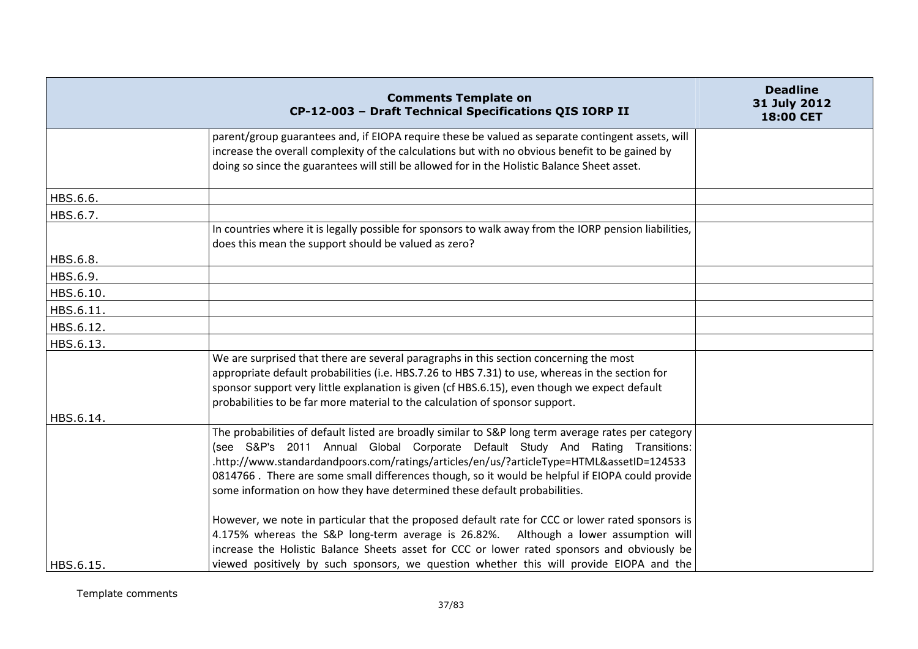|           | <b>Comments Template on</b><br>CP-12-003 - Draft Technical Specifications QIS IORP II                                                                                                                                                                                                                                                                                                                                                                                                                                                                                                                                                                                                                                                                       | <b>Deadline</b><br>31 July 2012<br>18:00 CET |
|-----------|-------------------------------------------------------------------------------------------------------------------------------------------------------------------------------------------------------------------------------------------------------------------------------------------------------------------------------------------------------------------------------------------------------------------------------------------------------------------------------------------------------------------------------------------------------------------------------------------------------------------------------------------------------------------------------------------------------------------------------------------------------------|----------------------------------------------|
|           | parent/group guarantees and, if EIOPA require these be valued as separate contingent assets, will<br>increase the overall complexity of the calculations but with no obvious benefit to be gained by<br>doing so since the guarantees will still be allowed for in the Holistic Balance Sheet asset.                                                                                                                                                                                                                                                                                                                                                                                                                                                        |                                              |
| HBS.6.6.  |                                                                                                                                                                                                                                                                                                                                                                                                                                                                                                                                                                                                                                                                                                                                                             |                                              |
| HBS.6.7.  |                                                                                                                                                                                                                                                                                                                                                                                                                                                                                                                                                                                                                                                                                                                                                             |                                              |
|           | In countries where it is legally possible for sponsors to walk away from the IORP pension liabilities,<br>does this mean the support should be valued as zero?                                                                                                                                                                                                                                                                                                                                                                                                                                                                                                                                                                                              |                                              |
| HBS.6.8.  |                                                                                                                                                                                                                                                                                                                                                                                                                                                                                                                                                                                                                                                                                                                                                             |                                              |
| HBS.6.9.  |                                                                                                                                                                                                                                                                                                                                                                                                                                                                                                                                                                                                                                                                                                                                                             |                                              |
| HBS.6.10. |                                                                                                                                                                                                                                                                                                                                                                                                                                                                                                                                                                                                                                                                                                                                                             |                                              |
| HBS.6.11. |                                                                                                                                                                                                                                                                                                                                                                                                                                                                                                                                                                                                                                                                                                                                                             |                                              |
| HBS.6.12. |                                                                                                                                                                                                                                                                                                                                                                                                                                                                                                                                                                                                                                                                                                                                                             |                                              |
| HBS.6.13. |                                                                                                                                                                                                                                                                                                                                                                                                                                                                                                                                                                                                                                                                                                                                                             |                                              |
| HBS.6.14. | We are surprised that there are several paragraphs in this section concerning the most<br>appropriate default probabilities (i.e. HBS.7.26 to HBS 7.31) to use, whereas in the section for<br>sponsor support very little explanation is given (cf HBS.6.15), even though we expect default<br>probabilities to be far more material to the calculation of sponsor support.                                                                                                                                                                                                                                                                                                                                                                                 |                                              |
|           | The probabilities of default listed are broadly similar to S&P long term average rates per category<br>(see S&P's 2011 Annual Global Corporate Default Study And Rating Transitions:<br>.http://www.standardandpoors.com/ratings/articles/en/us/?articleType=HTML&assetID=124533<br>0814766. There are some small differences though, so it would be helpful if EIOPA could provide<br>some information on how they have determined these default probabilities.<br>However, we note in particular that the proposed default rate for CCC or lower rated sponsors is<br>4.175% whereas the S&P long-term average is 26.82%. Although a lower assumption will<br>increase the Holistic Balance Sheets asset for CCC or lower rated sponsors and obviously be |                                              |
| HBS.6.15. | viewed positively by such sponsors, we question whether this will provide EIOPA and the                                                                                                                                                                                                                                                                                                                                                                                                                                                                                                                                                                                                                                                                     |                                              |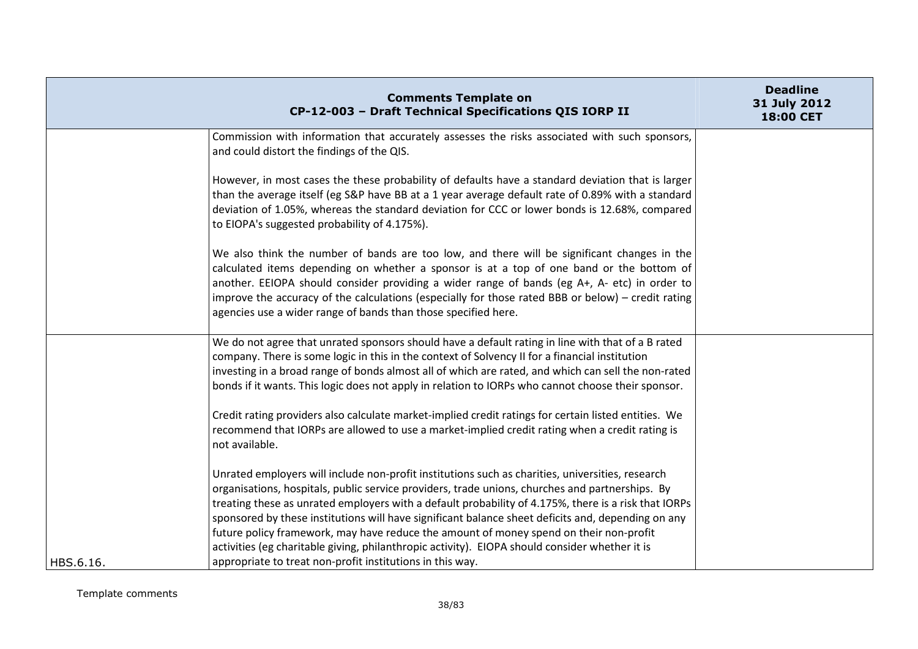|           | <b>Comments Template on</b><br>CP-12-003 - Draft Technical Specifications QIS IORP II                                                                                                                                                                                                                                                                                                                                                                                                                                                                                                                         | <b>Deadline</b><br>31 July 2012<br>18:00 CET |
|-----------|---------------------------------------------------------------------------------------------------------------------------------------------------------------------------------------------------------------------------------------------------------------------------------------------------------------------------------------------------------------------------------------------------------------------------------------------------------------------------------------------------------------------------------------------------------------------------------------------------------------|----------------------------------------------|
|           | Commission with information that accurately assesses the risks associated with such sponsors,<br>and could distort the findings of the QIS.                                                                                                                                                                                                                                                                                                                                                                                                                                                                   |                                              |
|           | However, in most cases the these probability of defaults have a standard deviation that is larger<br>than the average itself (eg S&P have BB at a 1 year average default rate of 0.89% with a standard<br>deviation of 1.05%, whereas the standard deviation for CCC or lower bonds is 12.68%, compared<br>to EIOPA's suggested probability of 4.175%).                                                                                                                                                                                                                                                       |                                              |
|           | We also think the number of bands are too low, and there will be significant changes in the<br>calculated items depending on whether a sponsor is at a top of one band or the bottom of<br>another. EEIOPA should consider providing a wider range of bands (eg A+, A- etc) in order to<br>improve the accuracy of the calculations (especially for those rated BBB or below) - credit rating<br>agencies use a wider range of bands than those specified here.                                                                                                                                               |                                              |
|           | We do not agree that unrated sponsors should have a default rating in line with that of a B rated<br>company. There is some logic in this in the context of Solvency II for a financial institution<br>investing in a broad range of bonds almost all of which are rated, and which can sell the non-rated<br>bonds if it wants. This logic does not apply in relation to IORPs who cannot choose their sponsor.                                                                                                                                                                                              |                                              |
|           | Credit rating providers also calculate market-implied credit ratings for certain listed entities. We<br>recommend that IORPs are allowed to use a market-implied credit rating when a credit rating is<br>not available.                                                                                                                                                                                                                                                                                                                                                                                      |                                              |
|           | Unrated employers will include non-profit institutions such as charities, universities, research<br>organisations, hospitals, public service providers, trade unions, churches and partnerships. By<br>treating these as unrated employers with a default probability of 4.175%, there is a risk that IORPs<br>sponsored by these institutions will have significant balance sheet deficits and, depending on any<br>future policy framework, may have reduce the amount of money spend on their non-profit<br>activities (eg charitable giving, philanthropic activity). EIOPA should consider whether it is |                                              |
| HBS.6.16. | appropriate to treat non-profit institutions in this way.                                                                                                                                                                                                                                                                                                                                                                                                                                                                                                                                                     |                                              |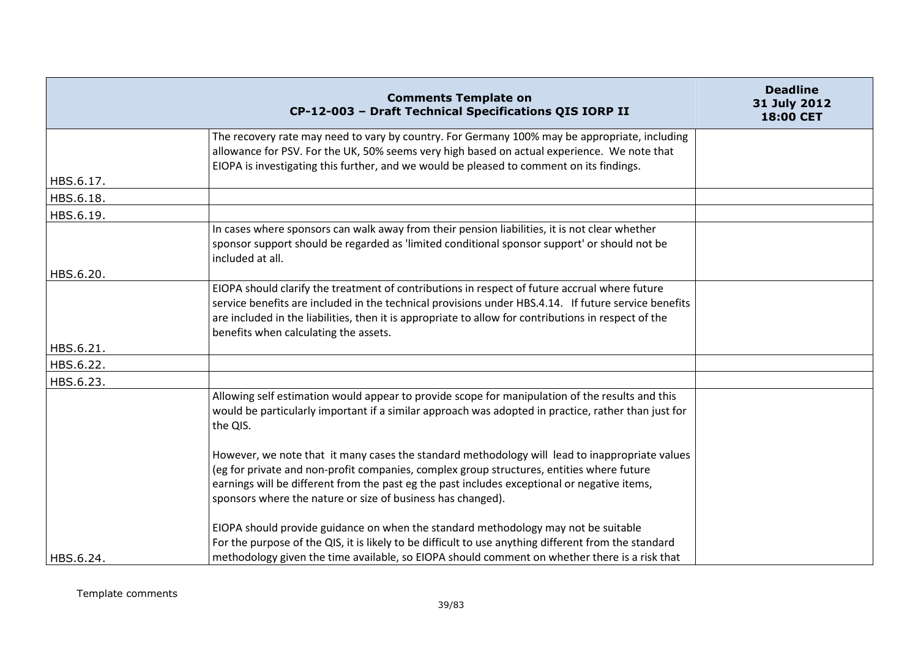|           | <b>Comments Template on</b><br>CP-12-003 - Draft Technical Specifications QIS IORP II                                                                                                                                                                                                                                                                      | <b>Deadline</b><br>31 July 2012<br>18:00 CET |
|-----------|------------------------------------------------------------------------------------------------------------------------------------------------------------------------------------------------------------------------------------------------------------------------------------------------------------------------------------------------------------|----------------------------------------------|
|           | The recovery rate may need to vary by country. For Germany 100% may be appropriate, including<br>allowance for PSV. For the UK, 50% seems very high based on actual experience. We note that<br>EIOPA is investigating this further, and we would be pleased to comment on its findings.                                                                   |                                              |
| HBS.6.17. |                                                                                                                                                                                                                                                                                                                                                            |                                              |
| HBS.6.18. |                                                                                                                                                                                                                                                                                                                                                            |                                              |
| HBS.6.19. |                                                                                                                                                                                                                                                                                                                                                            |                                              |
|           | In cases where sponsors can walk away from their pension liabilities, it is not clear whether<br>sponsor support should be regarded as 'limited conditional sponsor support' or should not be<br>included at all.                                                                                                                                          |                                              |
| HBS.6.20. |                                                                                                                                                                                                                                                                                                                                                            |                                              |
|           | EIOPA should clarify the treatment of contributions in respect of future accrual where future<br>service benefits are included in the technical provisions under HBS.4.14. If future service benefits<br>are included in the liabilities, then it is appropriate to allow for contributions in respect of the<br>benefits when calculating the assets.     |                                              |
| HBS.6.21. |                                                                                                                                                                                                                                                                                                                                                            |                                              |
| HBS.6.22. |                                                                                                                                                                                                                                                                                                                                                            |                                              |
| HBS.6.23. |                                                                                                                                                                                                                                                                                                                                                            |                                              |
|           | Allowing self estimation would appear to provide scope for manipulation of the results and this<br>would be particularly important if a similar approach was adopted in practice, rather than just for<br>the QIS.                                                                                                                                         |                                              |
|           | However, we note that it many cases the standard methodology will lead to inappropriate values<br>(eg for private and non-profit companies, complex group structures, entities where future<br>earnings will be different from the past eg the past includes exceptional or negative items,<br>sponsors where the nature or size of business has changed). |                                              |
| HBS.6.24. | EIOPA should provide guidance on when the standard methodology may not be suitable<br>For the purpose of the QIS, it is likely to be difficult to use anything different from the standard<br>methodology given the time available, so EIOPA should comment on whether there is a risk that                                                                |                                              |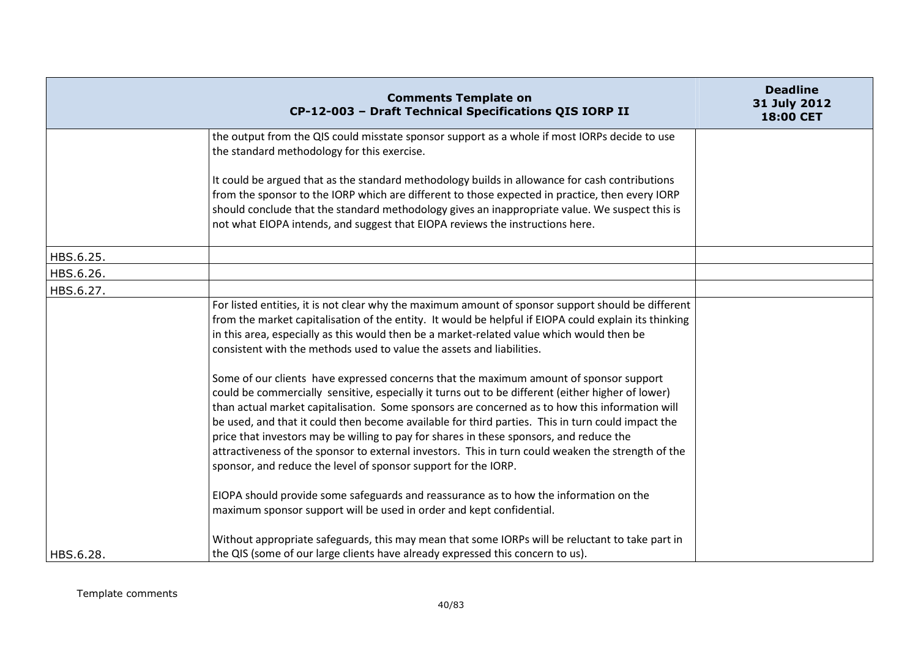|           | <b>Comments Template on</b><br>CP-12-003 - Draft Technical Specifications QIS IORP II                                                                                                                                                                                                                                                                                                                                                                                                                                                                                                                                                                                 | <b>Deadline</b><br>31 July 2012<br>18:00 CET |
|-----------|-----------------------------------------------------------------------------------------------------------------------------------------------------------------------------------------------------------------------------------------------------------------------------------------------------------------------------------------------------------------------------------------------------------------------------------------------------------------------------------------------------------------------------------------------------------------------------------------------------------------------------------------------------------------------|----------------------------------------------|
|           | the output from the QIS could misstate sponsor support as a whole if most IORPs decide to use<br>the standard methodology for this exercise.                                                                                                                                                                                                                                                                                                                                                                                                                                                                                                                          |                                              |
|           | It could be argued that as the standard methodology builds in allowance for cash contributions<br>from the sponsor to the IORP which are different to those expected in practice, then every IORP<br>should conclude that the standard methodology gives an inappropriate value. We suspect this is<br>not what EIOPA intends, and suggest that EIOPA reviews the instructions here.                                                                                                                                                                                                                                                                                  |                                              |
| HBS.6.25. |                                                                                                                                                                                                                                                                                                                                                                                                                                                                                                                                                                                                                                                                       |                                              |
| HBS.6.26. |                                                                                                                                                                                                                                                                                                                                                                                                                                                                                                                                                                                                                                                                       |                                              |
| HBS.6.27. |                                                                                                                                                                                                                                                                                                                                                                                                                                                                                                                                                                                                                                                                       |                                              |
|           | For listed entities, it is not clear why the maximum amount of sponsor support should be different<br>from the market capitalisation of the entity. It would be helpful if EIOPA could explain its thinking<br>in this area, especially as this would then be a market-related value which would then be<br>consistent with the methods used to value the assets and liabilities.                                                                                                                                                                                                                                                                                     |                                              |
|           | Some of our clients have expressed concerns that the maximum amount of sponsor support<br>could be commercially sensitive, especially it turns out to be different (either higher of lower)<br>than actual market capitalisation. Some sponsors are concerned as to how this information will<br>be used, and that it could then become available for third parties. This in turn could impact the<br>price that investors may be willing to pay for shares in these sponsors, and reduce the<br>attractiveness of the sponsor to external investors. This in turn could weaken the strength of the<br>sponsor, and reduce the level of sponsor support for the IORP. |                                              |
|           | EIOPA should provide some safeguards and reassurance as to how the information on the<br>maximum sponsor support will be used in order and kept confidential.                                                                                                                                                                                                                                                                                                                                                                                                                                                                                                         |                                              |
| HBS.6.28. | Without appropriate safeguards, this may mean that some IORPs will be reluctant to take part in<br>the QIS (some of our large clients have already expressed this concern to us).                                                                                                                                                                                                                                                                                                                                                                                                                                                                                     |                                              |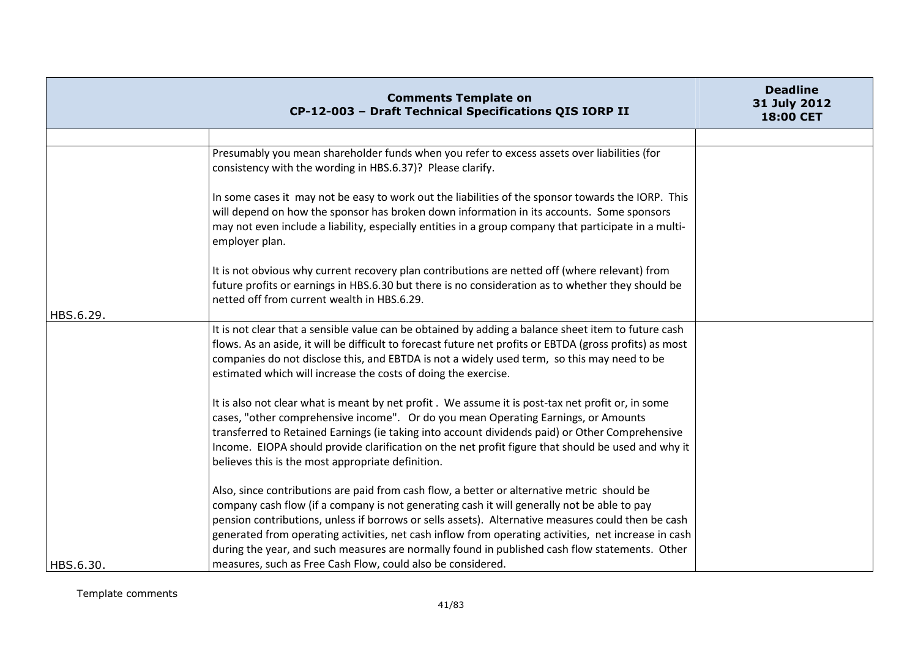|           | <b>Comments Template on</b><br>CP-12-003 - Draft Technical Specifications QIS IORP II                                                                                                                                                                                                                                                                                                                                                                                                                                                                                     | <b>Deadline</b><br>31 July 2012<br>18:00 CET |
|-----------|---------------------------------------------------------------------------------------------------------------------------------------------------------------------------------------------------------------------------------------------------------------------------------------------------------------------------------------------------------------------------------------------------------------------------------------------------------------------------------------------------------------------------------------------------------------------------|----------------------------------------------|
|           |                                                                                                                                                                                                                                                                                                                                                                                                                                                                                                                                                                           |                                              |
|           | Presumably you mean shareholder funds when you refer to excess assets over liabilities (for<br>consistency with the wording in HBS.6.37)? Please clarify.                                                                                                                                                                                                                                                                                                                                                                                                                 |                                              |
|           | In some cases it may not be easy to work out the liabilities of the sponsor towards the IORP. This<br>will depend on how the sponsor has broken down information in its accounts. Some sponsors<br>may not even include a liability, especially entities in a group company that participate in a multi-<br>employer plan.                                                                                                                                                                                                                                                |                                              |
| HBS.6.29. | It is not obvious why current recovery plan contributions are netted off (where relevant) from<br>future profits or earnings in HBS.6.30 but there is no consideration as to whether they should be<br>netted off from current wealth in HBS.6.29.                                                                                                                                                                                                                                                                                                                        |                                              |
|           | It is not clear that a sensible value can be obtained by adding a balance sheet item to future cash<br>flows. As an aside, it will be difficult to forecast future net profits or EBTDA (gross profits) as most<br>companies do not disclose this, and EBTDA is not a widely used term, so this may need to be<br>estimated which will increase the costs of doing the exercise.                                                                                                                                                                                          |                                              |
|           | It is also not clear what is meant by net profit. We assume it is post-tax net profit or, in some<br>cases, "other comprehensive income". Or do you mean Operating Earnings, or Amounts<br>transferred to Retained Earnings (ie taking into account dividends paid) or Other Comprehensive<br>Income. EIOPA should provide clarification on the net profit figure that should be used and why it<br>believes this is the most appropriate definition.                                                                                                                     |                                              |
| HBS.6.30. | Also, since contributions are paid from cash flow, a better or alternative metric should be<br>company cash flow (if a company is not generating cash it will generally not be able to pay<br>pension contributions, unless if borrows or sells assets). Alternative measures could then be cash<br>generated from operating activities, net cash inflow from operating activities, net increase in cash<br>during the year, and such measures are normally found in published cash flow statements. Other<br>measures, such as Free Cash Flow, could also be considered. |                                              |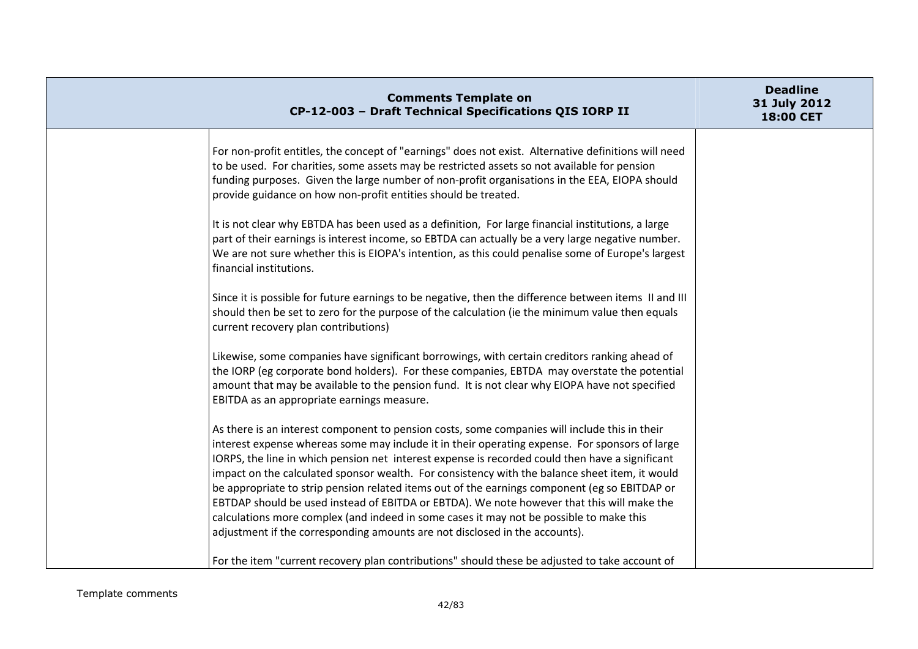| <b>Comments Template on</b><br>CP-12-003 - Draft Technical Specifications QIS IORP II                                                                                                                                                                                                                                                                                                                                                                                                                                                                                                                                                                                                                                                                                         | <b>Deadline</b><br>31 July 2012<br>18:00 CET |
|-------------------------------------------------------------------------------------------------------------------------------------------------------------------------------------------------------------------------------------------------------------------------------------------------------------------------------------------------------------------------------------------------------------------------------------------------------------------------------------------------------------------------------------------------------------------------------------------------------------------------------------------------------------------------------------------------------------------------------------------------------------------------------|----------------------------------------------|
| For non-profit entitles, the concept of "earnings" does not exist. Alternative definitions will need<br>to be used. For charities, some assets may be restricted assets so not available for pension<br>funding purposes. Given the large number of non-profit organisations in the EEA, EIOPA should<br>provide guidance on how non-profit entities should be treated.                                                                                                                                                                                                                                                                                                                                                                                                       |                                              |
| It is not clear why EBTDA has been used as a definition, For large financial institutions, a large<br>part of their earnings is interest income, so EBTDA can actually be a very large negative number.<br>We are not sure whether this is EIOPA's intention, as this could penalise some of Europe's largest<br>financial institutions.                                                                                                                                                                                                                                                                                                                                                                                                                                      |                                              |
| Since it is possible for future earnings to be negative, then the difference between items II and III<br>should then be set to zero for the purpose of the calculation (ie the minimum value then equals<br>current recovery plan contributions)                                                                                                                                                                                                                                                                                                                                                                                                                                                                                                                              |                                              |
| Likewise, some companies have significant borrowings, with certain creditors ranking ahead of<br>the IORP (eg corporate bond holders). For these companies, EBTDA may overstate the potential<br>amount that may be available to the pension fund. It is not clear why EIOPA have not specified<br>EBITDA as an appropriate earnings measure.                                                                                                                                                                                                                                                                                                                                                                                                                                 |                                              |
| As there is an interest component to pension costs, some companies will include this in their<br>interest expense whereas some may include it in their operating expense. For sponsors of large<br>IORPS, the line in which pension net interest expense is recorded could then have a significant<br>impact on the calculated sponsor wealth. For consistency with the balance sheet item, it would<br>be appropriate to strip pension related items out of the earnings component (eg so EBITDAP or<br>EBTDAP should be used instead of EBITDA or EBTDA). We note however that this will make the<br>calculations more complex (and indeed in some cases it may not be possible to make this<br>adjustment if the corresponding amounts are not disclosed in the accounts). |                                              |
| For the item "current recovery plan contributions" should these be adjusted to take account of                                                                                                                                                                                                                                                                                                                                                                                                                                                                                                                                                                                                                                                                                |                                              |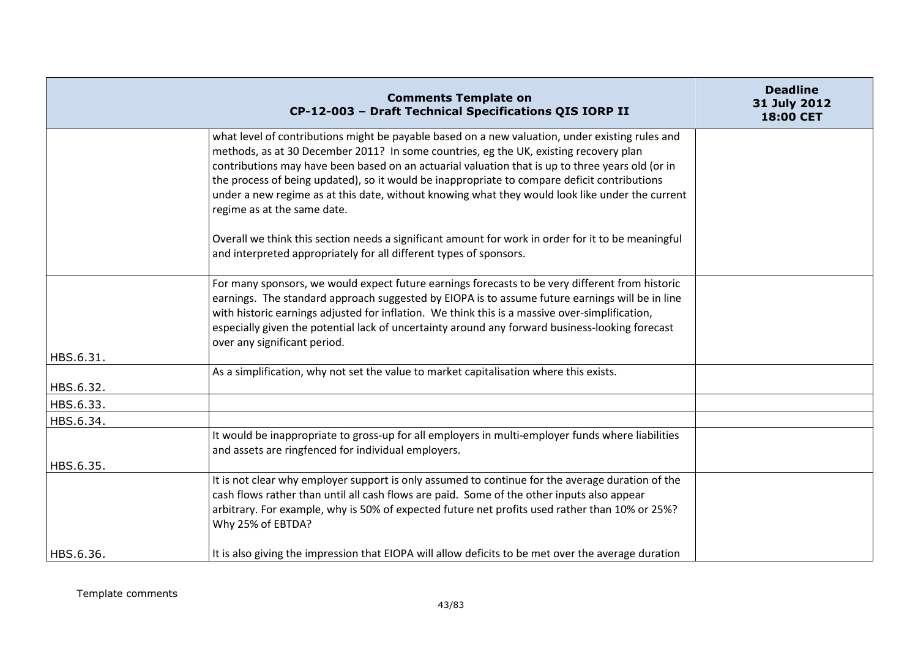|                        | <b>Comments Template on</b><br>CP-12-003 - Draft Technical Specifications QIS IORP II                                                                                                                                                                                                                                                                                                                                                                                                                                          | <b>Deadline</b><br>31 July 2012<br>18:00 CET |
|------------------------|--------------------------------------------------------------------------------------------------------------------------------------------------------------------------------------------------------------------------------------------------------------------------------------------------------------------------------------------------------------------------------------------------------------------------------------------------------------------------------------------------------------------------------|----------------------------------------------|
|                        | what level of contributions might be payable based on a new valuation, under existing rules and<br>methods, as at 30 December 2011? In some countries, eg the UK, existing recovery plan<br>contributions may have been based on an actuarial valuation that is up to three years old (or in<br>the process of being updated), so it would be inappropriate to compare deficit contributions<br>under a new regime as at this date, without knowing what they would look like under the current<br>regime as at the same date. |                                              |
|                        | Overall we think this section needs a significant amount for work in order for it to be meaningful<br>and interpreted appropriately for all different types of sponsors.                                                                                                                                                                                                                                                                                                                                                       |                                              |
| HBS.6.31.              | For many sponsors, we would expect future earnings forecasts to be very different from historic<br>earnings. The standard approach suggested by EIOPA is to assume future earnings will be in line<br>with historic earnings adjusted for inflation. We think this is a massive over-simplification,<br>especially given the potential lack of uncertainty around any forward business-looking forecast<br>over any significant period.                                                                                        |                                              |
|                        | As a simplification, why not set the value to market capitalisation where this exists.                                                                                                                                                                                                                                                                                                                                                                                                                                         |                                              |
| HBS.6.32.<br>HBS.6.33. |                                                                                                                                                                                                                                                                                                                                                                                                                                                                                                                                |                                              |
| HBS.6.34.              |                                                                                                                                                                                                                                                                                                                                                                                                                                                                                                                                |                                              |
|                        | It would be inappropriate to gross-up for all employers in multi-employer funds where liabilities<br>and assets are ringfenced for individual employers.                                                                                                                                                                                                                                                                                                                                                                       |                                              |
| HBS.6.35.              |                                                                                                                                                                                                                                                                                                                                                                                                                                                                                                                                |                                              |
|                        | It is not clear why employer support is only assumed to continue for the average duration of the<br>cash flows rather than until all cash flows are paid. Some of the other inputs also appear<br>arbitrary. For example, why is 50% of expected future net profits used rather than 10% or 25%?<br>Why 25% of EBTDA?                                                                                                                                                                                                          |                                              |
| HBS.6.36.              | It is also giving the impression that EIOPA will allow deficits to be met over the average duration                                                                                                                                                                                                                                                                                                                                                                                                                            |                                              |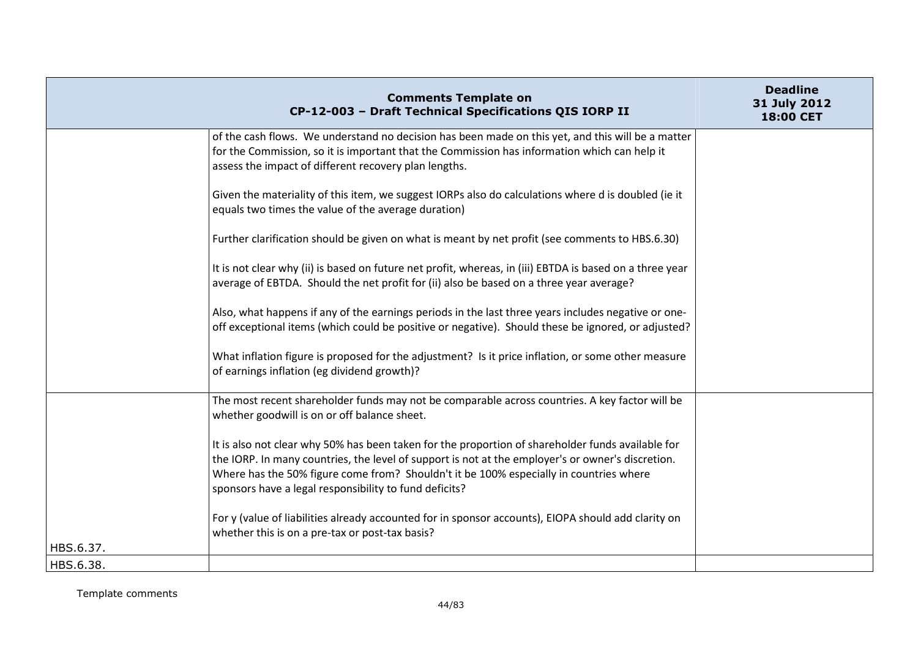|           | <b>Comments Template on</b><br>CP-12-003 - Draft Technical Specifications QIS IORP II                                                                                                                                                                                                                                                                      | <b>Deadline</b><br>31 July 2012<br>18:00 CET |
|-----------|------------------------------------------------------------------------------------------------------------------------------------------------------------------------------------------------------------------------------------------------------------------------------------------------------------------------------------------------------------|----------------------------------------------|
|           | of the cash flows. We understand no decision has been made on this yet, and this will be a matter<br>for the Commission, so it is important that the Commission has information which can help it<br>assess the impact of different recovery plan lengths.                                                                                                 |                                              |
|           | Given the materiality of this item, we suggest IORPs also do calculations where d is doubled (ie it<br>equals two times the value of the average duration)                                                                                                                                                                                                 |                                              |
|           | Further clarification should be given on what is meant by net profit (see comments to HBS.6.30)                                                                                                                                                                                                                                                            |                                              |
|           | It is not clear why (ii) is based on future net profit, whereas, in (iii) EBTDA is based on a three year<br>average of EBTDA. Should the net profit for (ii) also be based on a three year average?                                                                                                                                                        |                                              |
|           | Also, what happens if any of the earnings periods in the last three years includes negative or one-<br>off exceptional items (which could be positive or negative). Should these be ignored, or adjusted?                                                                                                                                                  |                                              |
|           | What inflation figure is proposed for the adjustment? Is it price inflation, or some other measure<br>of earnings inflation (eg dividend growth)?                                                                                                                                                                                                          |                                              |
|           | The most recent shareholder funds may not be comparable across countries. A key factor will be<br>whether goodwill is on or off balance sheet.                                                                                                                                                                                                             |                                              |
|           | It is also not clear why 50% has been taken for the proportion of shareholder funds available for<br>the IORP. In many countries, the level of support is not at the employer's or owner's discretion.<br>Where has the 50% figure come from? Shouldn't it be 100% especially in countries where<br>sponsors have a legal responsibility to fund deficits? |                                              |
| HBS.6.37. | For y (value of liabilities already accounted for in sponsor accounts), EIOPA should add clarity on<br>whether this is on a pre-tax or post-tax basis?                                                                                                                                                                                                     |                                              |
| HBS.6.38. |                                                                                                                                                                                                                                                                                                                                                            |                                              |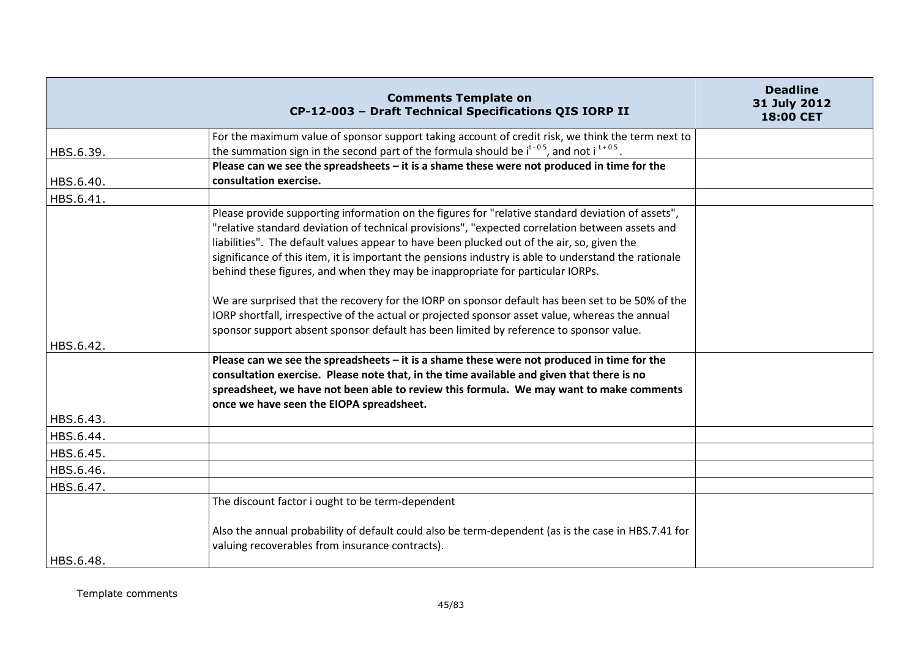|           | <b>Comments Template on</b><br>CP-12-003 - Draft Technical Specifications QIS IORP II                                                                                                                                                                                                                                                                                                                                                                                                                                                                                                            | <b>Deadline</b><br>31 July 2012<br><b>18:00 CET</b> |
|-----------|--------------------------------------------------------------------------------------------------------------------------------------------------------------------------------------------------------------------------------------------------------------------------------------------------------------------------------------------------------------------------------------------------------------------------------------------------------------------------------------------------------------------------------------------------------------------------------------------------|-----------------------------------------------------|
|           | For the maximum value of sponsor support taking account of credit risk, we think the term next to<br>the summation sign in the second part of the formula should be $i^{t-0.5}$ , and not $i^{t+0.5}$ .                                                                                                                                                                                                                                                                                                                                                                                          |                                                     |
| HBS.6.39. | Please can we see the spreadsheets - it is a shame these were not produced in time for the                                                                                                                                                                                                                                                                                                                                                                                                                                                                                                       |                                                     |
| HBS.6.40. | consultation exercise.                                                                                                                                                                                                                                                                                                                                                                                                                                                                                                                                                                           |                                                     |
| HBS.6.41. |                                                                                                                                                                                                                                                                                                                                                                                                                                                                                                                                                                                                  |                                                     |
|           | Please provide supporting information on the figures for "relative standard deviation of assets",<br>"relative standard deviation of technical provisions", "expected correlation between assets and<br>liabilities". The default values appear to have been plucked out of the air, so, given the<br>significance of this item, it is important the pensions industry is able to understand the rationale<br>behind these figures, and when they may be inappropriate for particular IORPs.<br>We are surprised that the recovery for the IORP on sponsor default has been set to be 50% of the |                                                     |
| HBS.6.42. | IORP shortfall, irrespective of the actual or projected sponsor asset value, whereas the annual<br>sponsor support absent sponsor default has been limited by reference to sponsor value.                                                                                                                                                                                                                                                                                                                                                                                                        |                                                     |
|           | Please can we see the spreadsheets - it is a shame these were not produced in time for the<br>consultation exercise. Please note that, in the time available and given that there is no<br>spreadsheet, we have not been able to review this formula. We may want to make comments<br>once we have seen the EIOPA spreadsheet.                                                                                                                                                                                                                                                                   |                                                     |
| HBS.6.43. |                                                                                                                                                                                                                                                                                                                                                                                                                                                                                                                                                                                                  |                                                     |
| HBS.6.44. |                                                                                                                                                                                                                                                                                                                                                                                                                                                                                                                                                                                                  |                                                     |
| HBS.6.45. |                                                                                                                                                                                                                                                                                                                                                                                                                                                                                                                                                                                                  |                                                     |
| HBS.6.46. |                                                                                                                                                                                                                                                                                                                                                                                                                                                                                                                                                                                                  |                                                     |
| HBS.6.47. |                                                                                                                                                                                                                                                                                                                                                                                                                                                                                                                                                                                                  |                                                     |
|           | The discount factor i ought to be term-dependent                                                                                                                                                                                                                                                                                                                                                                                                                                                                                                                                                 |                                                     |
| HBS.6.48. | Also the annual probability of default could also be term-dependent (as is the case in HBS.7.41 for<br>valuing recoverables from insurance contracts).                                                                                                                                                                                                                                                                                                                                                                                                                                           |                                                     |
|           |                                                                                                                                                                                                                                                                                                                                                                                                                                                                                                                                                                                                  |                                                     |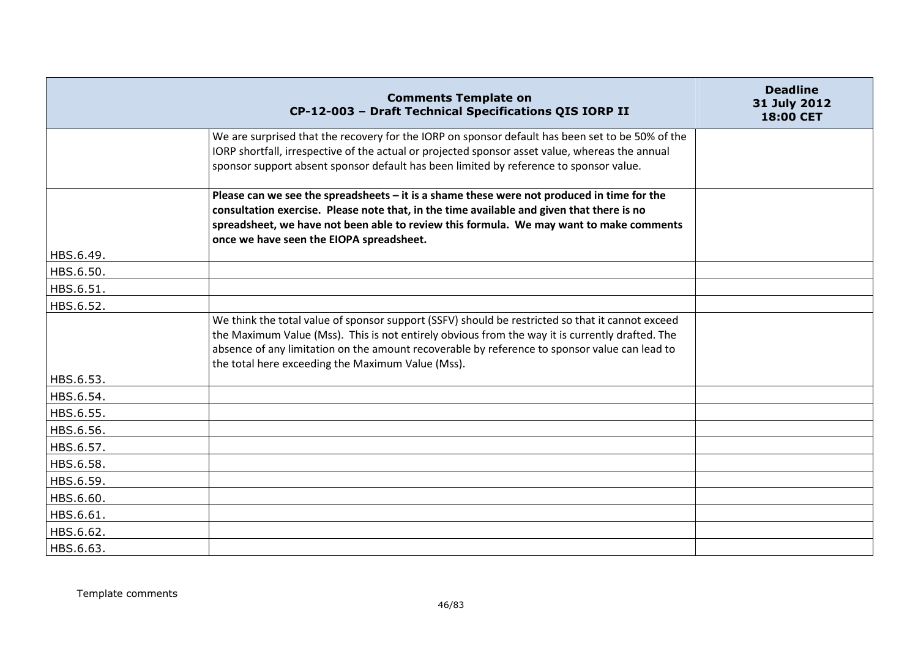|           | <b>Comments Template on</b><br>CP-12-003 - Draft Technical Specifications QIS IORP II                                                                                                                                                                                                                                                                     | <b>Deadline</b><br>31 July 2012<br>18:00 CET |
|-----------|-----------------------------------------------------------------------------------------------------------------------------------------------------------------------------------------------------------------------------------------------------------------------------------------------------------------------------------------------------------|----------------------------------------------|
|           | We are surprised that the recovery for the IORP on sponsor default has been set to be 50% of the<br>IORP shortfall, irrespective of the actual or projected sponsor asset value, whereas the annual<br>sponsor support absent sponsor default has been limited by reference to sponsor value.                                                             |                                              |
|           | Please can we see the spreadsheets $-$ it is a shame these were not produced in time for the<br>consultation exercise. Please note that, in the time available and given that there is no<br>spreadsheet, we have not been able to review this formula. We may want to make comments<br>once we have seen the EIOPA spreadsheet.                          |                                              |
| HBS.6.49. |                                                                                                                                                                                                                                                                                                                                                           |                                              |
| HBS.6.50. |                                                                                                                                                                                                                                                                                                                                                           |                                              |
| HBS.6.51. |                                                                                                                                                                                                                                                                                                                                                           |                                              |
| HBS.6.52. |                                                                                                                                                                                                                                                                                                                                                           |                                              |
|           | We think the total value of sponsor support (SSFV) should be restricted so that it cannot exceed<br>the Maximum Value (Mss). This is not entirely obvious from the way it is currently drafted. The<br>absence of any limitation on the amount recoverable by reference to sponsor value can lead to<br>the total here exceeding the Maximum Value (Mss). |                                              |
| HBS.6.53. |                                                                                                                                                                                                                                                                                                                                                           |                                              |
| HBS.6.54. |                                                                                                                                                                                                                                                                                                                                                           |                                              |
| HBS.6.55. |                                                                                                                                                                                                                                                                                                                                                           |                                              |
| HBS.6.56. |                                                                                                                                                                                                                                                                                                                                                           |                                              |
| HBS.6.57. |                                                                                                                                                                                                                                                                                                                                                           |                                              |
| HBS.6.58. |                                                                                                                                                                                                                                                                                                                                                           |                                              |
| HBS.6.59. |                                                                                                                                                                                                                                                                                                                                                           |                                              |
| HBS.6.60. |                                                                                                                                                                                                                                                                                                                                                           |                                              |
| HBS.6.61. |                                                                                                                                                                                                                                                                                                                                                           |                                              |
| HBS.6.62. |                                                                                                                                                                                                                                                                                                                                                           |                                              |
| HBS.6.63. |                                                                                                                                                                                                                                                                                                                                                           |                                              |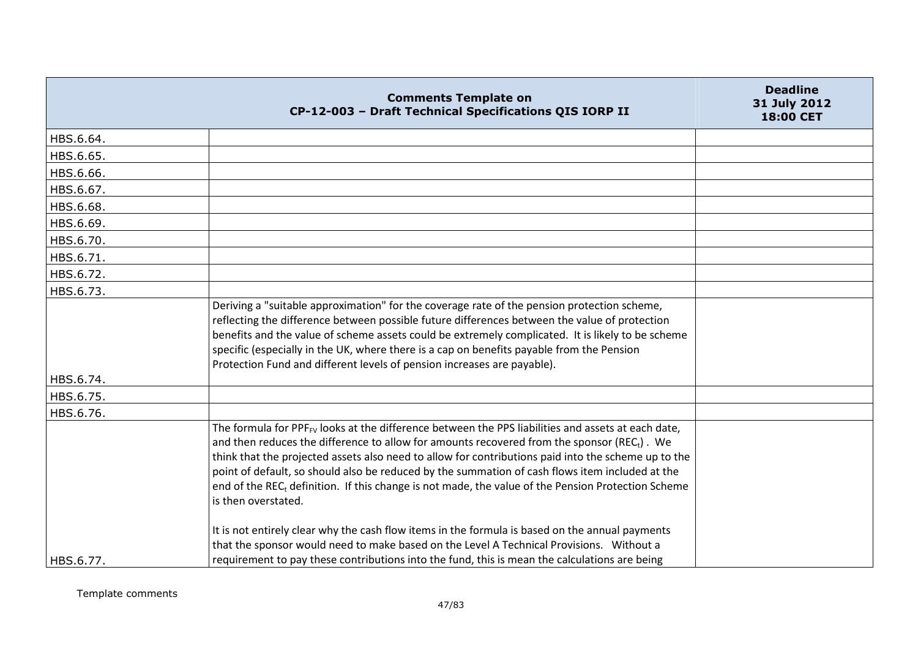|           | <b>Comments Template on</b><br>CP-12-003 - Draft Technical Specifications QIS IORP II                                                                                                                                                                                                                                                                                                                                                                                                                                                                                        | <b>Deadline</b><br>31 July 2012<br><b>18:00 CET</b> |
|-----------|------------------------------------------------------------------------------------------------------------------------------------------------------------------------------------------------------------------------------------------------------------------------------------------------------------------------------------------------------------------------------------------------------------------------------------------------------------------------------------------------------------------------------------------------------------------------------|-----------------------------------------------------|
| HBS.6.64. |                                                                                                                                                                                                                                                                                                                                                                                                                                                                                                                                                                              |                                                     |
| HBS.6.65. |                                                                                                                                                                                                                                                                                                                                                                                                                                                                                                                                                                              |                                                     |
| HBS.6.66. |                                                                                                                                                                                                                                                                                                                                                                                                                                                                                                                                                                              |                                                     |
| HBS.6.67. |                                                                                                                                                                                                                                                                                                                                                                                                                                                                                                                                                                              |                                                     |
| HBS.6.68. |                                                                                                                                                                                                                                                                                                                                                                                                                                                                                                                                                                              |                                                     |
| HBS.6.69. |                                                                                                                                                                                                                                                                                                                                                                                                                                                                                                                                                                              |                                                     |
| HBS.6.70. |                                                                                                                                                                                                                                                                                                                                                                                                                                                                                                                                                                              |                                                     |
| HBS.6.71. |                                                                                                                                                                                                                                                                                                                                                                                                                                                                                                                                                                              |                                                     |
| HBS.6.72. |                                                                                                                                                                                                                                                                                                                                                                                                                                                                                                                                                                              |                                                     |
| HBS.6.73. |                                                                                                                                                                                                                                                                                                                                                                                                                                                                                                                                                                              |                                                     |
|           | Deriving a "suitable approximation" for the coverage rate of the pension protection scheme,<br>reflecting the difference between possible future differences between the value of protection<br>benefits and the value of scheme assets could be extremely complicated. It is likely to be scheme<br>specific (especially in the UK, where there is a cap on benefits payable from the Pension<br>Protection Fund and different levels of pension increases are payable).                                                                                                    |                                                     |
| HBS.6.74. |                                                                                                                                                                                                                                                                                                                                                                                                                                                                                                                                                                              |                                                     |
| HBS.6.75. |                                                                                                                                                                                                                                                                                                                                                                                                                                                                                                                                                                              |                                                     |
| HBS.6.76. |                                                                                                                                                                                                                                                                                                                                                                                                                                                                                                                                                                              |                                                     |
|           | The formula for PPF <sub>FV</sub> looks at the difference between the PPS liabilities and assets at each date,<br>and then reduces the difference to allow for amounts recovered from the sponsor (REC <sub>t</sub> ). We<br>think that the projected assets also need to allow for contributions paid into the scheme up to the<br>point of default, so should also be reduced by the summation of cash flows item included at the<br>end of the REC <sub>t</sub> definition. If this change is not made, the value of the Pension Protection Scheme<br>is then overstated. |                                                     |
| HBS.6.77. | It is not entirely clear why the cash flow items in the formula is based on the annual payments<br>that the sponsor would need to make based on the Level A Technical Provisions. Without a<br>requirement to pay these contributions into the fund, this is mean the calculations are being                                                                                                                                                                                                                                                                                 |                                                     |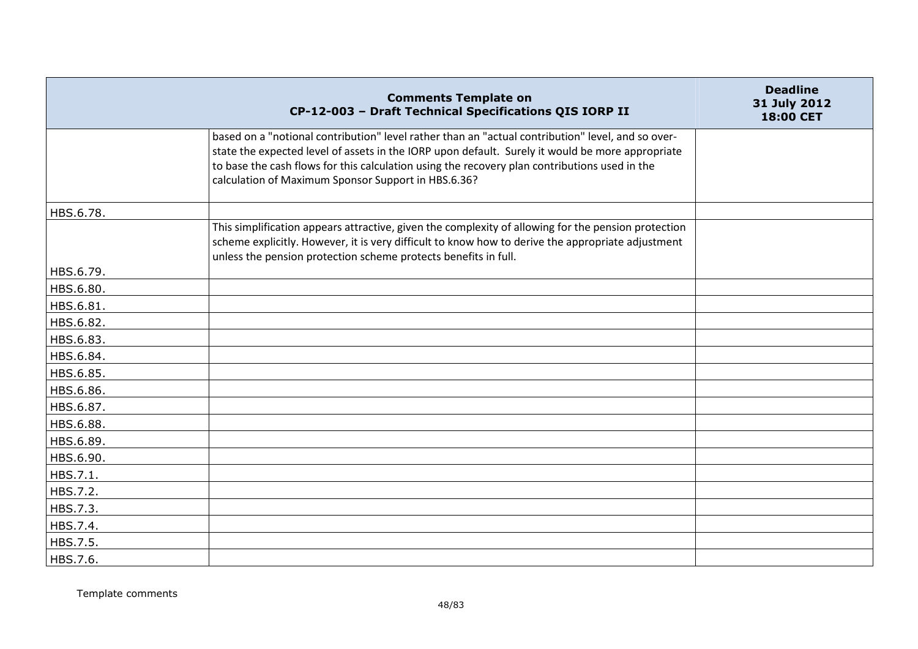|           | <b>Comments Template on</b><br>CP-12-003 - Draft Technical Specifications QIS IORP II                                                                                                                                                                                                                                                                         | <b>Deadline</b><br>31 July 2012<br><b>18:00 CET</b> |
|-----------|---------------------------------------------------------------------------------------------------------------------------------------------------------------------------------------------------------------------------------------------------------------------------------------------------------------------------------------------------------------|-----------------------------------------------------|
|           | based on a "notional contribution" level rather than an "actual contribution" level, and so over-<br>state the expected level of assets in the IORP upon default. Surely it would be more appropriate<br>to base the cash flows for this calculation using the recovery plan contributions used in the<br>calculation of Maximum Sponsor Support in HBS.6.36? |                                                     |
| HBS.6.78. |                                                                                                                                                                                                                                                                                                                                                               |                                                     |
|           | This simplification appears attractive, given the complexity of allowing for the pension protection<br>scheme explicitly. However, it is very difficult to know how to derive the appropriate adjustment<br>unless the pension protection scheme protects benefits in full.                                                                                   |                                                     |
| HBS.6.79. |                                                                                                                                                                                                                                                                                                                                                               |                                                     |
| HBS.6.80. |                                                                                                                                                                                                                                                                                                                                                               |                                                     |
| HBS.6.81. |                                                                                                                                                                                                                                                                                                                                                               |                                                     |
| HBS.6.82. |                                                                                                                                                                                                                                                                                                                                                               |                                                     |
| HBS.6.83. |                                                                                                                                                                                                                                                                                                                                                               |                                                     |
| HBS.6.84. |                                                                                                                                                                                                                                                                                                                                                               |                                                     |
| HBS.6.85. |                                                                                                                                                                                                                                                                                                                                                               |                                                     |
| HBS.6.86. |                                                                                                                                                                                                                                                                                                                                                               |                                                     |
| HBS.6.87. |                                                                                                                                                                                                                                                                                                                                                               |                                                     |
| HBS.6.88. |                                                                                                                                                                                                                                                                                                                                                               |                                                     |
| HBS.6.89. |                                                                                                                                                                                                                                                                                                                                                               |                                                     |
| HBS.6.90. |                                                                                                                                                                                                                                                                                                                                                               |                                                     |
| HBS.7.1.  |                                                                                                                                                                                                                                                                                                                                                               |                                                     |
| HBS.7.2.  |                                                                                                                                                                                                                                                                                                                                                               |                                                     |
| HBS.7.3.  |                                                                                                                                                                                                                                                                                                                                                               |                                                     |
| HBS.7.4.  |                                                                                                                                                                                                                                                                                                                                                               |                                                     |
| HBS.7.5.  |                                                                                                                                                                                                                                                                                                                                                               |                                                     |
| HBS.7.6.  |                                                                                                                                                                                                                                                                                                                                                               |                                                     |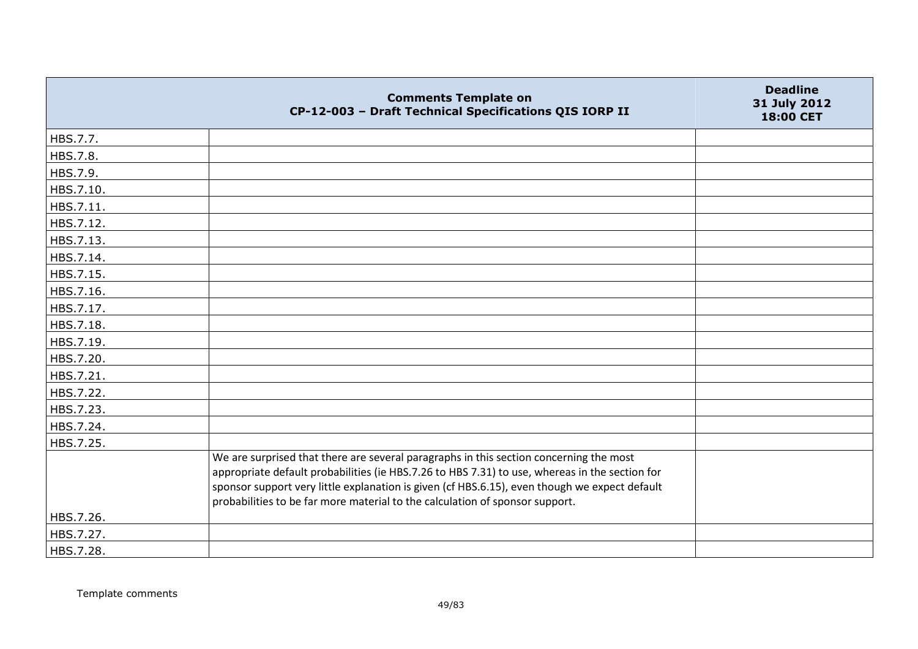|           | <b>Comments Template on</b><br>CP-12-003 - Draft Technical Specifications QIS IORP II                                                                                                                                                                                                                                                                                     | <b>Deadline</b><br>31 July 2012<br>18:00 CET |
|-----------|---------------------------------------------------------------------------------------------------------------------------------------------------------------------------------------------------------------------------------------------------------------------------------------------------------------------------------------------------------------------------|----------------------------------------------|
| HBS.7.7.  |                                                                                                                                                                                                                                                                                                                                                                           |                                              |
| HBS.7.8.  |                                                                                                                                                                                                                                                                                                                                                                           |                                              |
| HBS.7.9.  |                                                                                                                                                                                                                                                                                                                                                                           |                                              |
| HBS.7.10. |                                                                                                                                                                                                                                                                                                                                                                           |                                              |
| HBS.7.11. |                                                                                                                                                                                                                                                                                                                                                                           |                                              |
| HBS.7.12. |                                                                                                                                                                                                                                                                                                                                                                           |                                              |
| HBS.7.13. |                                                                                                                                                                                                                                                                                                                                                                           |                                              |
| HBS.7.14. |                                                                                                                                                                                                                                                                                                                                                                           |                                              |
| HBS.7.15. |                                                                                                                                                                                                                                                                                                                                                                           |                                              |
| HBS.7.16. |                                                                                                                                                                                                                                                                                                                                                                           |                                              |
| HBS.7.17. |                                                                                                                                                                                                                                                                                                                                                                           |                                              |
| HBS.7.18. |                                                                                                                                                                                                                                                                                                                                                                           |                                              |
| HBS.7.19. |                                                                                                                                                                                                                                                                                                                                                                           |                                              |
| HBS.7.20. |                                                                                                                                                                                                                                                                                                                                                                           |                                              |
| HBS.7.21. |                                                                                                                                                                                                                                                                                                                                                                           |                                              |
| HBS.7.22. |                                                                                                                                                                                                                                                                                                                                                                           |                                              |
| HBS.7.23. |                                                                                                                                                                                                                                                                                                                                                                           |                                              |
| HBS.7.24. |                                                                                                                                                                                                                                                                                                                                                                           |                                              |
| HBS.7.25. |                                                                                                                                                                                                                                                                                                                                                                           |                                              |
|           | We are surprised that there are several paragraphs in this section concerning the most<br>appropriate default probabilities (ie HBS.7.26 to HBS 7.31) to use, whereas in the section for<br>sponsor support very little explanation is given (cf HBS.6.15), even though we expect default<br>probabilities to be far more material to the calculation of sponsor support. |                                              |
| HBS.7.26. |                                                                                                                                                                                                                                                                                                                                                                           |                                              |
| HBS.7.27. |                                                                                                                                                                                                                                                                                                                                                                           |                                              |
| HBS.7.28. |                                                                                                                                                                                                                                                                                                                                                                           |                                              |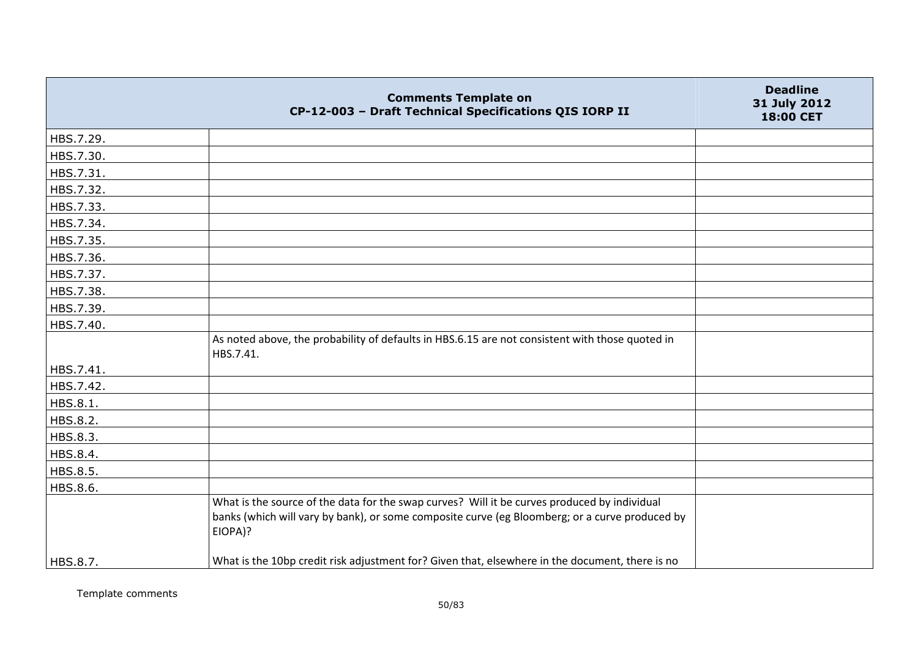|           | <b>Comments Template on</b><br>CP-12-003 - Draft Technical Specifications QIS IORP II                                                                                                                     | <b>Deadline</b><br>31 July 2012<br>18:00 CET |
|-----------|-----------------------------------------------------------------------------------------------------------------------------------------------------------------------------------------------------------|----------------------------------------------|
| HBS.7.29. |                                                                                                                                                                                                           |                                              |
| HBS.7.30. |                                                                                                                                                                                                           |                                              |
| HBS.7.31. |                                                                                                                                                                                                           |                                              |
| HBS.7.32. |                                                                                                                                                                                                           |                                              |
| HBS.7.33. |                                                                                                                                                                                                           |                                              |
| HBS.7.34. |                                                                                                                                                                                                           |                                              |
| HBS.7.35. |                                                                                                                                                                                                           |                                              |
| HBS.7.36. |                                                                                                                                                                                                           |                                              |
| HBS.7.37. |                                                                                                                                                                                                           |                                              |
| HBS.7.38. |                                                                                                                                                                                                           |                                              |
| HBS.7.39. |                                                                                                                                                                                                           |                                              |
| HBS.7.40. |                                                                                                                                                                                                           |                                              |
|           | As noted above, the probability of defaults in HBS.6.15 are not consistent with those quoted in<br>HBS.7.41.                                                                                              |                                              |
| HBS.7.41. |                                                                                                                                                                                                           |                                              |
| HBS.7.42. |                                                                                                                                                                                                           |                                              |
| HBS.8.1.  |                                                                                                                                                                                                           |                                              |
| HBS.8.2.  |                                                                                                                                                                                                           |                                              |
| HBS.8.3.  |                                                                                                                                                                                                           |                                              |
| HBS.8.4.  |                                                                                                                                                                                                           |                                              |
| HBS.8.5.  |                                                                                                                                                                                                           |                                              |
| HBS.8.6.  |                                                                                                                                                                                                           |                                              |
|           | What is the source of the data for the swap curves? Will it be curves produced by individual<br>banks (which will vary by bank), or some composite curve (eg Bloomberg; or a curve produced by<br>EIOPA)? |                                              |
| HBS.8.7.  | What is the 10bp credit risk adjustment for? Given that, elsewhere in the document, there is no                                                                                                           |                                              |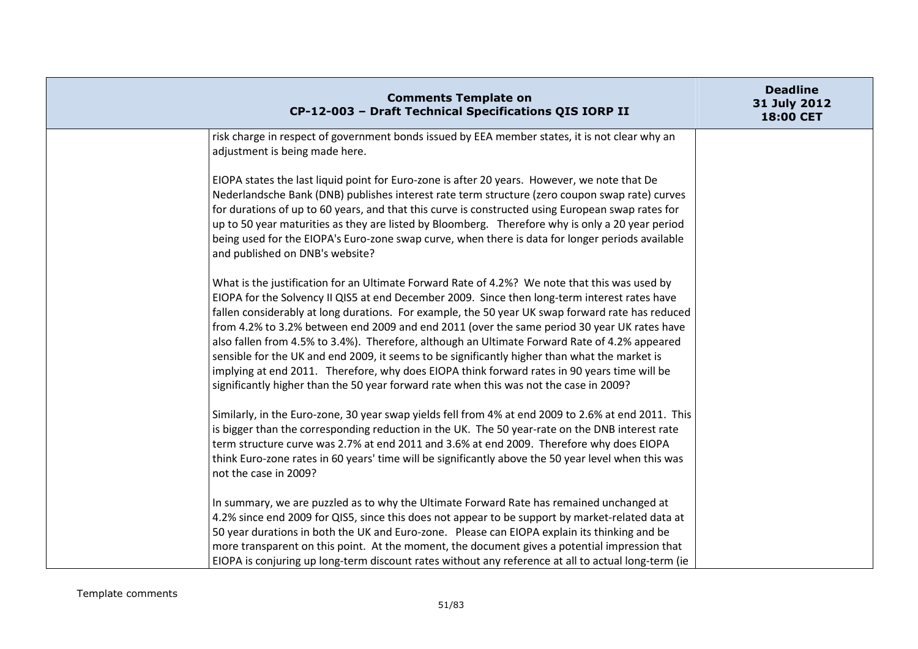| <b>Comments Template on</b><br>CP-12-003 - Draft Technical Specifications QIS IORP II                                                                                                                                                                                                                                                                                                                                                                                                                                                                                                                                                                                                                                                                                                         | <b>Deadline</b><br>31 July 2012<br>18:00 CET |
|-----------------------------------------------------------------------------------------------------------------------------------------------------------------------------------------------------------------------------------------------------------------------------------------------------------------------------------------------------------------------------------------------------------------------------------------------------------------------------------------------------------------------------------------------------------------------------------------------------------------------------------------------------------------------------------------------------------------------------------------------------------------------------------------------|----------------------------------------------|
| risk charge in respect of government bonds issued by EEA member states, it is not clear why an<br>adjustment is being made here.                                                                                                                                                                                                                                                                                                                                                                                                                                                                                                                                                                                                                                                              |                                              |
| EIOPA states the last liquid point for Euro-zone is after 20 years. However, we note that De<br>Nederlandsche Bank (DNB) publishes interest rate term structure (zero coupon swap rate) curves<br>for durations of up to 60 years, and that this curve is constructed using European swap rates for<br>up to 50 year maturities as they are listed by Bloomberg. Therefore why is only a 20 year period<br>being used for the EIOPA's Euro-zone swap curve, when there is data for longer periods available<br>and published on DNB's website?                                                                                                                                                                                                                                                |                                              |
| What is the justification for an Ultimate Forward Rate of 4.2%? We note that this was used by<br>EIOPA for the Solvency II QIS5 at end December 2009. Since then long-term interest rates have<br>fallen considerably at long durations. For example, the 50 year UK swap forward rate has reduced<br>from 4.2% to 3.2% between end 2009 and end 2011 (over the same period 30 year UK rates have<br>also fallen from 4.5% to 3.4%). Therefore, although an Ultimate Forward Rate of 4.2% appeared<br>sensible for the UK and end 2009, it seems to be significantly higher than what the market is<br>implying at end 2011. Therefore, why does EIOPA think forward rates in 90 years time will be<br>significantly higher than the 50 year forward rate when this was not the case in 2009? |                                              |
| Similarly, in the Euro-zone, 30 year swap yields fell from 4% at end 2009 to 2.6% at end 2011. This<br>is bigger than the corresponding reduction in the UK. The 50 year-rate on the DNB interest rate<br>term structure curve was 2.7% at end 2011 and 3.6% at end 2009. Therefore why does EIOPA<br>think Euro-zone rates in 60 years' time will be significantly above the 50 year level when this was<br>not the case in 2009?                                                                                                                                                                                                                                                                                                                                                            |                                              |
| In summary, we are puzzled as to why the Ultimate Forward Rate has remained unchanged at<br>4.2% since end 2009 for QIS5, since this does not appear to be support by market-related data at<br>50 year durations in both the UK and Euro-zone. Please can EIOPA explain its thinking and be<br>more transparent on this point. At the moment, the document gives a potential impression that<br>EIOPA is conjuring up long-term discount rates without any reference at all to actual long-term (ie                                                                                                                                                                                                                                                                                          |                                              |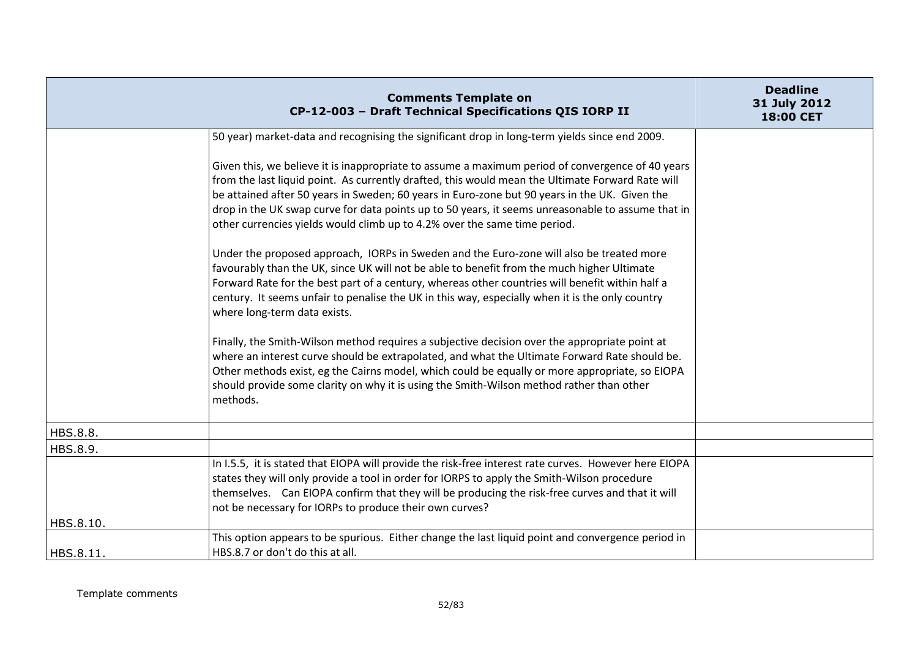|           | <b>Comments Template on</b><br>CP-12-003 - Draft Technical Specifications QIS IORP II                                                                                                                                                                                                                                                                                                                                                                                                   | <b>Deadline</b><br>31 July 2012<br>18:00 CET |
|-----------|-----------------------------------------------------------------------------------------------------------------------------------------------------------------------------------------------------------------------------------------------------------------------------------------------------------------------------------------------------------------------------------------------------------------------------------------------------------------------------------------|----------------------------------------------|
|           | 50 year) market-data and recognising the significant drop in long-term yields since end 2009.                                                                                                                                                                                                                                                                                                                                                                                           |                                              |
|           | Given this, we believe it is inappropriate to assume a maximum period of convergence of 40 years<br>from the last liquid point. As currently drafted, this would mean the Ultimate Forward Rate will<br>be attained after 50 years in Sweden; 60 years in Euro-zone but 90 years in the UK. Given the<br>drop in the UK swap curve for data points up to 50 years, it seems unreasonable to assume that in<br>other currencies yields would climb up to 4.2% over the same time period. |                                              |
|           | Under the proposed approach, IORPs in Sweden and the Euro-zone will also be treated more<br>favourably than the UK, since UK will not be able to benefit from the much higher Ultimate<br>Forward Rate for the best part of a century, whereas other countries will benefit within half a<br>century. It seems unfair to penalise the UK in this way, especially when it is the only country<br>where long-term data exists.                                                            |                                              |
|           | Finally, the Smith-Wilson method requires a subjective decision over the appropriate point at<br>where an interest curve should be extrapolated, and what the Ultimate Forward Rate should be.<br>Other methods exist, eg the Cairns model, which could be equally or more appropriate, so EIOPA<br>should provide some clarity on why it is using the Smith-Wilson method rather than other<br>methods.                                                                                |                                              |
| HBS.8.8.  |                                                                                                                                                                                                                                                                                                                                                                                                                                                                                         |                                              |
| HBS.8.9.  |                                                                                                                                                                                                                                                                                                                                                                                                                                                                                         |                                              |
| HBS.8.10. | In I.5.5, it is stated that EIOPA will provide the risk-free interest rate curves. However here EIOPA<br>states they will only provide a tool in order for IORPS to apply the Smith-Wilson procedure<br>themselves. Can EIOPA confirm that they will be producing the risk-free curves and that it will<br>not be necessary for IORPs to produce their own curves?                                                                                                                      |                                              |
| HBS.8.11. | This option appears to be spurious. Either change the last liquid point and convergence period in<br>HBS.8.7 or don't do this at all.                                                                                                                                                                                                                                                                                                                                                   |                                              |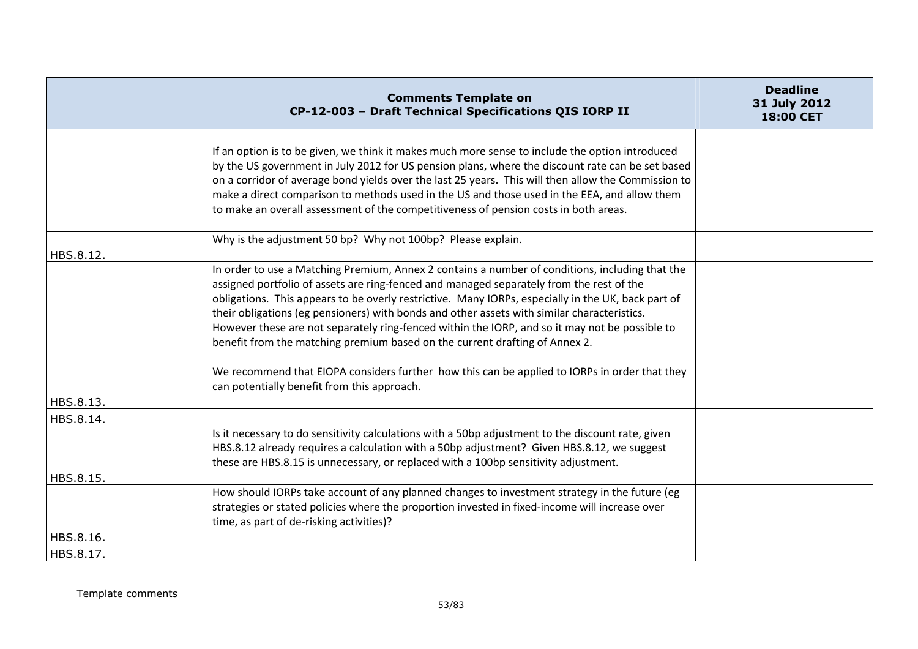|           | <b>Comments Template on</b><br>CP-12-003 - Draft Technical Specifications QIS IORP II                                                                                                                                                                                                                                                                                                                                                                                                                                                                                                                                                                                                                                             | <b>Deadline</b><br>31 July 2012<br>18:00 CET |
|-----------|-----------------------------------------------------------------------------------------------------------------------------------------------------------------------------------------------------------------------------------------------------------------------------------------------------------------------------------------------------------------------------------------------------------------------------------------------------------------------------------------------------------------------------------------------------------------------------------------------------------------------------------------------------------------------------------------------------------------------------------|----------------------------------------------|
|           | If an option is to be given, we think it makes much more sense to include the option introduced<br>by the US government in July 2012 for US pension plans, where the discount rate can be set based<br>on a corridor of average bond yields over the last 25 years. This will then allow the Commission to<br>make a direct comparison to methods used in the US and those used in the EEA, and allow them<br>to make an overall assessment of the competitiveness of pension costs in both areas.                                                                                                                                                                                                                                |                                              |
| HBS.8.12. | Why is the adjustment 50 bp? Why not 100bp? Please explain.                                                                                                                                                                                                                                                                                                                                                                                                                                                                                                                                                                                                                                                                       |                                              |
| HBS.8.13. | In order to use a Matching Premium, Annex 2 contains a number of conditions, including that the<br>assigned portfolio of assets are ring-fenced and managed separately from the rest of the<br>obligations. This appears to be overly restrictive. Many IORPs, especially in the UK, back part of<br>their obligations (eg pensioners) with bonds and other assets with similar characteristics.<br>However these are not separately ring-fenced within the IORP, and so it may not be possible to<br>benefit from the matching premium based on the current drafting of Annex 2.<br>We recommend that EIOPA considers further how this can be applied to IORPs in order that they<br>can potentially benefit from this approach. |                                              |
| HBS.8.14. |                                                                                                                                                                                                                                                                                                                                                                                                                                                                                                                                                                                                                                                                                                                                   |                                              |
| HBS.8.15. | Is it necessary to do sensitivity calculations with a 50bp adjustment to the discount rate, given<br>HBS.8.12 already requires a calculation with a 50bp adjustment? Given HBS.8.12, we suggest<br>these are HBS.8.15 is unnecessary, or replaced with a 100bp sensitivity adjustment.                                                                                                                                                                                                                                                                                                                                                                                                                                            |                                              |
| HBS.8.16. | How should IORPs take account of any planned changes to investment strategy in the future (eg<br>strategies or stated policies where the proportion invested in fixed-income will increase over<br>time, as part of de-risking activities)?                                                                                                                                                                                                                                                                                                                                                                                                                                                                                       |                                              |
| HBS.8.17. |                                                                                                                                                                                                                                                                                                                                                                                                                                                                                                                                                                                                                                                                                                                                   |                                              |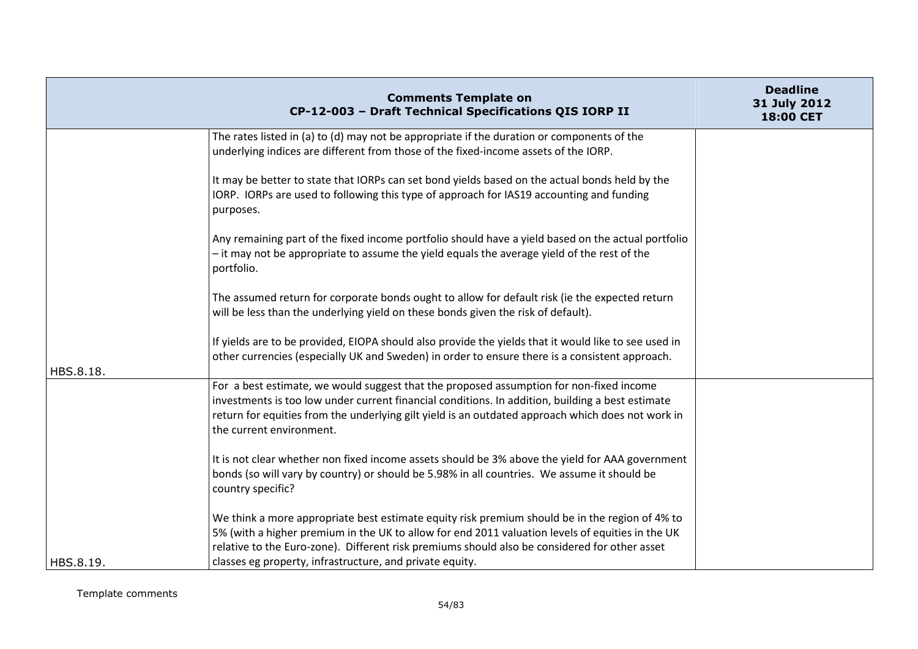|           | <b>Comments Template on</b><br>CP-12-003 - Draft Technical Specifications QIS IORP II                                                                                                                                                                                                                                                                           | <b>Deadline</b><br>31 July 2012<br><b>18:00 CET</b> |
|-----------|-----------------------------------------------------------------------------------------------------------------------------------------------------------------------------------------------------------------------------------------------------------------------------------------------------------------------------------------------------------------|-----------------------------------------------------|
|           | The rates listed in (a) to (d) may not be appropriate if the duration or components of the<br>underlying indices are different from those of the fixed-income assets of the IORP.                                                                                                                                                                               |                                                     |
|           | It may be better to state that IORPs can set bond yields based on the actual bonds held by the<br>IORP. IORPs are used to following this type of approach for IAS19 accounting and funding<br>purposes.                                                                                                                                                         |                                                     |
|           | Any remaining part of the fixed income portfolio should have a yield based on the actual portfolio<br>- it may not be appropriate to assume the yield equals the average yield of the rest of the<br>portfolio.                                                                                                                                                 |                                                     |
|           | The assumed return for corporate bonds ought to allow for default risk (ie the expected return<br>will be less than the underlying yield on these bonds given the risk of default).                                                                                                                                                                             |                                                     |
| HBS.8.18. | If yields are to be provided, EIOPA should also provide the yields that it would like to see used in<br>other currencies (especially UK and Sweden) in order to ensure there is a consistent approach.                                                                                                                                                          |                                                     |
|           | For a best estimate, we would suggest that the proposed assumption for non-fixed income<br>investments is too low under current financial conditions. In addition, building a best estimate<br>return for equities from the underlying gilt yield is an outdated approach which does not work in<br>the current environment.                                    |                                                     |
|           | It is not clear whether non fixed income assets should be 3% above the yield for AAA government<br>bonds (so will vary by country) or should be 5.98% in all countries. We assume it should be<br>country specific?                                                                                                                                             |                                                     |
| HBS.8.19. | We think a more appropriate best estimate equity risk premium should be in the region of 4% to<br>5% (with a higher premium in the UK to allow for end 2011 valuation levels of equities in the UK<br>relative to the Euro-zone). Different risk premiums should also be considered for other asset<br>classes eg property, infrastructure, and private equity. |                                                     |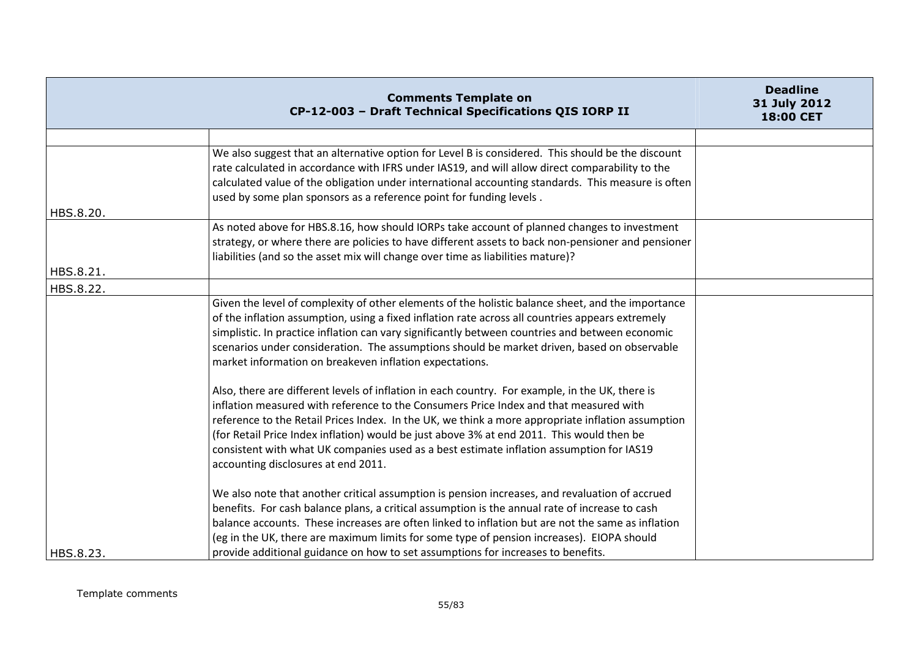|           | <b>Comments Template on</b><br>CP-12-003 - Draft Technical Specifications QIS IORP II                                                                                                                                                                                                                                                                                                                                                                                                                                         | <b>Deadline</b><br>31 July 2012<br>18:00 CET |
|-----------|-------------------------------------------------------------------------------------------------------------------------------------------------------------------------------------------------------------------------------------------------------------------------------------------------------------------------------------------------------------------------------------------------------------------------------------------------------------------------------------------------------------------------------|----------------------------------------------|
|           |                                                                                                                                                                                                                                                                                                                                                                                                                                                                                                                               |                                              |
|           | We also suggest that an alternative option for Level B is considered. This should be the discount<br>rate calculated in accordance with IFRS under IAS19, and will allow direct comparability to the<br>calculated value of the obligation under international accounting standards. This measure is often<br>used by some plan sponsors as a reference point for funding levels.                                                                                                                                             |                                              |
| HBS.8.20. |                                                                                                                                                                                                                                                                                                                                                                                                                                                                                                                               |                                              |
|           | As noted above for HBS.8.16, how should IORPs take account of planned changes to investment<br>strategy, or where there are policies to have different assets to back non-pensioner and pensioner<br>liabilities (and so the asset mix will change over time as liabilities mature)?                                                                                                                                                                                                                                          |                                              |
| HBS.8.21. |                                                                                                                                                                                                                                                                                                                                                                                                                                                                                                                               |                                              |
| HBS.8.22. |                                                                                                                                                                                                                                                                                                                                                                                                                                                                                                                               |                                              |
|           | Given the level of complexity of other elements of the holistic balance sheet, and the importance<br>of the inflation assumption, using a fixed inflation rate across all countries appears extremely<br>simplistic. In practice inflation can vary significantly between countries and between economic<br>scenarios under consideration. The assumptions should be market driven, based on observable<br>market information on breakeven inflation expectations.                                                            |                                              |
|           | Also, there are different levels of inflation in each country. For example, in the UK, there is<br>inflation measured with reference to the Consumers Price Index and that measured with<br>reference to the Retail Prices Index. In the UK, we think a more appropriate inflation assumption<br>(for Retail Price Index inflation) would be just above 3% at end 2011. This would then be<br>consistent with what UK companies used as a best estimate inflation assumption for IAS19<br>accounting disclosures at end 2011. |                                              |
| HBS.8.23. | We also note that another critical assumption is pension increases, and revaluation of accrued<br>benefits. For cash balance plans, a critical assumption is the annual rate of increase to cash<br>balance accounts. These increases are often linked to inflation but are not the same as inflation<br>(eg in the UK, there are maximum limits for some type of pension increases). EIOPA should<br>provide additional guidance on how to set assumptions for increases to benefits.                                        |                                              |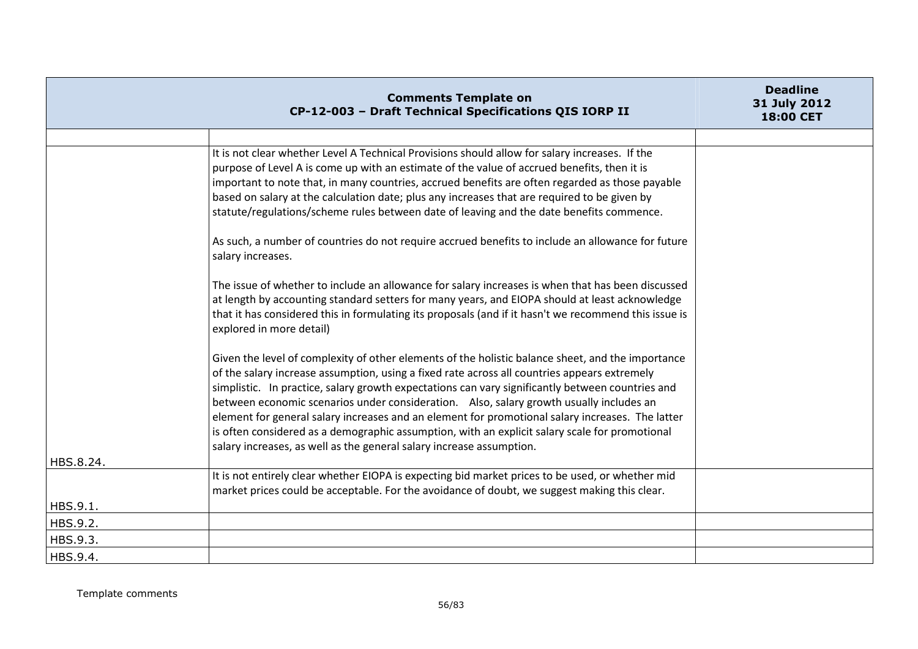|           | <b>Comments Template on</b><br>CP-12-003 - Draft Technical Specifications QIS IORP II                                                                                                                                                                                                                                                                                                                                                                                                                                                                                                                                                                                          | <b>Deadline</b><br>31 July 2012<br>18:00 CET |
|-----------|--------------------------------------------------------------------------------------------------------------------------------------------------------------------------------------------------------------------------------------------------------------------------------------------------------------------------------------------------------------------------------------------------------------------------------------------------------------------------------------------------------------------------------------------------------------------------------------------------------------------------------------------------------------------------------|----------------------------------------------|
|           |                                                                                                                                                                                                                                                                                                                                                                                                                                                                                                                                                                                                                                                                                |                                              |
|           | It is not clear whether Level A Technical Provisions should allow for salary increases. If the<br>purpose of Level A is come up with an estimate of the value of accrued benefits, then it is<br>important to note that, in many countries, accrued benefits are often regarded as those payable<br>based on salary at the calculation date; plus any increases that are required to be given by<br>statute/regulations/scheme rules between date of leaving and the date benefits commence.                                                                                                                                                                                   |                                              |
|           | As such, a number of countries do not require accrued benefits to include an allowance for future<br>salary increases.                                                                                                                                                                                                                                                                                                                                                                                                                                                                                                                                                         |                                              |
|           | The issue of whether to include an allowance for salary increases is when that has been discussed<br>at length by accounting standard setters for many years, and EIOPA should at least acknowledge<br>that it has considered this in formulating its proposals (and if it hasn't we recommend this issue is<br>explored in more detail)                                                                                                                                                                                                                                                                                                                                       |                                              |
|           | Given the level of complexity of other elements of the holistic balance sheet, and the importance<br>of the salary increase assumption, using a fixed rate across all countries appears extremely<br>simplistic. In practice, salary growth expectations can vary significantly between countries and<br>between economic scenarios under consideration. Also, salary growth usually includes an<br>element for general salary increases and an element for promotional salary increases. The latter<br>is often considered as a demographic assumption, with an explicit salary scale for promotional<br>salary increases, as well as the general salary increase assumption. |                                              |
| HBS.8.24. |                                                                                                                                                                                                                                                                                                                                                                                                                                                                                                                                                                                                                                                                                |                                              |
|           | It is not entirely clear whether EIOPA is expecting bid market prices to be used, or whether mid<br>market prices could be acceptable. For the avoidance of doubt, we suggest making this clear.                                                                                                                                                                                                                                                                                                                                                                                                                                                                               |                                              |
| HBS.9.1.  |                                                                                                                                                                                                                                                                                                                                                                                                                                                                                                                                                                                                                                                                                |                                              |
| HBS.9.2.  |                                                                                                                                                                                                                                                                                                                                                                                                                                                                                                                                                                                                                                                                                |                                              |
| HBS.9.3.  |                                                                                                                                                                                                                                                                                                                                                                                                                                                                                                                                                                                                                                                                                |                                              |
| HBS.9.4.  |                                                                                                                                                                                                                                                                                                                                                                                                                                                                                                                                                                                                                                                                                |                                              |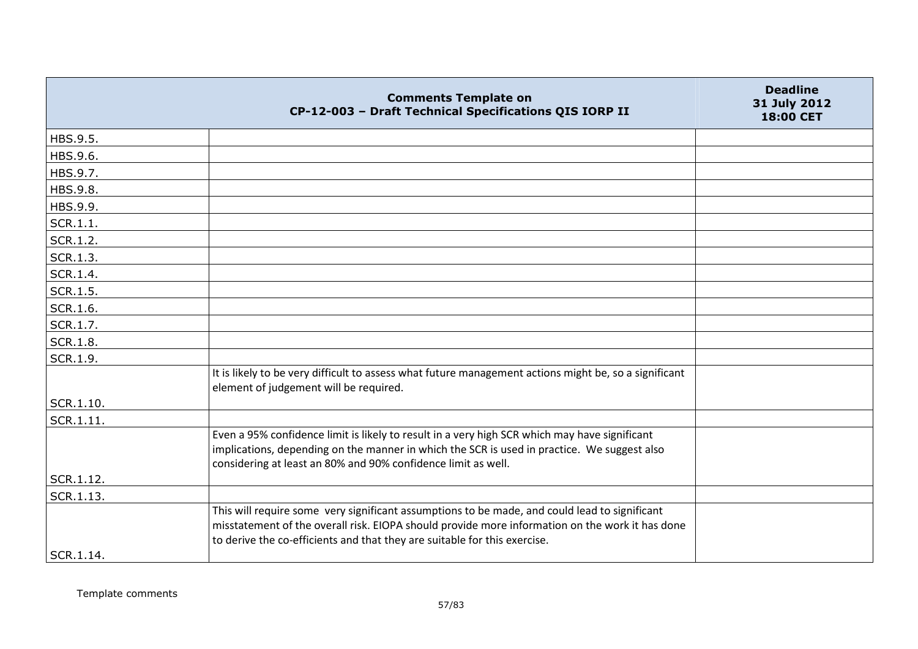|                 | <b>Comments Template on</b><br>CP-12-003 - Draft Technical Specifications QIS IORP II                                                                                                                                                                                         | <b>Deadline</b><br>31 July 2012<br><b>18:00 CET</b> |
|-----------------|-------------------------------------------------------------------------------------------------------------------------------------------------------------------------------------------------------------------------------------------------------------------------------|-----------------------------------------------------|
| HBS.9.5.        |                                                                                                                                                                                                                                                                               |                                                     |
| HBS.9.6.        |                                                                                                                                                                                                                                                                               |                                                     |
| HBS.9.7.        |                                                                                                                                                                                                                                                                               |                                                     |
| HBS.9.8.        |                                                                                                                                                                                                                                                                               |                                                     |
| HBS.9.9.        |                                                                                                                                                                                                                                                                               |                                                     |
| SCR.1.1.        |                                                                                                                                                                                                                                                                               |                                                     |
| SCR.1.2.        |                                                                                                                                                                                                                                                                               |                                                     |
| SCR.1.3.        |                                                                                                                                                                                                                                                                               |                                                     |
| SCR.1.4.        |                                                                                                                                                                                                                                                                               |                                                     |
| SCR.1.5.        |                                                                                                                                                                                                                                                                               |                                                     |
| SCR.1.6.        |                                                                                                                                                                                                                                                                               |                                                     |
| SCR.1.7.        |                                                                                                                                                                                                                                                                               |                                                     |
| <b>SCR.1.8.</b> |                                                                                                                                                                                                                                                                               |                                                     |
| SCR.1.9.        |                                                                                                                                                                                                                                                                               |                                                     |
| SCR.1.10.       | It is likely to be very difficult to assess what future management actions might be, so a significant<br>element of judgement will be required.                                                                                                                               |                                                     |
|                 |                                                                                                                                                                                                                                                                               |                                                     |
| SCR.1.11.       | Even a 95% confidence limit is likely to result in a very high SCR which may have significant<br>implications, depending on the manner in which the SCR is used in practice. We suggest also<br>considering at least an 80% and 90% confidence limit as well.                 |                                                     |
| SCR.1.12.       |                                                                                                                                                                                                                                                                               |                                                     |
| SCR.1.13.       |                                                                                                                                                                                                                                                                               |                                                     |
|                 | This will require some very significant assumptions to be made, and could lead to significant<br>misstatement of the overall risk. EIOPA should provide more information on the work it has done<br>to derive the co-efficients and that they are suitable for this exercise. |                                                     |
| SCR.1.14.       |                                                                                                                                                                                                                                                                               |                                                     |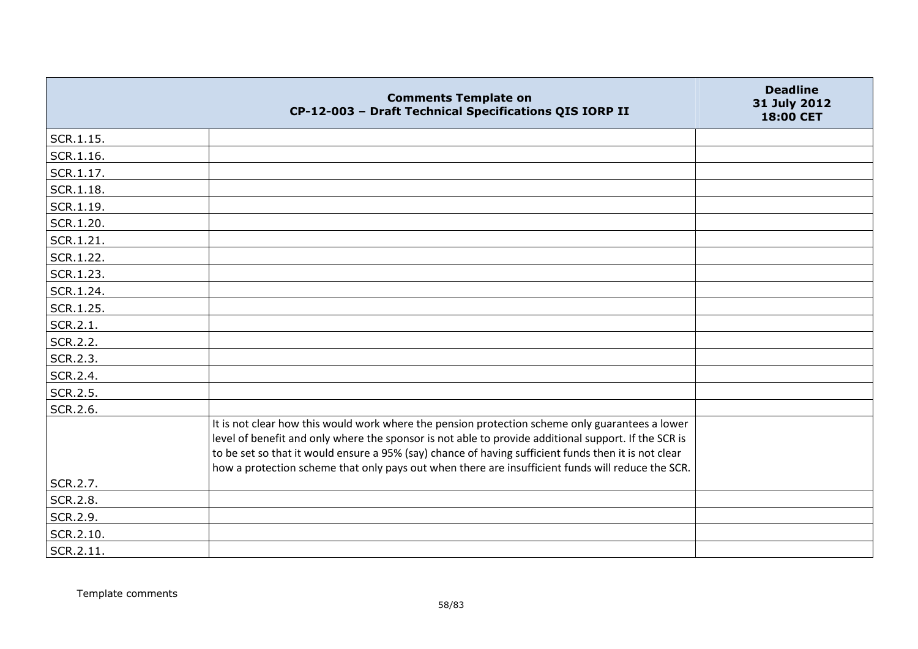|           | <b>Comments Template on</b><br>CP-12-003 - Draft Technical Specifications QIS IORP II                                                                                                                                                                                                                                                                                                                                | <b>Deadline</b><br>31 July 2012<br>18:00 CET |
|-----------|----------------------------------------------------------------------------------------------------------------------------------------------------------------------------------------------------------------------------------------------------------------------------------------------------------------------------------------------------------------------------------------------------------------------|----------------------------------------------|
| SCR.1.15. |                                                                                                                                                                                                                                                                                                                                                                                                                      |                                              |
| SCR.1.16. |                                                                                                                                                                                                                                                                                                                                                                                                                      |                                              |
| SCR.1.17. |                                                                                                                                                                                                                                                                                                                                                                                                                      |                                              |
| SCR.1.18. |                                                                                                                                                                                                                                                                                                                                                                                                                      |                                              |
| SCR.1.19. |                                                                                                                                                                                                                                                                                                                                                                                                                      |                                              |
| SCR.1.20. |                                                                                                                                                                                                                                                                                                                                                                                                                      |                                              |
| SCR.1.21. |                                                                                                                                                                                                                                                                                                                                                                                                                      |                                              |
| SCR.1.22. |                                                                                                                                                                                                                                                                                                                                                                                                                      |                                              |
| SCR.1.23. |                                                                                                                                                                                                                                                                                                                                                                                                                      |                                              |
| SCR.1.24. |                                                                                                                                                                                                                                                                                                                                                                                                                      |                                              |
| SCR.1.25. |                                                                                                                                                                                                                                                                                                                                                                                                                      |                                              |
| SCR.2.1.  |                                                                                                                                                                                                                                                                                                                                                                                                                      |                                              |
| SCR.2.2.  |                                                                                                                                                                                                                                                                                                                                                                                                                      |                                              |
| SCR.2.3.  |                                                                                                                                                                                                                                                                                                                                                                                                                      |                                              |
| SCR.2.4.  |                                                                                                                                                                                                                                                                                                                                                                                                                      |                                              |
| SCR.2.5.  |                                                                                                                                                                                                                                                                                                                                                                                                                      |                                              |
| SCR.2.6.  |                                                                                                                                                                                                                                                                                                                                                                                                                      |                                              |
|           | It is not clear how this would work where the pension protection scheme only guarantees a lower<br>level of benefit and only where the sponsor is not able to provide additional support. If the SCR is<br>to be set so that it would ensure a 95% (say) chance of having sufficient funds then it is not clear<br>how a protection scheme that only pays out when there are insufficient funds will reduce the SCR. |                                              |
| SCR.2.7.  |                                                                                                                                                                                                                                                                                                                                                                                                                      |                                              |
| SCR.2.8.  |                                                                                                                                                                                                                                                                                                                                                                                                                      |                                              |
| SCR.2.9.  |                                                                                                                                                                                                                                                                                                                                                                                                                      |                                              |
| SCR.2.10. |                                                                                                                                                                                                                                                                                                                                                                                                                      |                                              |
| SCR.2.11. |                                                                                                                                                                                                                                                                                                                                                                                                                      |                                              |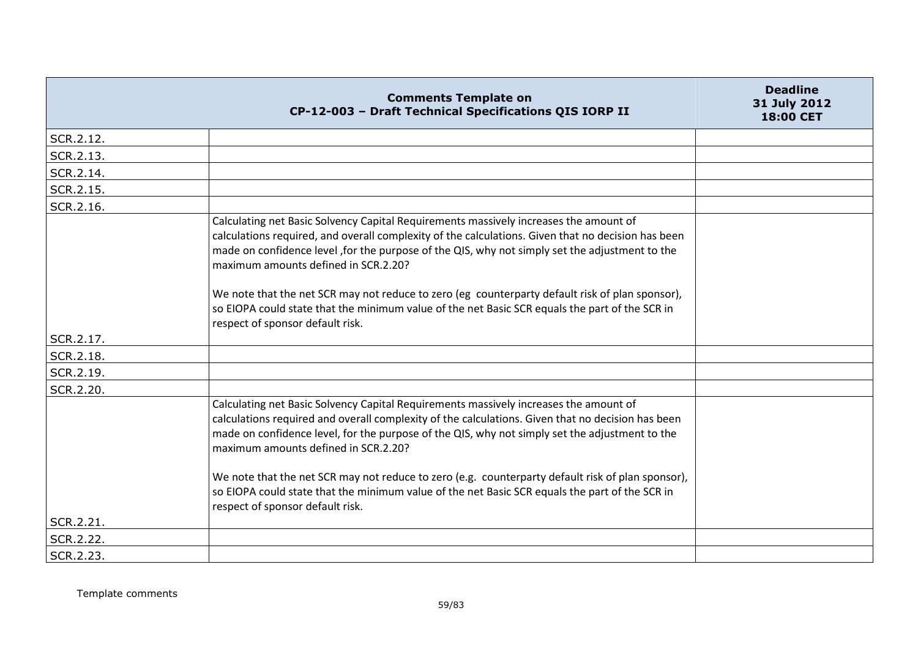|           | <b>Comments Template on</b><br>CP-12-003 - Draft Technical Specifications QIS IORP II                                                                                                                                                                                                                                                                                                                                                                                                                                                       | <b>Deadline</b><br>31 July 2012<br>18:00 CET |
|-----------|---------------------------------------------------------------------------------------------------------------------------------------------------------------------------------------------------------------------------------------------------------------------------------------------------------------------------------------------------------------------------------------------------------------------------------------------------------------------------------------------------------------------------------------------|----------------------------------------------|
| SCR.2.12. |                                                                                                                                                                                                                                                                                                                                                                                                                                                                                                                                             |                                              |
| SCR.2.13. |                                                                                                                                                                                                                                                                                                                                                                                                                                                                                                                                             |                                              |
| SCR.2.14. |                                                                                                                                                                                                                                                                                                                                                                                                                                                                                                                                             |                                              |
| SCR.2.15. |                                                                                                                                                                                                                                                                                                                                                                                                                                                                                                                                             |                                              |
| SCR.2.16. |                                                                                                                                                                                                                                                                                                                                                                                                                                                                                                                                             |                                              |
|           | Calculating net Basic Solvency Capital Requirements massively increases the amount of<br>calculations required, and overall complexity of the calculations. Given that no decision has been<br>made on confidence level , for the purpose of the QIS, why not simply set the adjustment to the<br>maximum amounts defined in SCR.2.20?<br>We note that the net SCR may not reduce to zero (eg counterparty default risk of plan sponsor),<br>so EIOPA could state that the minimum value of the net Basic SCR equals the part of the SCR in |                                              |
| SCR.2.17. | respect of sponsor default risk.                                                                                                                                                                                                                                                                                                                                                                                                                                                                                                            |                                              |
| SCR.2.18. |                                                                                                                                                                                                                                                                                                                                                                                                                                                                                                                                             |                                              |
| SCR.2.19. |                                                                                                                                                                                                                                                                                                                                                                                                                                                                                                                                             |                                              |
| SCR.2.20. |                                                                                                                                                                                                                                                                                                                                                                                                                                                                                                                                             |                                              |
|           | Calculating net Basic Solvency Capital Requirements massively increases the amount of<br>calculations required and overall complexity of the calculations. Given that no decision has been<br>made on confidence level, for the purpose of the QIS, why not simply set the adjustment to the<br>maximum amounts defined in SCR.2.20?                                                                                                                                                                                                        |                                              |
|           | We note that the net SCR may not reduce to zero (e.g. counterparty default risk of plan sponsor),<br>so EIOPA could state that the minimum value of the net Basic SCR equals the part of the SCR in<br>respect of sponsor default risk.                                                                                                                                                                                                                                                                                                     |                                              |
| SCR.2.21. |                                                                                                                                                                                                                                                                                                                                                                                                                                                                                                                                             |                                              |
| SCR.2.22. |                                                                                                                                                                                                                                                                                                                                                                                                                                                                                                                                             |                                              |
| SCR.2.23. |                                                                                                                                                                                                                                                                                                                                                                                                                                                                                                                                             |                                              |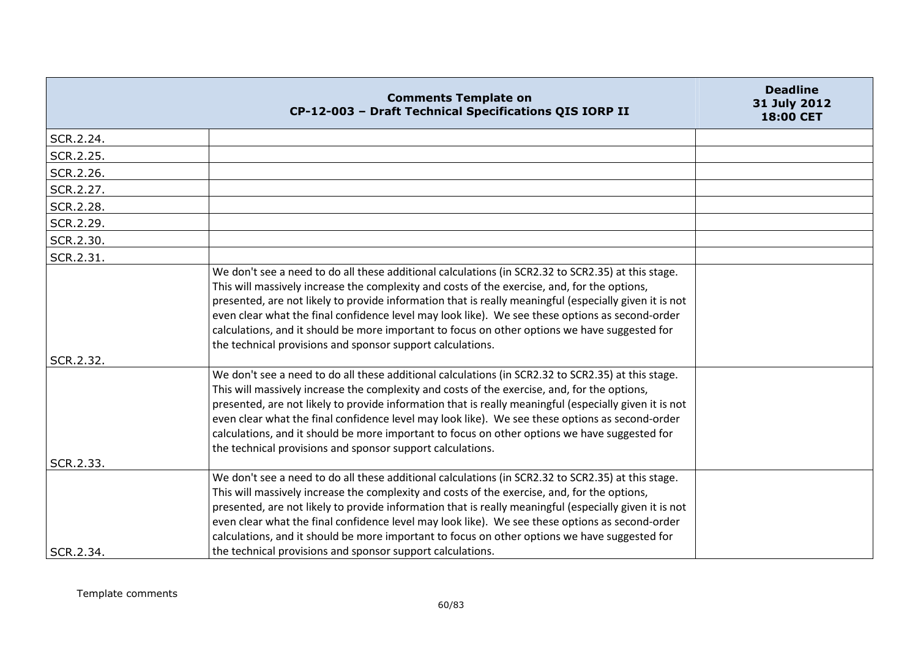|           | <b>Comments Template on</b><br>CP-12-003 - Draft Technical Specifications QIS IORP II                                                                                                                                                                                                                                                                                                                                                                                                                                                                                          | <b>Deadline</b><br>31 July 2012<br>18:00 CET |
|-----------|--------------------------------------------------------------------------------------------------------------------------------------------------------------------------------------------------------------------------------------------------------------------------------------------------------------------------------------------------------------------------------------------------------------------------------------------------------------------------------------------------------------------------------------------------------------------------------|----------------------------------------------|
| SCR.2.24. |                                                                                                                                                                                                                                                                                                                                                                                                                                                                                                                                                                                |                                              |
| SCR.2.25. |                                                                                                                                                                                                                                                                                                                                                                                                                                                                                                                                                                                |                                              |
| SCR.2.26. |                                                                                                                                                                                                                                                                                                                                                                                                                                                                                                                                                                                |                                              |
| SCR.2.27. |                                                                                                                                                                                                                                                                                                                                                                                                                                                                                                                                                                                |                                              |
| SCR.2.28. |                                                                                                                                                                                                                                                                                                                                                                                                                                                                                                                                                                                |                                              |
| SCR.2.29. |                                                                                                                                                                                                                                                                                                                                                                                                                                                                                                                                                                                |                                              |
| SCR.2.30. |                                                                                                                                                                                                                                                                                                                                                                                                                                                                                                                                                                                |                                              |
| SCR.2.31. |                                                                                                                                                                                                                                                                                                                                                                                                                                                                                                                                                                                |                                              |
| SCR.2.32. | We don't see a need to do all these additional calculations (in SCR2.32 to SCR2.35) at this stage.<br>This will massively increase the complexity and costs of the exercise, and, for the options,<br>presented, are not likely to provide information that is really meaningful (especially given it is not<br>even clear what the final confidence level may look like). We see these options as second-order<br>calculations, and it should be more important to focus on other options we have suggested for<br>the technical provisions and sponsor support calculations. |                                              |
|           | We don't see a need to do all these additional calculations (in SCR2.32 to SCR2.35) at this stage.<br>This will massively increase the complexity and costs of the exercise, and, for the options,<br>presented, are not likely to provide information that is really meaningful (especially given it is not<br>even clear what the final confidence level may look like). We see these options as second-order<br>calculations, and it should be more important to focus on other options we have suggested for<br>the technical provisions and sponsor support calculations. |                                              |
| SCR.2.33. |                                                                                                                                                                                                                                                                                                                                                                                                                                                                                                                                                                                |                                              |
|           | We don't see a need to do all these additional calculations (in SCR2.32 to SCR2.35) at this stage.<br>This will massively increase the complexity and costs of the exercise, and, for the options,<br>presented, are not likely to provide information that is really meaningful (especially given it is not<br>even clear what the final confidence level may look like). We see these options as second-order<br>calculations, and it should be more important to focus on other options we have suggested for                                                               |                                              |
| SCR.2.34. | the technical provisions and sponsor support calculations.                                                                                                                                                                                                                                                                                                                                                                                                                                                                                                                     |                                              |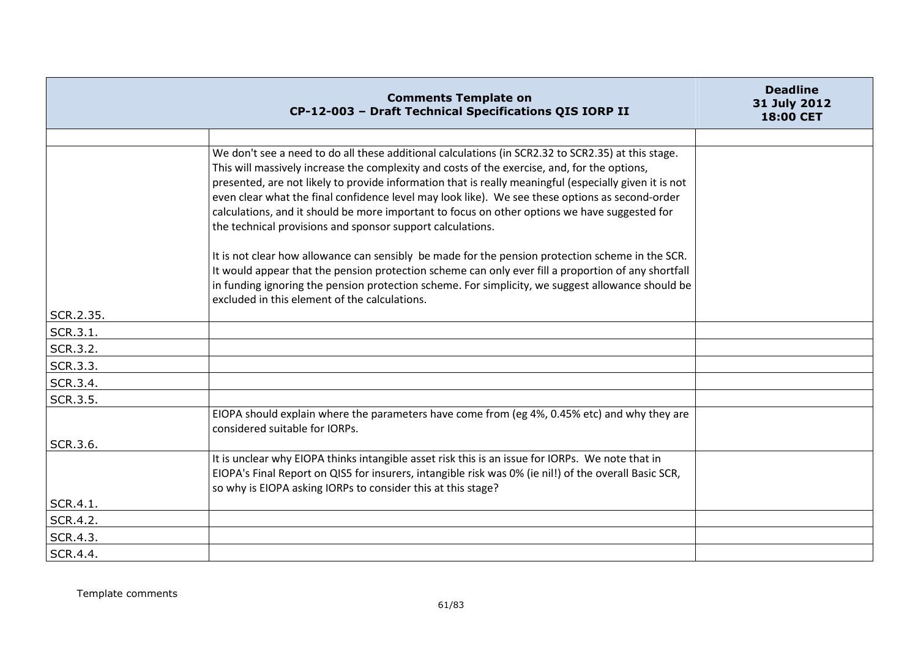|           | <b>Comments Template on</b><br>CP-12-003 - Draft Technical Specifications QIS IORP II                                                                                                                                                                                                                                                                                                                                                                                                                                                                                          | <b>Deadline</b><br>31 July 2012<br>18:00 CET |
|-----------|--------------------------------------------------------------------------------------------------------------------------------------------------------------------------------------------------------------------------------------------------------------------------------------------------------------------------------------------------------------------------------------------------------------------------------------------------------------------------------------------------------------------------------------------------------------------------------|----------------------------------------------|
|           |                                                                                                                                                                                                                                                                                                                                                                                                                                                                                                                                                                                |                                              |
|           | We don't see a need to do all these additional calculations (in SCR2.32 to SCR2.35) at this stage.<br>This will massively increase the complexity and costs of the exercise, and, for the options,<br>presented, are not likely to provide information that is really meaningful (especially given it is not<br>even clear what the final confidence level may look like). We see these options as second-order<br>calculations, and it should be more important to focus on other options we have suggested for<br>the technical provisions and sponsor support calculations. |                                              |
|           | It is not clear how allowance can sensibly be made for the pension protection scheme in the SCR.<br>It would appear that the pension protection scheme can only ever fill a proportion of any shortfall<br>in funding ignoring the pension protection scheme. For simplicity, we suggest allowance should be<br>excluded in this element of the calculations.                                                                                                                                                                                                                  |                                              |
| SCR.2.35. |                                                                                                                                                                                                                                                                                                                                                                                                                                                                                                                                                                                |                                              |
| SCR.3.1.  |                                                                                                                                                                                                                                                                                                                                                                                                                                                                                                                                                                                |                                              |
| SCR.3.2.  |                                                                                                                                                                                                                                                                                                                                                                                                                                                                                                                                                                                |                                              |
| SCR.3.3.  |                                                                                                                                                                                                                                                                                                                                                                                                                                                                                                                                                                                |                                              |
| SCR.3.4.  |                                                                                                                                                                                                                                                                                                                                                                                                                                                                                                                                                                                |                                              |
| SCR.3.5.  |                                                                                                                                                                                                                                                                                                                                                                                                                                                                                                                                                                                |                                              |
| SCR.3.6.  | EIOPA should explain where the parameters have come from (eg 4%, 0.45% etc) and why they are<br>considered suitable for IORPs.                                                                                                                                                                                                                                                                                                                                                                                                                                                 |                                              |
| SCR.4.1.  | It is unclear why EIOPA thinks intangible asset risk this is an issue for IORPs. We note that in<br>EIOPA's Final Report on QIS5 for insurers, intangible risk was 0% (ie nil!) of the overall Basic SCR,<br>so why is EIOPA asking IORPs to consider this at this stage?                                                                                                                                                                                                                                                                                                      |                                              |
| SCR.4.2.  |                                                                                                                                                                                                                                                                                                                                                                                                                                                                                                                                                                                |                                              |
| SCR.4.3.  |                                                                                                                                                                                                                                                                                                                                                                                                                                                                                                                                                                                |                                              |
| SCR.4.4.  |                                                                                                                                                                                                                                                                                                                                                                                                                                                                                                                                                                                |                                              |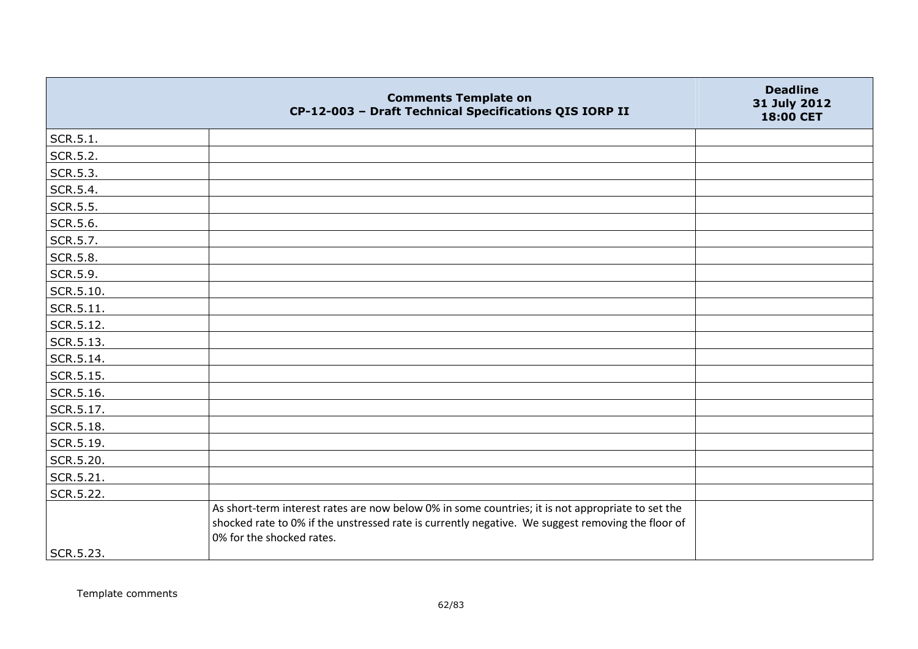|           | <b>Comments Template on</b><br>CP-12-003 - Draft Technical Specifications QIS IORP II                                                                                                                                               | <b>Deadline</b><br>31 July 2012<br>18:00 CET |
|-----------|-------------------------------------------------------------------------------------------------------------------------------------------------------------------------------------------------------------------------------------|----------------------------------------------|
| SCR.5.1.  |                                                                                                                                                                                                                                     |                                              |
| SCR.5.2.  |                                                                                                                                                                                                                                     |                                              |
| SCR.5.3.  |                                                                                                                                                                                                                                     |                                              |
| SCR.5.4.  |                                                                                                                                                                                                                                     |                                              |
| SCR.5.5.  |                                                                                                                                                                                                                                     |                                              |
| SCR.5.6.  |                                                                                                                                                                                                                                     |                                              |
| SCR.5.7.  |                                                                                                                                                                                                                                     |                                              |
| SCR.5.8.  |                                                                                                                                                                                                                                     |                                              |
| SCR.5.9.  |                                                                                                                                                                                                                                     |                                              |
| SCR.5.10. |                                                                                                                                                                                                                                     |                                              |
| SCR.5.11. |                                                                                                                                                                                                                                     |                                              |
| SCR.5.12. |                                                                                                                                                                                                                                     |                                              |
| SCR.5.13. |                                                                                                                                                                                                                                     |                                              |
| SCR.5.14. |                                                                                                                                                                                                                                     |                                              |
| SCR.5.15. |                                                                                                                                                                                                                                     |                                              |
| SCR.5.16. |                                                                                                                                                                                                                                     |                                              |
| SCR.5.17. |                                                                                                                                                                                                                                     |                                              |
| SCR.5.18. |                                                                                                                                                                                                                                     |                                              |
| SCR.5.19. |                                                                                                                                                                                                                                     |                                              |
| SCR.5.20. |                                                                                                                                                                                                                                     |                                              |
| SCR.5.21. |                                                                                                                                                                                                                                     |                                              |
| SCR.5.22. |                                                                                                                                                                                                                                     |                                              |
|           | As short-term interest rates are now below 0% in some countries; it is not appropriate to set the<br>shocked rate to 0% if the unstressed rate is currently negative. We suggest removing the floor of<br>0% for the shocked rates. |                                              |
| SCR.5.23. |                                                                                                                                                                                                                                     |                                              |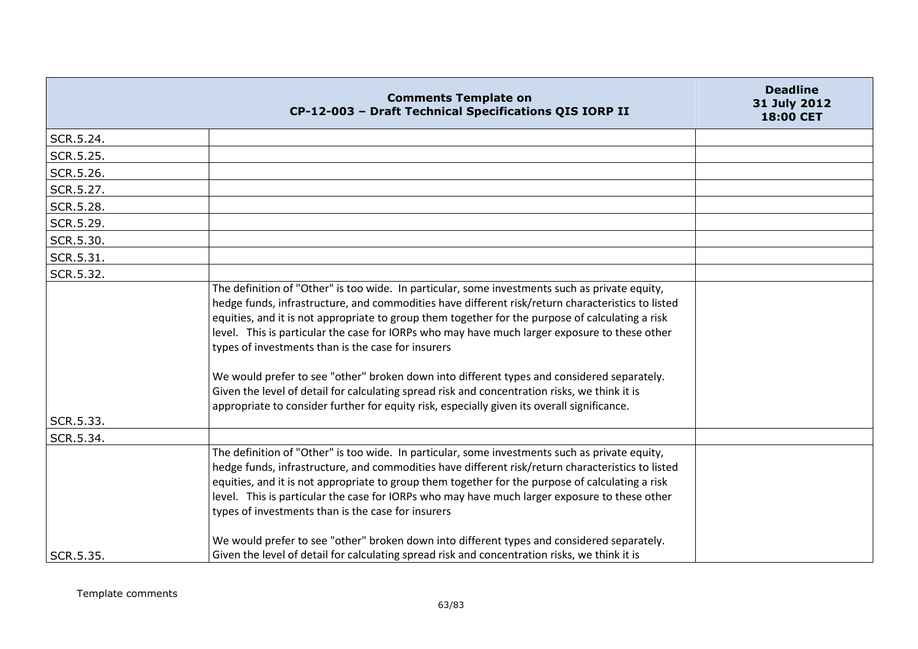|           | <b>Comments Template on</b><br>CP-12-003 - Draft Technical Specifications QIS IORP II                                                                                                                                                                                                                                                                                                                                                                                                                                                                                                                                                                                                                                                                        | <b>Deadline</b><br>31 July 2012<br><b>18:00 CET</b> |
|-----------|--------------------------------------------------------------------------------------------------------------------------------------------------------------------------------------------------------------------------------------------------------------------------------------------------------------------------------------------------------------------------------------------------------------------------------------------------------------------------------------------------------------------------------------------------------------------------------------------------------------------------------------------------------------------------------------------------------------------------------------------------------------|-----------------------------------------------------|
| SCR.5.24. |                                                                                                                                                                                                                                                                                                                                                                                                                                                                                                                                                                                                                                                                                                                                                              |                                                     |
| SCR.5.25. |                                                                                                                                                                                                                                                                                                                                                                                                                                                                                                                                                                                                                                                                                                                                                              |                                                     |
| SCR.5.26. |                                                                                                                                                                                                                                                                                                                                                                                                                                                                                                                                                                                                                                                                                                                                                              |                                                     |
| SCR.5.27. |                                                                                                                                                                                                                                                                                                                                                                                                                                                                                                                                                                                                                                                                                                                                                              |                                                     |
| SCR.5.28. |                                                                                                                                                                                                                                                                                                                                                                                                                                                                                                                                                                                                                                                                                                                                                              |                                                     |
| SCR.5.29. |                                                                                                                                                                                                                                                                                                                                                                                                                                                                                                                                                                                                                                                                                                                                                              |                                                     |
| SCR.5.30. |                                                                                                                                                                                                                                                                                                                                                                                                                                                                                                                                                                                                                                                                                                                                                              |                                                     |
| SCR.5.31. |                                                                                                                                                                                                                                                                                                                                                                                                                                                                                                                                                                                                                                                                                                                                                              |                                                     |
| SCR.5.32. |                                                                                                                                                                                                                                                                                                                                                                                                                                                                                                                                                                                                                                                                                                                                                              |                                                     |
| SCR.5.33. | The definition of "Other" is too wide. In particular, some investments such as private equity,<br>hedge funds, infrastructure, and commodities have different risk/return characteristics to listed<br>equities, and it is not appropriate to group them together for the purpose of calculating a risk<br>level. This is particular the case for IORPs who may have much larger exposure to these other<br>types of investments than is the case for insurers<br>We would prefer to see "other" broken down into different types and considered separately.<br>Given the level of detail for calculating spread risk and concentration risks, we think it is<br>appropriate to consider further for equity risk, especially given its overall significance. |                                                     |
| SCR.5.34. |                                                                                                                                                                                                                                                                                                                                                                                                                                                                                                                                                                                                                                                                                                                                                              |                                                     |
|           | The definition of "Other" is too wide. In particular, some investments such as private equity,<br>hedge funds, infrastructure, and commodities have different risk/return characteristics to listed<br>equities, and it is not appropriate to group them together for the purpose of calculating a risk<br>level. This is particular the case for IORPs who may have much larger exposure to these other<br>types of investments than is the case for insurers                                                                                                                                                                                                                                                                                               |                                                     |
| SCR.5.35. | We would prefer to see "other" broken down into different types and considered separately.<br>Given the level of detail for calculating spread risk and concentration risks, we think it is                                                                                                                                                                                                                                                                                                                                                                                                                                                                                                                                                                  |                                                     |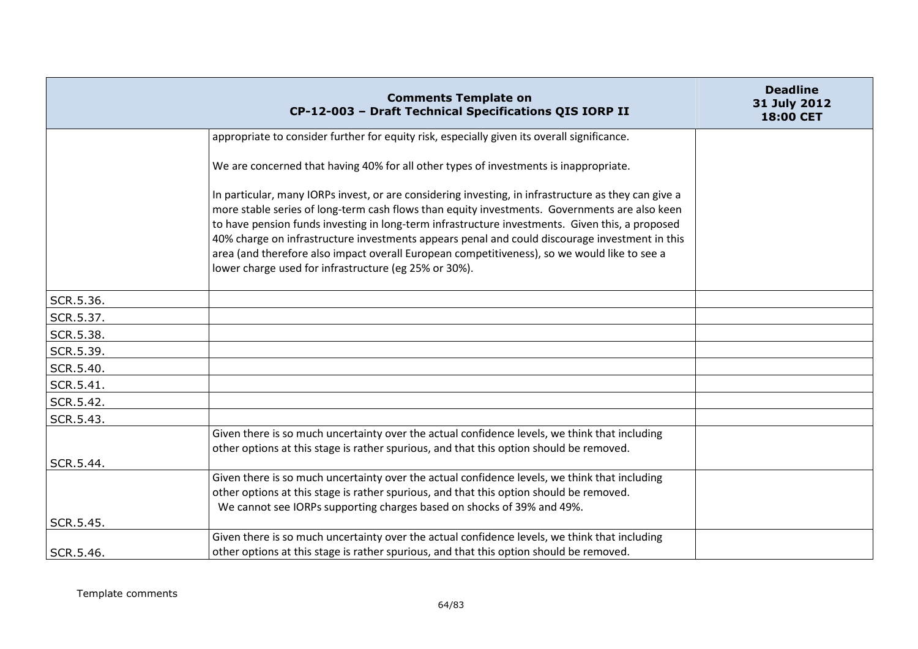|           | <b>Comments Template on</b><br>CP-12-003 - Draft Technical Specifications QIS IORP II                                                                                                                                                                                                                                                                                                                                                                                                                                                                               | <b>Deadline</b><br>31 July 2012<br>18:00 CET |
|-----------|---------------------------------------------------------------------------------------------------------------------------------------------------------------------------------------------------------------------------------------------------------------------------------------------------------------------------------------------------------------------------------------------------------------------------------------------------------------------------------------------------------------------------------------------------------------------|----------------------------------------------|
|           | appropriate to consider further for equity risk, especially given its overall significance.                                                                                                                                                                                                                                                                                                                                                                                                                                                                         |                                              |
|           | We are concerned that having 40% for all other types of investments is inappropriate.                                                                                                                                                                                                                                                                                                                                                                                                                                                                               |                                              |
|           | In particular, many IORPs invest, or are considering investing, in infrastructure as they can give a<br>more stable series of long-term cash flows than equity investments. Governments are also keen<br>to have pension funds investing in long-term infrastructure investments. Given this, a proposed<br>40% charge on infrastructure investments appears penal and could discourage investment in this<br>area (and therefore also impact overall European competitiveness), so we would like to see a<br>lower charge used for infrastructure (eg 25% or 30%). |                                              |
| SCR.5.36. |                                                                                                                                                                                                                                                                                                                                                                                                                                                                                                                                                                     |                                              |
| SCR.5.37. |                                                                                                                                                                                                                                                                                                                                                                                                                                                                                                                                                                     |                                              |
| SCR.5.38. |                                                                                                                                                                                                                                                                                                                                                                                                                                                                                                                                                                     |                                              |
| SCR.5.39. |                                                                                                                                                                                                                                                                                                                                                                                                                                                                                                                                                                     |                                              |
| SCR.5.40. |                                                                                                                                                                                                                                                                                                                                                                                                                                                                                                                                                                     |                                              |
| SCR.5.41. |                                                                                                                                                                                                                                                                                                                                                                                                                                                                                                                                                                     |                                              |
| SCR.5.42. |                                                                                                                                                                                                                                                                                                                                                                                                                                                                                                                                                                     |                                              |
| SCR.5.43. |                                                                                                                                                                                                                                                                                                                                                                                                                                                                                                                                                                     |                                              |
| SCR.5.44. | Given there is so much uncertainty over the actual confidence levels, we think that including<br>other options at this stage is rather spurious, and that this option should be removed.                                                                                                                                                                                                                                                                                                                                                                            |                                              |
|           | Given there is so much uncertainty over the actual confidence levels, we think that including                                                                                                                                                                                                                                                                                                                                                                                                                                                                       |                                              |
| SCR.5.45. | other options at this stage is rather spurious, and that this option should be removed.<br>We cannot see IORPs supporting charges based on shocks of 39% and 49%.                                                                                                                                                                                                                                                                                                                                                                                                   |                                              |
|           | Given there is so much uncertainty over the actual confidence levels, we think that including                                                                                                                                                                                                                                                                                                                                                                                                                                                                       |                                              |
| SCR.5.46. | other options at this stage is rather spurious, and that this option should be removed.                                                                                                                                                                                                                                                                                                                                                                                                                                                                             |                                              |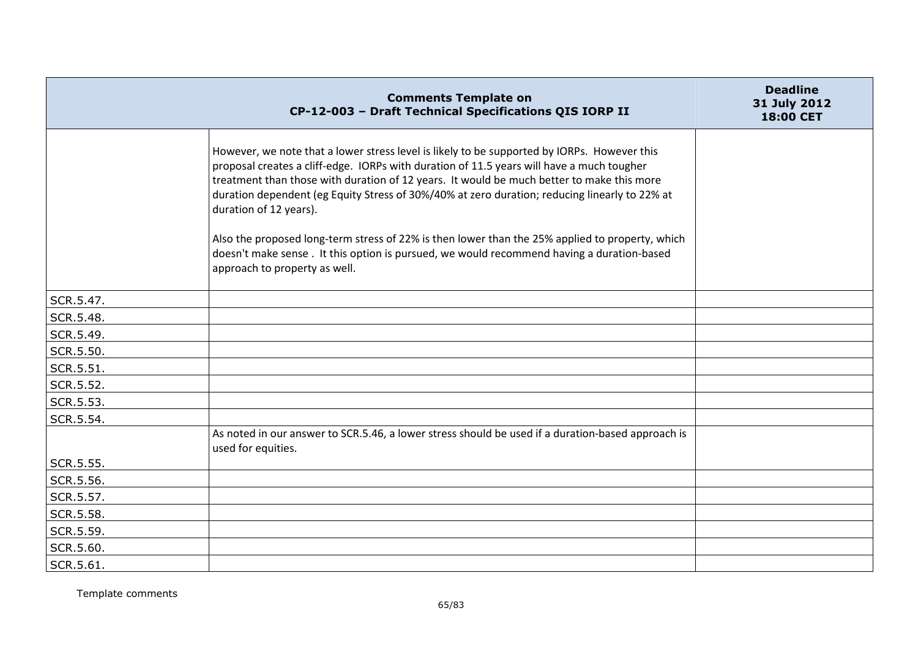|           | <b>Comments Template on</b><br>CP-12-003 - Draft Technical Specifications QIS IORP II                                                                                                                                                                                                                                                                                                                                                                                                                                                                                                                                                              | <b>Deadline</b><br>31 July 2012<br>18:00 CET |
|-----------|----------------------------------------------------------------------------------------------------------------------------------------------------------------------------------------------------------------------------------------------------------------------------------------------------------------------------------------------------------------------------------------------------------------------------------------------------------------------------------------------------------------------------------------------------------------------------------------------------------------------------------------------------|----------------------------------------------|
|           | However, we note that a lower stress level is likely to be supported by IORPs. However this<br>proposal creates a cliff-edge. IORPs with duration of 11.5 years will have a much tougher<br>treatment than those with duration of 12 years. It would be much better to make this more<br>duration dependent (eg Equity Stress of 30%/40% at zero duration; reducing linearly to 22% at<br>duration of 12 years).<br>Also the proposed long-term stress of 22% is then lower than the 25% applied to property, which<br>doesn't make sense . It this option is pursued, we would recommend having a duration-based<br>approach to property as well. |                                              |
| SCR.5.47. |                                                                                                                                                                                                                                                                                                                                                                                                                                                                                                                                                                                                                                                    |                                              |
| SCR.5.48. |                                                                                                                                                                                                                                                                                                                                                                                                                                                                                                                                                                                                                                                    |                                              |
| SCR.5.49. |                                                                                                                                                                                                                                                                                                                                                                                                                                                                                                                                                                                                                                                    |                                              |
| SCR.5.50. |                                                                                                                                                                                                                                                                                                                                                                                                                                                                                                                                                                                                                                                    |                                              |
| SCR.5.51. |                                                                                                                                                                                                                                                                                                                                                                                                                                                                                                                                                                                                                                                    |                                              |
| SCR.5.52. |                                                                                                                                                                                                                                                                                                                                                                                                                                                                                                                                                                                                                                                    |                                              |
| SCR.5.53. |                                                                                                                                                                                                                                                                                                                                                                                                                                                                                                                                                                                                                                                    |                                              |
| SCR.5.54. |                                                                                                                                                                                                                                                                                                                                                                                                                                                                                                                                                                                                                                                    |                                              |
|           | As noted in our answer to SCR.5.46, a lower stress should be used if a duration-based approach is<br>used for equities.                                                                                                                                                                                                                                                                                                                                                                                                                                                                                                                            |                                              |
| SCR.5.55. |                                                                                                                                                                                                                                                                                                                                                                                                                                                                                                                                                                                                                                                    |                                              |
| SCR.5.56. |                                                                                                                                                                                                                                                                                                                                                                                                                                                                                                                                                                                                                                                    |                                              |
| SCR.5.57. |                                                                                                                                                                                                                                                                                                                                                                                                                                                                                                                                                                                                                                                    |                                              |
| SCR.5.58. |                                                                                                                                                                                                                                                                                                                                                                                                                                                                                                                                                                                                                                                    |                                              |
| SCR.5.59. |                                                                                                                                                                                                                                                                                                                                                                                                                                                                                                                                                                                                                                                    |                                              |
| SCR.5.60. |                                                                                                                                                                                                                                                                                                                                                                                                                                                                                                                                                                                                                                                    |                                              |
| SCR.5.61. |                                                                                                                                                                                                                                                                                                                                                                                                                                                                                                                                                                                                                                                    |                                              |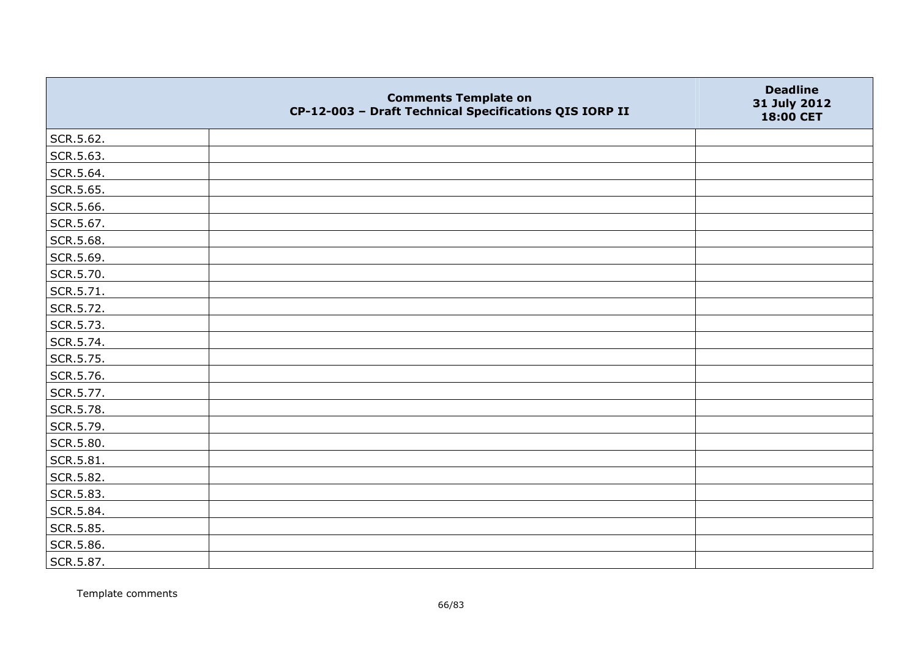|           | <b>Comments Template on</b><br>CP-12-003 - Draft Technical Specifications QIS IORP II | <b>Deadline</b><br>31 July 2012<br>18:00 CET |
|-----------|---------------------------------------------------------------------------------------|----------------------------------------------|
| SCR.5.62. |                                                                                       |                                              |
| SCR.5.63. |                                                                                       |                                              |
| SCR.5.64. |                                                                                       |                                              |
| SCR.5.65. |                                                                                       |                                              |
| SCR.5.66. |                                                                                       |                                              |
| SCR.5.67. |                                                                                       |                                              |
| SCR.5.68. |                                                                                       |                                              |
| SCR.5.69. |                                                                                       |                                              |
| SCR.5.70. |                                                                                       |                                              |
| SCR.5.71. |                                                                                       |                                              |
| SCR.5.72. |                                                                                       |                                              |
| SCR.5.73. |                                                                                       |                                              |
| SCR.5.74. |                                                                                       |                                              |
| SCR.5.75. |                                                                                       |                                              |
| SCR.5.76. |                                                                                       |                                              |
| SCR.5.77. |                                                                                       |                                              |
| SCR.5.78. |                                                                                       |                                              |
| SCR.5.79. |                                                                                       |                                              |
| SCR.5.80. |                                                                                       |                                              |
| SCR.5.81. |                                                                                       |                                              |
| SCR.5.82. |                                                                                       |                                              |
| SCR.5.83. |                                                                                       |                                              |
| SCR.5.84. |                                                                                       |                                              |
| SCR.5.85. |                                                                                       |                                              |
| SCR.5.86. |                                                                                       |                                              |
| SCR.5.87. |                                                                                       |                                              |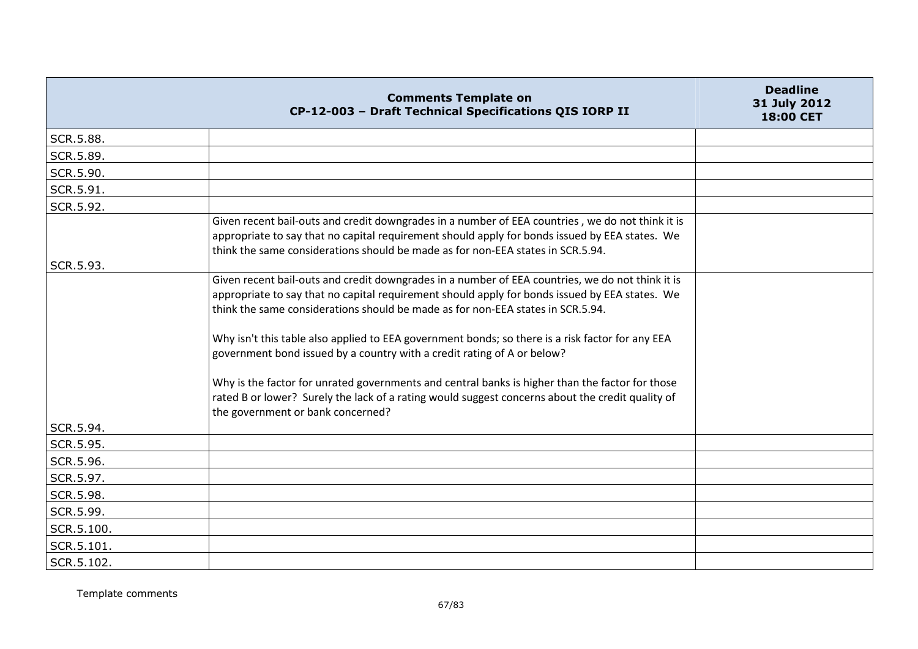|            | <b>Comments Template on</b><br>CP-12-003 - Draft Technical Specifications QIS IORP II                                                                                                                                                                                                 | <b>Deadline</b><br>31 July 2012<br>18:00 CET |
|------------|---------------------------------------------------------------------------------------------------------------------------------------------------------------------------------------------------------------------------------------------------------------------------------------|----------------------------------------------|
| SCR.5.88.  |                                                                                                                                                                                                                                                                                       |                                              |
| SCR.5.89.  |                                                                                                                                                                                                                                                                                       |                                              |
| SCR.5.90.  |                                                                                                                                                                                                                                                                                       |                                              |
| SCR.5.91.  |                                                                                                                                                                                                                                                                                       |                                              |
| SCR.5.92.  |                                                                                                                                                                                                                                                                                       |                                              |
|            | Given recent bail-outs and credit downgrades in a number of EEA countries, we do not think it is<br>appropriate to say that no capital requirement should apply for bonds issued by EEA states. We<br>think the same considerations should be made as for non-EEA states in SCR.5.94. |                                              |
| SCR.5.93.  |                                                                                                                                                                                                                                                                                       |                                              |
|            | Given recent bail-outs and credit downgrades in a number of EEA countries, we do not think it is<br>appropriate to say that no capital requirement should apply for bonds issued by EEA states. We<br>think the same considerations should be made as for non-EEA states in SCR.5.94. |                                              |
|            | Why isn't this table also applied to EEA government bonds; so there is a risk factor for any EEA<br>government bond issued by a country with a credit rating of A or below?                                                                                                           |                                              |
|            | Why is the factor for unrated governments and central banks is higher than the factor for those<br>rated B or lower? Surely the lack of a rating would suggest concerns about the credit quality of<br>the government or bank concerned?                                              |                                              |
| SCR.5.94.  |                                                                                                                                                                                                                                                                                       |                                              |
| SCR.5.95.  |                                                                                                                                                                                                                                                                                       |                                              |
| SCR.5.96.  |                                                                                                                                                                                                                                                                                       |                                              |
| SCR.5.97.  |                                                                                                                                                                                                                                                                                       |                                              |
| SCR.5.98.  |                                                                                                                                                                                                                                                                                       |                                              |
| SCR.5.99.  |                                                                                                                                                                                                                                                                                       |                                              |
| SCR.5.100. |                                                                                                                                                                                                                                                                                       |                                              |
| SCR.5.101. |                                                                                                                                                                                                                                                                                       |                                              |
| SCR.5.102. |                                                                                                                                                                                                                                                                                       |                                              |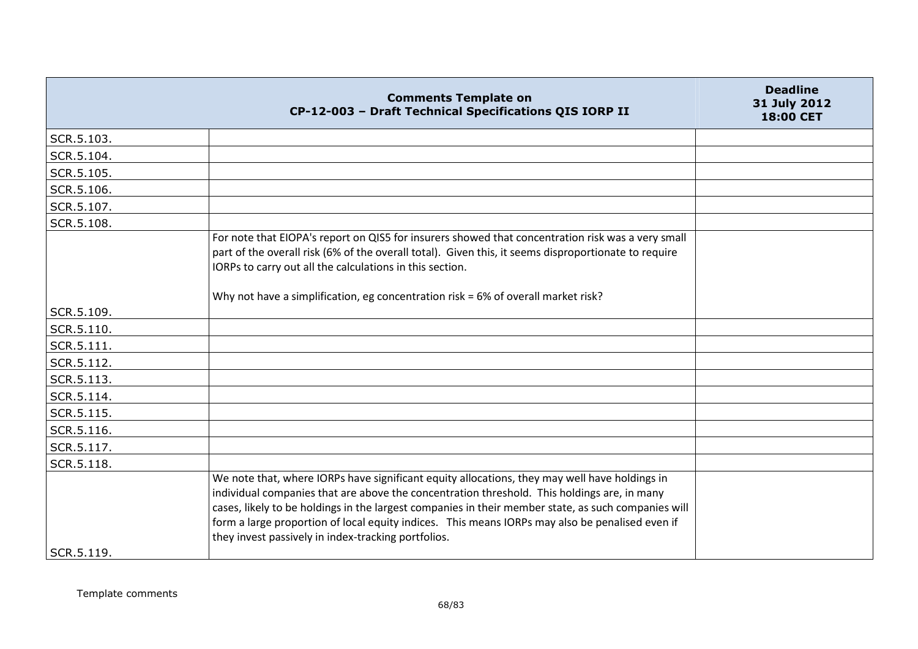|            | <b>Comments Template on</b><br>CP-12-003 - Draft Technical Specifications QIS IORP II                                                                                                                                                                                                                                                                                                                                                                         | <b>Deadline</b><br>31 July 2012<br>18:00 CET |
|------------|---------------------------------------------------------------------------------------------------------------------------------------------------------------------------------------------------------------------------------------------------------------------------------------------------------------------------------------------------------------------------------------------------------------------------------------------------------------|----------------------------------------------|
| SCR.5.103. |                                                                                                                                                                                                                                                                                                                                                                                                                                                               |                                              |
| SCR.5.104. |                                                                                                                                                                                                                                                                                                                                                                                                                                                               |                                              |
| SCR.5.105. |                                                                                                                                                                                                                                                                                                                                                                                                                                                               |                                              |
| SCR.5.106. |                                                                                                                                                                                                                                                                                                                                                                                                                                                               |                                              |
| SCR.5.107. |                                                                                                                                                                                                                                                                                                                                                                                                                                                               |                                              |
| SCR.5.108. |                                                                                                                                                                                                                                                                                                                                                                                                                                                               |                                              |
|            | For note that EIOPA's report on QIS5 for insurers showed that concentration risk was a very small<br>part of the overall risk (6% of the overall total). Given this, it seems disproportionate to require<br>IORPs to carry out all the calculations in this section.<br>Why not have a simplification, eg concentration risk = 6% of overall market risk?                                                                                                    |                                              |
| SCR.5.109. |                                                                                                                                                                                                                                                                                                                                                                                                                                                               |                                              |
| SCR.5.110. |                                                                                                                                                                                                                                                                                                                                                                                                                                                               |                                              |
| SCR.5.111. |                                                                                                                                                                                                                                                                                                                                                                                                                                                               |                                              |
| SCR.5.112. |                                                                                                                                                                                                                                                                                                                                                                                                                                                               |                                              |
| SCR.5.113. |                                                                                                                                                                                                                                                                                                                                                                                                                                                               |                                              |
| SCR.5.114. |                                                                                                                                                                                                                                                                                                                                                                                                                                                               |                                              |
| SCR.5.115. |                                                                                                                                                                                                                                                                                                                                                                                                                                                               |                                              |
| SCR.5.116. |                                                                                                                                                                                                                                                                                                                                                                                                                                                               |                                              |
| SCR.5.117. |                                                                                                                                                                                                                                                                                                                                                                                                                                                               |                                              |
| SCR.5.118. |                                                                                                                                                                                                                                                                                                                                                                                                                                                               |                                              |
| SCR.5.119. | We note that, where IORPs have significant equity allocations, they may well have holdings in<br>individual companies that are above the concentration threshold. This holdings are, in many<br>cases, likely to be holdings in the largest companies in their member state, as such companies will<br>form a large proportion of local equity indices. This means IORPs may also be penalised even if<br>they invest passively in index-tracking portfolios. |                                              |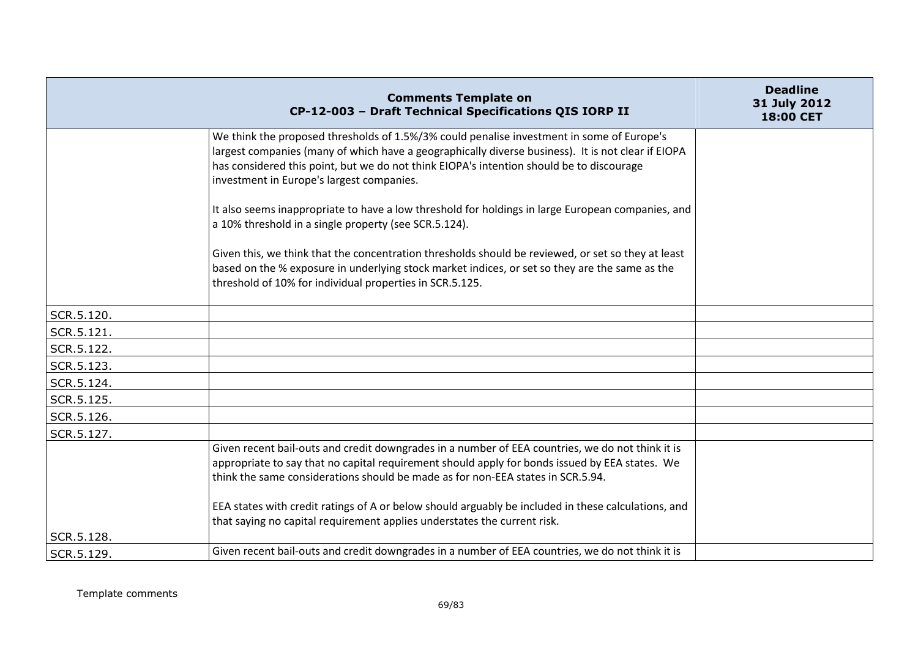|            | <b>Comments Template on</b><br>CP-12-003 - Draft Technical Specifications QIS IORP II                                                                                                                                                                                                                                                                                                        | <b>Deadline</b><br>31 July 2012<br>18:00 CET |
|------------|----------------------------------------------------------------------------------------------------------------------------------------------------------------------------------------------------------------------------------------------------------------------------------------------------------------------------------------------------------------------------------------------|----------------------------------------------|
|            | We think the proposed thresholds of 1.5%/3% could penalise investment in some of Europe's<br>largest companies (many of which have a geographically diverse business). It is not clear if EIOPA<br>has considered this point, but we do not think EIOPA's intention should be to discourage<br>investment in Europe's largest companies.                                                     |                                              |
|            | It also seems inappropriate to have a low threshold for holdings in large European companies, and<br>a 10% threshold in a single property (see SCR.5.124).                                                                                                                                                                                                                                   |                                              |
|            | Given this, we think that the concentration thresholds should be reviewed, or set so they at least<br>based on the % exposure in underlying stock market indices, or set so they are the same as the<br>threshold of 10% for individual properties in SCR.5.125.                                                                                                                             |                                              |
| SCR.5.120. |                                                                                                                                                                                                                                                                                                                                                                                              |                                              |
| SCR.5.121. |                                                                                                                                                                                                                                                                                                                                                                                              |                                              |
| SCR.5.122. |                                                                                                                                                                                                                                                                                                                                                                                              |                                              |
| SCR.5.123. |                                                                                                                                                                                                                                                                                                                                                                                              |                                              |
| SCR.5.124. |                                                                                                                                                                                                                                                                                                                                                                                              |                                              |
| SCR.5.125. |                                                                                                                                                                                                                                                                                                                                                                                              |                                              |
| SCR.5.126. |                                                                                                                                                                                                                                                                                                                                                                                              |                                              |
| SCR.5.127. |                                                                                                                                                                                                                                                                                                                                                                                              |                                              |
|            | Given recent bail-outs and credit downgrades in a number of EEA countries, we do not think it is<br>appropriate to say that no capital requirement should apply for bonds issued by EEA states. We<br>think the same considerations should be made as for non-EEA states in SCR.5.94.<br>EEA states with credit ratings of A or below should arguably be included in these calculations, and |                                              |
|            | that saying no capital requirement applies understates the current risk.                                                                                                                                                                                                                                                                                                                     |                                              |
| SCR.5.128. |                                                                                                                                                                                                                                                                                                                                                                                              |                                              |
| SCR.5.129. | Given recent bail-outs and credit downgrades in a number of EEA countries, we do not think it is                                                                                                                                                                                                                                                                                             |                                              |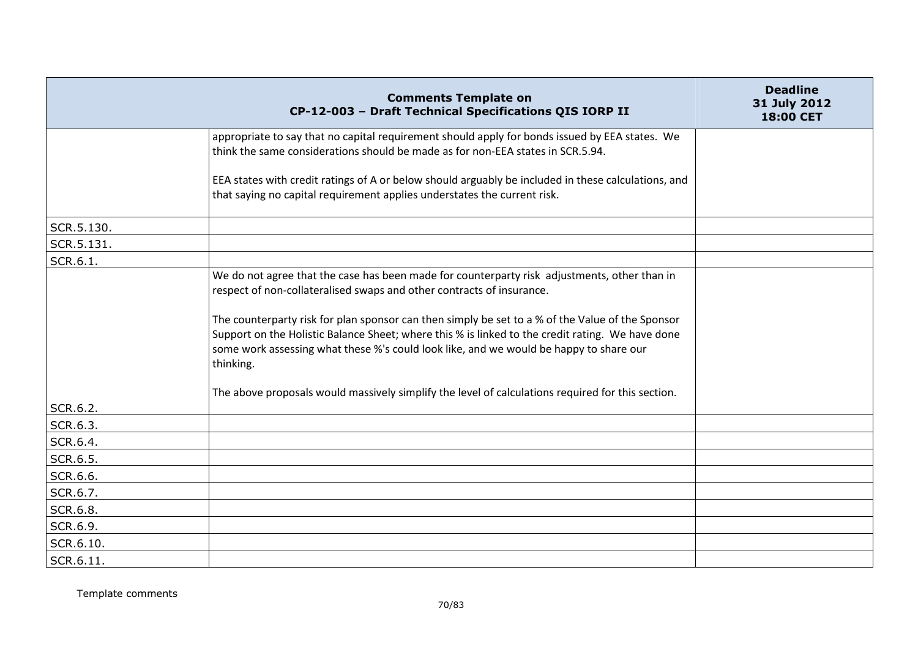|            | <b>Comments Template on</b><br>CP-12-003 - Draft Technical Specifications QIS IORP II                                                                                                                                                                                                                       | <b>Deadline</b><br>31 July 2012<br><b>18:00 CET</b> |
|------------|-------------------------------------------------------------------------------------------------------------------------------------------------------------------------------------------------------------------------------------------------------------------------------------------------------------|-----------------------------------------------------|
|            | appropriate to say that no capital requirement should apply for bonds issued by EEA states. We<br>think the same considerations should be made as for non-EEA states in SCR.5.94.                                                                                                                           |                                                     |
|            | EEA states with credit ratings of A or below should arguably be included in these calculations, and<br>that saying no capital requirement applies understates the current risk.                                                                                                                             |                                                     |
| SCR.5.130. |                                                                                                                                                                                                                                                                                                             |                                                     |
| SCR.5.131. |                                                                                                                                                                                                                                                                                                             |                                                     |
| SCR.6.1.   |                                                                                                                                                                                                                                                                                                             |                                                     |
|            | We do not agree that the case has been made for counterparty risk adjustments, other than in<br>respect of non-collateralised swaps and other contracts of insurance.                                                                                                                                       |                                                     |
|            | The counterparty risk for plan sponsor can then simply be set to a % of the Value of the Sponsor<br>Support on the Holistic Balance Sheet; where this % is linked to the credit rating. We have done<br>some work assessing what these %'s could look like, and we would be happy to share our<br>thinking. |                                                     |
|            | The above proposals would massively simplify the level of calculations required for this section.                                                                                                                                                                                                           |                                                     |
| SCR.6.2.   |                                                                                                                                                                                                                                                                                                             |                                                     |
| SCR.6.3.   |                                                                                                                                                                                                                                                                                                             |                                                     |
| SCR.6.4.   |                                                                                                                                                                                                                                                                                                             |                                                     |
| SCR.6.5.   |                                                                                                                                                                                                                                                                                                             |                                                     |
| SCR.6.6.   |                                                                                                                                                                                                                                                                                                             |                                                     |
| SCR.6.7.   |                                                                                                                                                                                                                                                                                                             |                                                     |
| SCR.6.8.   |                                                                                                                                                                                                                                                                                                             |                                                     |
| SCR.6.9.   |                                                                                                                                                                                                                                                                                                             |                                                     |
| SCR.6.10.  |                                                                                                                                                                                                                                                                                                             |                                                     |
| SCR.6.11.  |                                                                                                                                                                                                                                                                                                             |                                                     |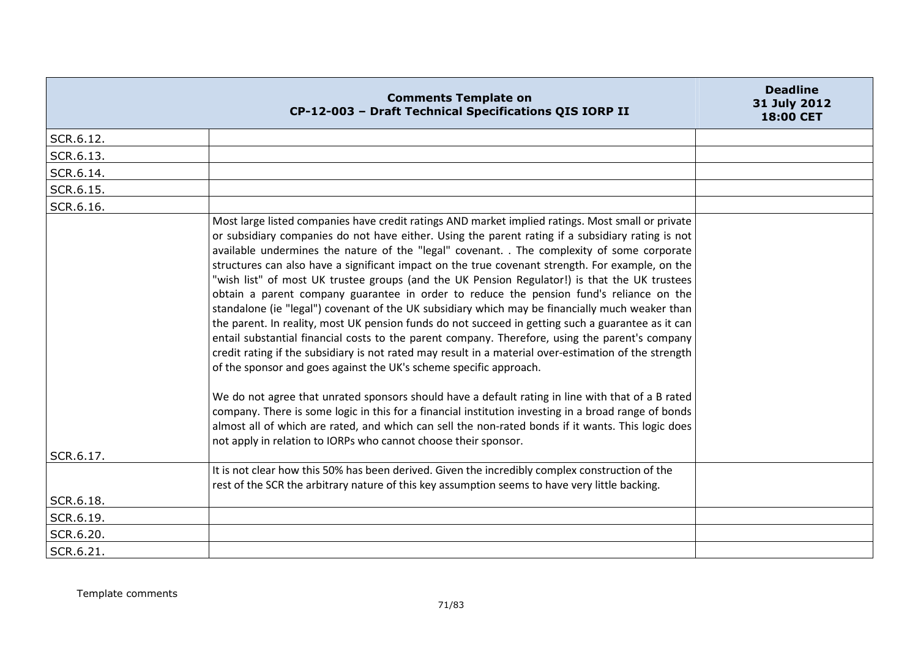|           | <b>Comments Template on</b><br>CP-12-003 - Draft Technical Specifications QIS IORP II                                                                                                                                                                                                                                                                                                                                                                                                                                                                                                                                                                                                                                                                                                                                                                                                                                                                                                                                                                                                                                                                                                                                                                                                                                                                                                                                                                                                  | <b>Deadline</b><br>31 July 2012<br>18:00 CET |
|-----------|----------------------------------------------------------------------------------------------------------------------------------------------------------------------------------------------------------------------------------------------------------------------------------------------------------------------------------------------------------------------------------------------------------------------------------------------------------------------------------------------------------------------------------------------------------------------------------------------------------------------------------------------------------------------------------------------------------------------------------------------------------------------------------------------------------------------------------------------------------------------------------------------------------------------------------------------------------------------------------------------------------------------------------------------------------------------------------------------------------------------------------------------------------------------------------------------------------------------------------------------------------------------------------------------------------------------------------------------------------------------------------------------------------------------------------------------------------------------------------------|----------------------------------------------|
| SCR.6.12. |                                                                                                                                                                                                                                                                                                                                                                                                                                                                                                                                                                                                                                                                                                                                                                                                                                                                                                                                                                                                                                                                                                                                                                                                                                                                                                                                                                                                                                                                                        |                                              |
| SCR.6.13. |                                                                                                                                                                                                                                                                                                                                                                                                                                                                                                                                                                                                                                                                                                                                                                                                                                                                                                                                                                                                                                                                                                                                                                                                                                                                                                                                                                                                                                                                                        |                                              |
| SCR.6.14. |                                                                                                                                                                                                                                                                                                                                                                                                                                                                                                                                                                                                                                                                                                                                                                                                                                                                                                                                                                                                                                                                                                                                                                                                                                                                                                                                                                                                                                                                                        |                                              |
| SCR.6.15. |                                                                                                                                                                                                                                                                                                                                                                                                                                                                                                                                                                                                                                                                                                                                                                                                                                                                                                                                                                                                                                                                                                                                                                                                                                                                                                                                                                                                                                                                                        |                                              |
| SCR.6.16. |                                                                                                                                                                                                                                                                                                                                                                                                                                                                                                                                                                                                                                                                                                                                                                                                                                                                                                                                                                                                                                                                                                                                                                                                                                                                                                                                                                                                                                                                                        |                                              |
|           | Most large listed companies have credit ratings AND market implied ratings. Most small or private<br>or subsidiary companies do not have either. Using the parent rating if a subsidiary rating is not<br>available undermines the nature of the "legal" covenant. . The complexity of some corporate<br>structures can also have a significant impact on the true covenant strength. For example, on the<br>"wish list" of most UK trustee groups (and the UK Pension Regulator!) is that the UK trustees<br>obtain a parent company guarantee in order to reduce the pension fund's reliance on the<br>standalone (ie "legal") covenant of the UK subsidiary which may be financially much weaker than<br>the parent. In reality, most UK pension funds do not succeed in getting such a guarantee as it can<br>entail substantial financial costs to the parent company. Therefore, using the parent's company<br>credit rating if the subsidiary is not rated may result in a material over-estimation of the strength<br>of the sponsor and goes against the UK's scheme specific approach.<br>We do not agree that unrated sponsors should have a default rating in line with that of a B rated<br>company. There is some logic in this for a financial institution investing in a broad range of bonds<br>almost all of which are rated, and which can sell the non-rated bonds if it wants. This logic does<br>not apply in relation to IORPs who cannot choose their sponsor. |                                              |
| SCR.6.17. |                                                                                                                                                                                                                                                                                                                                                                                                                                                                                                                                                                                                                                                                                                                                                                                                                                                                                                                                                                                                                                                                                                                                                                                                                                                                                                                                                                                                                                                                                        |                                              |
|           | It is not clear how this 50% has been derived. Given the incredibly complex construction of the<br>rest of the SCR the arbitrary nature of this key assumption seems to have very little backing.                                                                                                                                                                                                                                                                                                                                                                                                                                                                                                                                                                                                                                                                                                                                                                                                                                                                                                                                                                                                                                                                                                                                                                                                                                                                                      |                                              |
| SCR.6.18. |                                                                                                                                                                                                                                                                                                                                                                                                                                                                                                                                                                                                                                                                                                                                                                                                                                                                                                                                                                                                                                                                                                                                                                                                                                                                                                                                                                                                                                                                                        |                                              |
| SCR.6.19. |                                                                                                                                                                                                                                                                                                                                                                                                                                                                                                                                                                                                                                                                                                                                                                                                                                                                                                                                                                                                                                                                                                                                                                                                                                                                                                                                                                                                                                                                                        |                                              |
| SCR.6.20. |                                                                                                                                                                                                                                                                                                                                                                                                                                                                                                                                                                                                                                                                                                                                                                                                                                                                                                                                                                                                                                                                                                                                                                                                                                                                                                                                                                                                                                                                                        |                                              |
| SCR.6.21. |                                                                                                                                                                                                                                                                                                                                                                                                                                                                                                                                                                                                                                                                                                                                                                                                                                                                                                                                                                                                                                                                                                                                                                                                                                                                                                                                                                                                                                                                                        |                                              |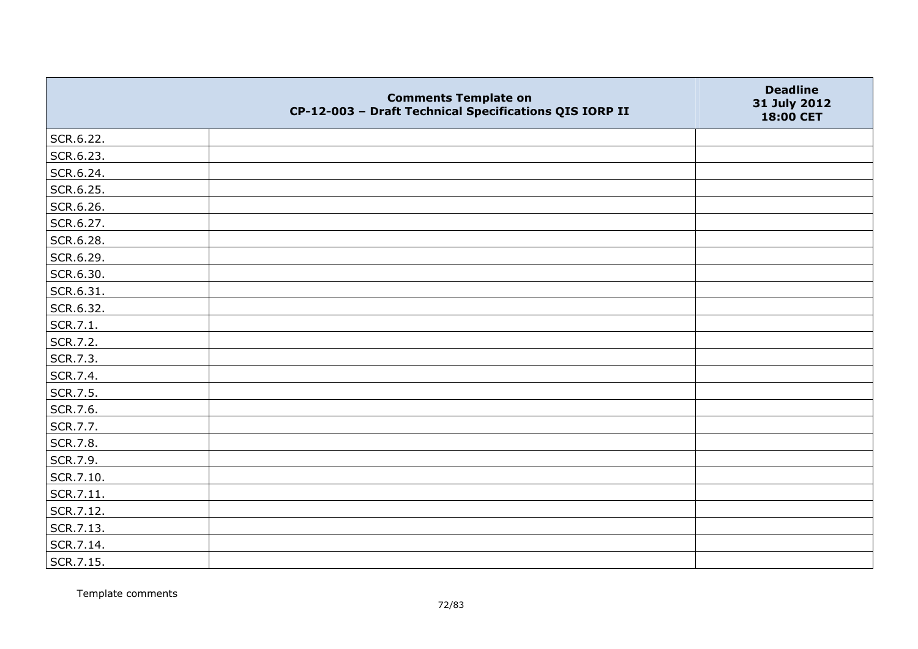|           | <b>Comments Template on</b><br>CP-12-003 - Draft Technical Specifications QIS IORP II | <b>Deadline</b><br>31 July 2012<br>18:00 CET |
|-----------|---------------------------------------------------------------------------------------|----------------------------------------------|
| SCR.6.22. |                                                                                       |                                              |
| SCR.6.23. |                                                                                       |                                              |
| SCR.6.24. |                                                                                       |                                              |
| SCR.6.25. |                                                                                       |                                              |
| SCR.6.26. |                                                                                       |                                              |
| SCR.6.27. |                                                                                       |                                              |
| SCR.6.28. |                                                                                       |                                              |
| SCR.6.29. |                                                                                       |                                              |
| SCR.6.30. |                                                                                       |                                              |
| SCR.6.31. |                                                                                       |                                              |
| SCR.6.32. |                                                                                       |                                              |
| SCR.7.1.  |                                                                                       |                                              |
| SCR.7.2.  |                                                                                       |                                              |
| SCR.7.3.  |                                                                                       |                                              |
| SCR.7.4.  |                                                                                       |                                              |
| SCR.7.5.  |                                                                                       |                                              |
| SCR.7.6.  |                                                                                       |                                              |
| SCR.7.7.  |                                                                                       |                                              |
| SCR.7.8.  |                                                                                       |                                              |
| SCR.7.9.  |                                                                                       |                                              |
| SCR.7.10. |                                                                                       |                                              |
| SCR.7.11. |                                                                                       |                                              |
| SCR.7.12. |                                                                                       |                                              |
| SCR.7.13. |                                                                                       |                                              |
| SCR.7.14. |                                                                                       |                                              |
| SCR.7.15. |                                                                                       |                                              |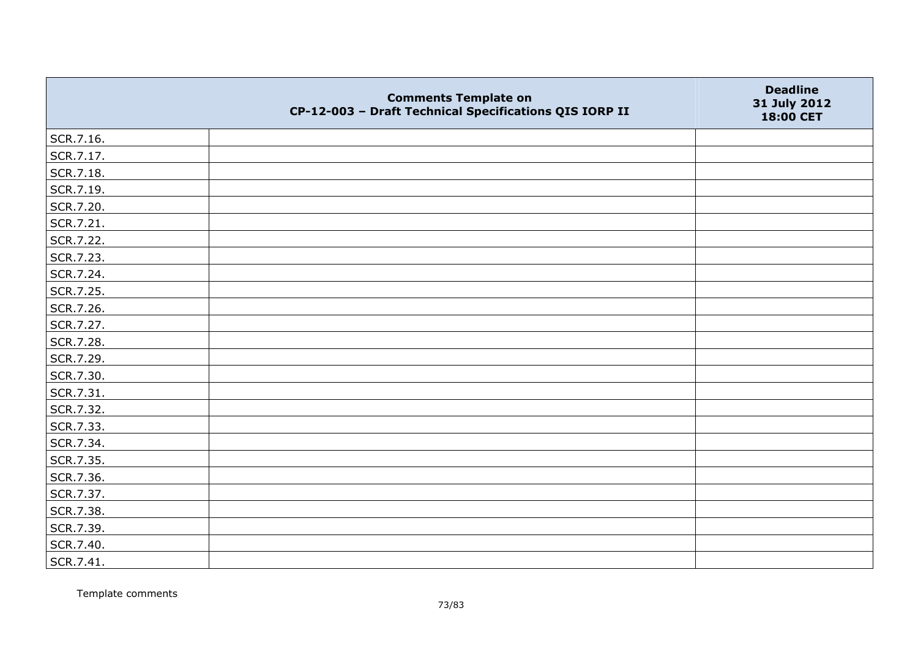|           | <b>Comments Template on</b><br>CP-12-003 - Draft Technical Specifications QIS IORP II | <b>Deadline</b><br>31 July 2012<br>18:00 CET |
|-----------|---------------------------------------------------------------------------------------|----------------------------------------------|
| SCR.7.16. |                                                                                       |                                              |
| SCR.7.17. |                                                                                       |                                              |
| SCR.7.18. |                                                                                       |                                              |
| SCR.7.19. |                                                                                       |                                              |
| SCR.7.20. |                                                                                       |                                              |
| SCR.7.21. |                                                                                       |                                              |
| SCR.7.22. |                                                                                       |                                              |
| SCR.7.23. |                                                                                       |                                              |
| SCR.7.24. |                                                                                       |                                              |
| SCR.7.25. |                                                                                       |                                              |
| SCR.7.26. |                                                                                       |                                              |
| SCR.7.27. |                                                                                       |                                              |
| SCR.7.28. |                                                                                       |                                              |
| SCR.7.29. |                                                                                       |                                              |
| SCR.7.30. |                                                                                       |                                              |
| SCR.7.31. |                                                                                       |                                              |
| SCR.7.32. |                                                                                       |                                              |
| SCR.7.33. |                                                                                       |                                              |
| SCR.7.34. |                                                                                       |                                              |
| SCR.7.35. |                                                                                       |                                              |
| SCR.7.36. |                                                                                       |                                              |
| SCR.7.37. |                                                                                       |                                              |
| SCR.7.38. |                                                                                       |                                              |
| SCR.7.39. |                                                                                       |                                              |
| SCR.7.40. |                                                                                       |                                              |
| SCR.7.41. |                                                                                       |                                              |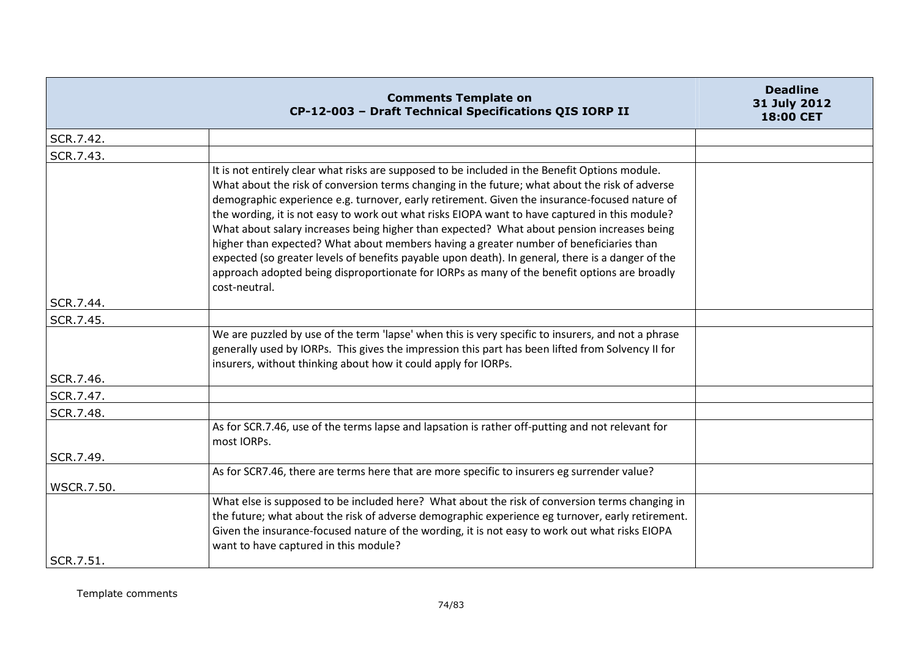|                        | <b>Comments Template on</b><br>CP-12-003 - Draft Technical Specifications QIS IORP II                                                                                                                                                                                                                                                                                                                                                                                                                                                                                                                                                                                                                                                                                                                             | <b>Deadline</b><br>31 July 2012<br>18:00 CET |
|------------------------|-------------------------------------------------------------------------------------------------------------------------------------------------------------------------------------------------------------------------------------------------------------------------------------------------------------------------------------------------------------------------------------------------------------------------------------------------------------------------------------------------------------------------------------------------------------------------------------------------------------------------------------------------------------------------------------------------------------------------------------------------------------------------------------------------------------------|----------------------------------------------|
| SCR.7.42.              |                                                                                                                                                                                                                                                                                                                                                                                                                                                                                                                                                                                                                                                                                                                                                                                                                   |                                              |
| SCR.7.43.              |                                                                                                                                                                                                                                                                                                                                                                                                                                                                                                                                                                                                                                                                                                                                                                                                                   |                                              |
|                        | It is not entirely clear what risks are supposed to be included in the Benefit Options module.<br>What about the risk of conversion terms changing in the future; what about the risk of adverse<br>demographic experience e.g. turnover, early retirement. Given the insurance-focused nature of<br>the wording, it is not easy to work out what risks EIOPA want to have captured in this module?<br>What about salary increases being higher than expected? What about pension increases being<br>higher than expected? What about members having a greater number of beneficiaries than<br>expected (so greater levels of benefits payable upon death). In general, there is a danger of the<br>approach adopted being disproportionate for IORPs as many of the benefit options are broadly<br>cost-neutral. |                                              |
| SCR.7.44.              |                                                                                                                                                                                                                                                                                                                                                                                                                                                                                                                                                                                                                                                                                                                                                                                                                   |                                              |
| SCR.7.45.              |                                                                                                                                                                                                                                                                                                                                                                                                                                                                                                                                                                                                                                                                                                                                                                                                                   |                                              |
|                        | We are puzzled by use of the term 'lapse' when this is very specific to insurers, and not a phrase<br>generally used by IORPs. This gives the impression this part has been lifted from Solvency II for<br>insurers, without thinking about how it could apply for IORPs.                                                                                                                                                                                                                                                                                                                                                                                                                                                                                                                                         |                                              |
| SCR.7.46.<br>SCR.7.47. |                                                                                                                                                                                                                                                                                                                                                                                                                                                                                                                                                                                                                                                                                                                                                                                                                   |                                              |
| SCR.7.48.              |                                                                                                                                                                                                                                                                                                                                                                                                                                                                                                                                                                                                                                                                                                                                                                                                                   |                                              |
| SCR.7.49.              | As for SCR.7.46, use of the terms lapse and lapsation is rather off-putting and not relevant for<br>most IORPs.                                                                                                                                                                                                                                                                                                                                                                                                                                                                                                                                                                                                                                                                                                   |                                              |
|                        | As for SCR7.46, there are terms here that are more specific to insurers eg surrender value?                                                                                                                                                                                                                                                                                                                                                                                                                                                                                                                                                                                                                                                                                                                       |                                              |
| <b>WSCR.7.50.</b>      |                                                                                                                                                                                                                                                                                                                                                                                                                                                                                                                                                                                                                                                                                                                                                                                                                   |                                              |
| SCR.7.51.              | What else is supposed to be included here? What about the risk of conversion terms changing in<br>the future; what about the risk of adverse demographic experience eg turnover, early retirement.<br>Given the insurance-focused nature of the wording, it is not easy to work out what risks EIOPA<br>want to have captured in this module?                                                                                                                                                                                                                                                                                                                                                                                                                                                                     |                                              |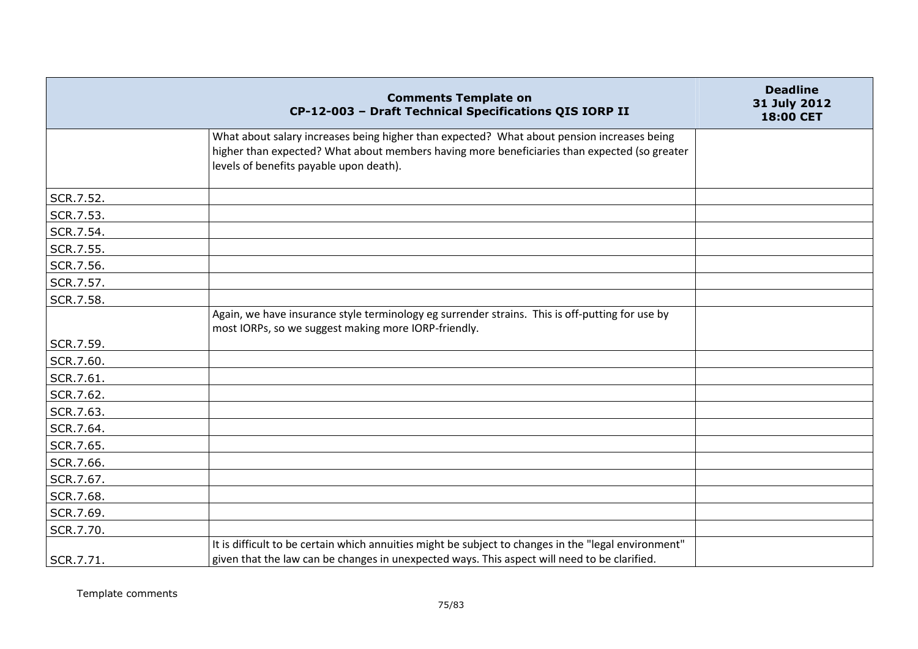|           | <b>Comments Template on</b><br>CP-12-003 - Draft Technical Specifications QIS IORP II                                                                                                                                                 | <b>Deadline</b><br>31 July 2012<br>18:00 CET |
|-----------|---------------------------------------------------------------------------------------------------------------------------------------------------------------------------------------------------------------------------------------|----------------------------------------------|
|           | What about salary increases being higher than expected? What about pension increases being<br>higher than expected? What about members having more beneficiaries than expected (so greater<br>levels of benefits payable upon death). |                                              |
| SCR.7.52. |                                                                                                                                                                                                                                       |                                              |
| SCR.7.53. |                                                                                                                                                                                                                                       |                                              |
| SCR.7.54. |                                                                                                                                                                                                                                       |                                              |
| SCR.7.55. |                                                                                                                                                                                                                                       |                                              |
| SCR.7.56. |                                                                                                                                                                                                                                       |                                              |
| SCR.7.57. |                                                                                                                                                                                                                                       |                                              |
| SCR.7.58. |                                                                                                                                                                                                                                       |                                              |
|           | Again, we have insurance style terminology eg surrender strains. This is off-putting for use by<br>most IORPs, so we suggest making more IORP-friendly.                                                                               |                                              |
| SCR.7.59. |                                                                                                                                                                                                                                       |                                              |
| SCR.7.60. |                                                                                                                                                                                                                                       |                                              |
| SCR.7.61. |                                                                                                                                                                                                                                       |                                              |
| SCR.7.62. |                                                                                                                                                                                                                                       |                                              |
| SCR.7.63. |                                                                                                                                                                                                                                       |                                              |
| SCR.7.64. |                                                                                                                                                                                                                                       |                                              |
| SCR.7.65. |                                                                                                                                                                                                                                       |                                              |
| SCR.7.66. |                                                                                                                                                                                                                                       |                                              |
| SCR.7.67. |                                                                                                                                                                                                                                       |                                              |
| SCR.7.68. |                                                                                                                                                                                                                                       |                                              |
| SCR.7.69. |                                                                                                                                                                                                                                       |                                              |
| SCR.7.70. |                                                                                                                                                                                                                                       |                                              |
| SCR.7.71. | It is difficult to be certain which annuities might be subject to changes in the "legal environment"<br>given that the law can be changes in unexpected ways. This aspect will need to be clarified.                                  |                                              |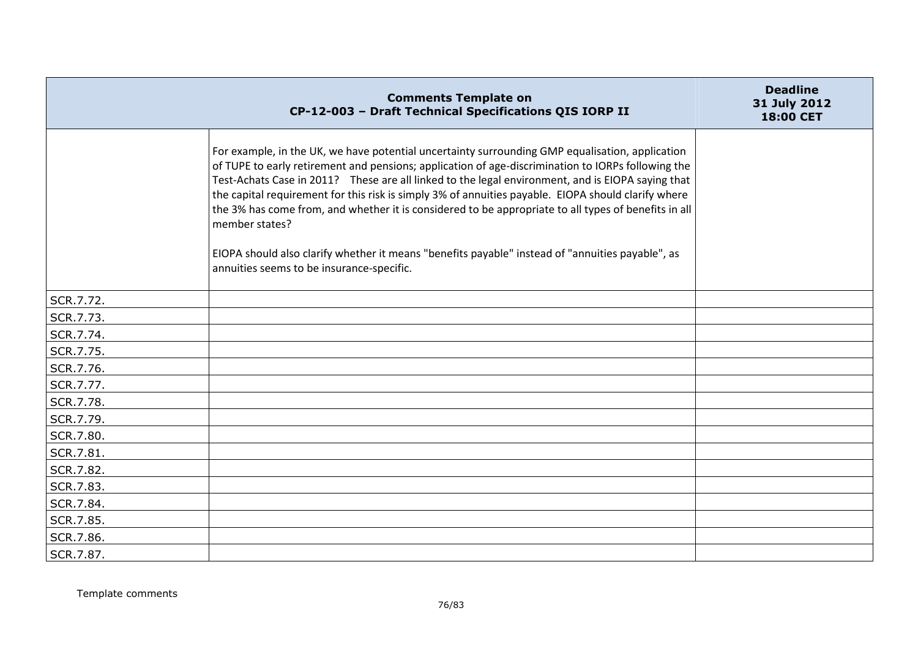|           | <b>Comments Template on</b><br>CP-12-003 - Draft Technical Specifications QIS IORP II                                                                                                                                                                                                                                                                                                                                                                                                                                                                                                                                                                                                        | <b>Deadline</b><br>31 July 2012<br>18:00 CET |
|-----------|----------------------------------------------------------------------------------------------------------------------------------------------------------------------------------------------------------------------------------------------------------------------------------------------------------------------------------------------------------------------------------------------------------------------------------------------------------------------------------------------------------------------------------------------------------------------------------------------------------------------------------------------------------------------------------------------|----------------------------------------------|
|           | For example, in the UK, we have potential uncertainty surrounding GMP equalisation, application<br>of TUPE to early retirement and pensions; application of age-discrimination to IORPs following the<br>Test-Achats Case in 2011? These are all linked to the legal environment, and is EIOPA saying that<br>the capital requirement for this risk is simply 3% of annuities payable. EIOPA should clarify where<br>the 3% has come from, and whether it is considered to be appropriate to all types of benefits in all<br>member states?<br>EIOPA should also clarify whether it means "benefits payable" instead of "annuities payable", as<br>annuities seems to be insurance-specific. |                                              |
| SCR.7.72. |                                                                                                                                                                                                                                                                                                                                                                                                                                                                                                                                                                                                                                                                                              |                                              |
| SCR.7.73. |                                                                                                                                                                                                                                                                                                                                                                                                                                                                                                                                                                                                                                                                                              |                                              |
| SCR.7.74. |                                                                                                                                                                                                                                                                                                                                                                                                                                                                                                                                                                                                                                                                                              |                                              |
| SCR.7.75. |                                                                                                                                                                                                                                                                                                                                                                                                                                                                                                                                                                                                                                                                                              |                                              |
| SCR.7.76. |                                                                                                                                                                                                                                                                                                                                                                                                                                                                                                                                                                                                                                                                                              |                                              |
| SCR.7.77. |                                                                                                                                                                                                                                                                                                                                                                                                                                                                                                                                                                                                                                                                                              |                                              |
| SCR.7.78. |                                                                                                                                                                                                                                                                                                                                                                                                                                                                                                                                                                                                                                                                                              |                                              |
| SCR.7.79. |                                                                                                                                                                                                                                                                                                                                                                                                                                                                                                                                                                                                                                                                                              |                                              |
| SCR.7.80. |                                                                                                                                                                                                                                                                                                                                                                                                                                                                                                                                                                                                                                                                                              |                                              |
| SCR.7.81. |                                                                                                                                                                                                                                                                                                                                                                                                                                                                                                                                                                                                                                                                                              |                                              |
| SCR.7.82. |                                                                                                                                                                                                                                                                                                                                                                                                                                                                                                                                                                                                                                                                                              |                                              |
| SCR.7.83. |                                                                                                                                                                                                                                                                                                                                                                                                                                                                                                                                                                                                                                                                                              |                                              |
| SCR.7.84. |                                                                                                                                                                                                                                                                                                                                                                                                                                                                                                                                                                                                                                                                                              |                                              |
| SCR.7.85. |                                                                                                                                                                                                                                                                                                                                                                                                                                                                                                                                                                                                                                                                                              |                                              |
| SCR.7.86. |                                                                                                                                                                                                                                                                                                                                                                                                                                                                                                                                                                                                                                                                                              |                                              |
| SCR.7.87. |                                                                                                                                                                                                                                                                                                                                                                                                                                                                                                                                                                                                                                                                                              |                                              |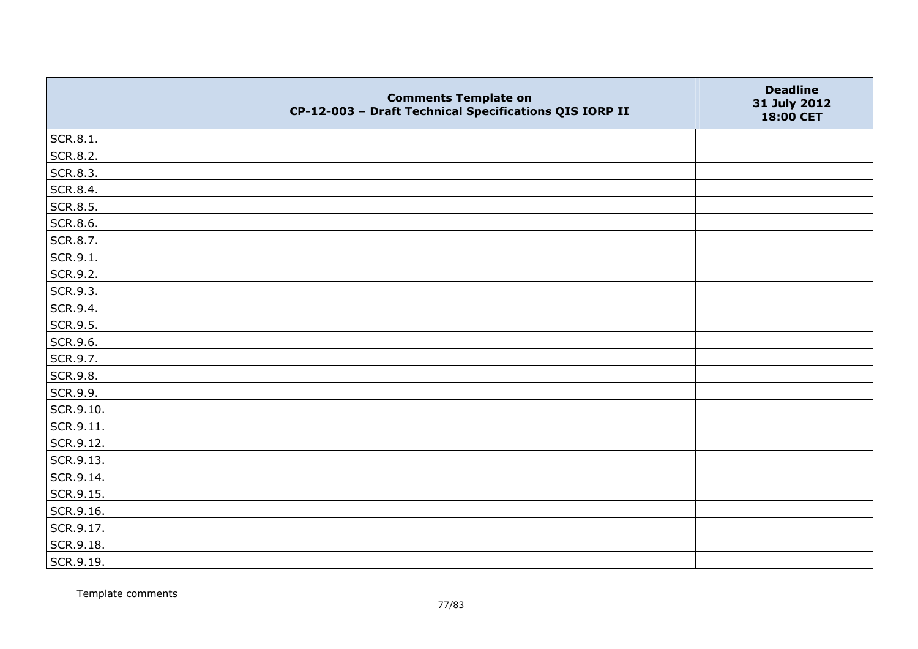|                 | <b>Comments Template on</b><br>CP-12-003 - Draft Technical Specifications QIS IORP II | <b>Deadline</b><br>31 July 2012<br>18:00 CET |
|-----------------|---------------------------------------------------------------------------------------|----------------------------------------------|
| SCR.8.1.        |                                                                                       |                                              |
| SCR.8.2.        |                                                                                       |                                              |
| SCR.8.3.        |                                                                                       |                                              |
| SCR.8.4.        |                                                                                       |                                              |
| SCR.8.5.        |                                                                                       |                                              |
| <b>SCR.8.6.</b> |                                                                                       |                                              |
| SCR.8.7.        |                                                                                       |                                              |
| $ $ SCR.9.1.    |                                                                                       |                                              |
| SCR.9.2.        |                                                                                       |                                              |
| SCR.9.3.        |                                                                                       |                                              |
| SCR.9.4.        |                                                                                       |                                              |
| SCR.9.5.        |                                                                                       |                                              |
| SCR.9.6.        |                                                                                       |                                              |
| SCR.9.7.        |                                                                                       |                                              |
| SCR.9.8.        |                                                                                       |                                              |
| SCR.9.9.        |                                                                                       |                                              |
| SCR.9.10.       |                                                                                       |                                              |
| SCR.9.11.       |                                                                                       |                                              |
| SCR.9.12.       |                                                                                       |                                              |
| SCR.9.13.       |                                                                                       |                                              |
| SCR.9.14.       |                                                                                       |                                              |
| SCR.9.15.       |                                                                                       |                                              |
| SCR.9.16.       |                                                                                       |                                              |
| SCR.9.17.       |                                                                                       |                                              |
| SCR.9.18.       |                                                                                       |                                              |
| SCR.9.19.       |                                                                                       |                                              |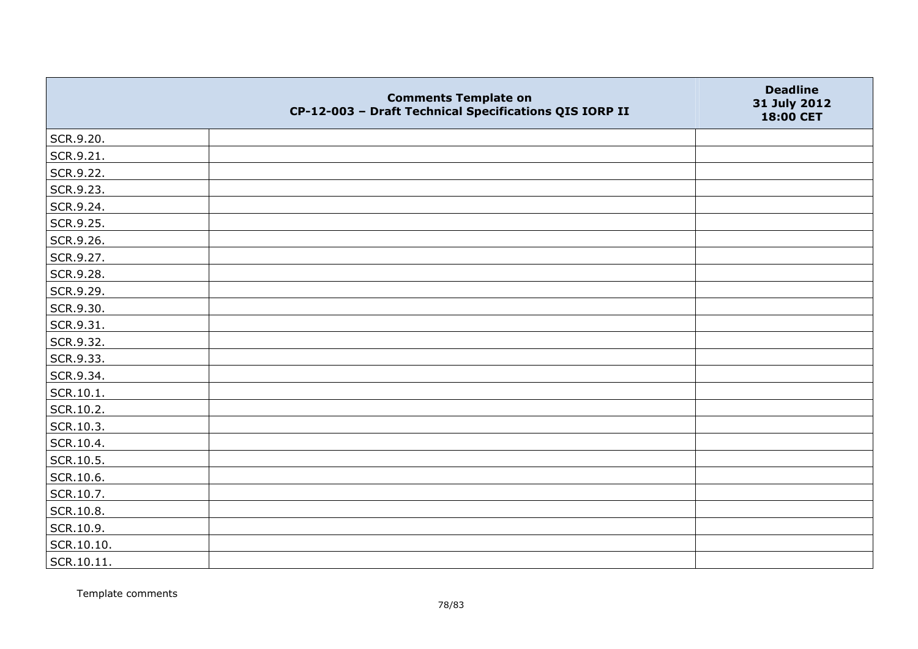|            | <b>Comments Template on</b><br>CP-12-003 - Draft Technical Specifications QIS IORP II | <b>Deadline</b><br>31 July 2012<br>18:00 CET |
|------------|---------------------------------------------------------------------------------------|----------------------------------------------|
| SCR.9.20.  |                                                                                       |                                              |
| SCR.9.21.  |                                                                                       |                                              |
| SCR.9.22.  |                                                                                       |                                              |
| SCR.9.23.  |                                                                                       |                                              |
| SCR.9.24.  |                                                                                       |                                              |
| SCR.9.25.  |                                                                                       |                                              |
| SCR.9.26.  |                                                                                       |                                              |
| SCR.9.27.  |                                                                                       |                                              |
| SCR.9.28.  |                                                                                       |                                              |
| SCR.9.29.  |                                                                                       |                                              |
| SCR.9.30.  |                                                                                       |                                              |
| SCR.9.31.  |                                                                                       |                                              |
| SCR.9.32.  |                                                                                       |                                              |
| SCR.9.33.  |                                                                                       |                                              |
| SCR.9.34.  |                                                                                       |                                              |
| SCR.10.1.  |                                                                                       |                                              |
| SCR.10.2.  |                                                                                       |                                              |
| SCR.10.3.  |                                                                                       |                                              |
| SCR.10.4.  |                                                                                       |                                              |
| SCR.10.5.  |                                                                                       |                                              |
| SCR.10.6.  |                                                                                       |                                              |
| SCR.10.7.  |                                                                                       |                                              |
| SCR.10.8.  |                                                                                       |                                              |
| SCR.10.9.  |                                                                                       |                                              |
| SCR.10.10. |                                                                                       |                                              |
| SCR.10.11. |                                                                                       |                                              |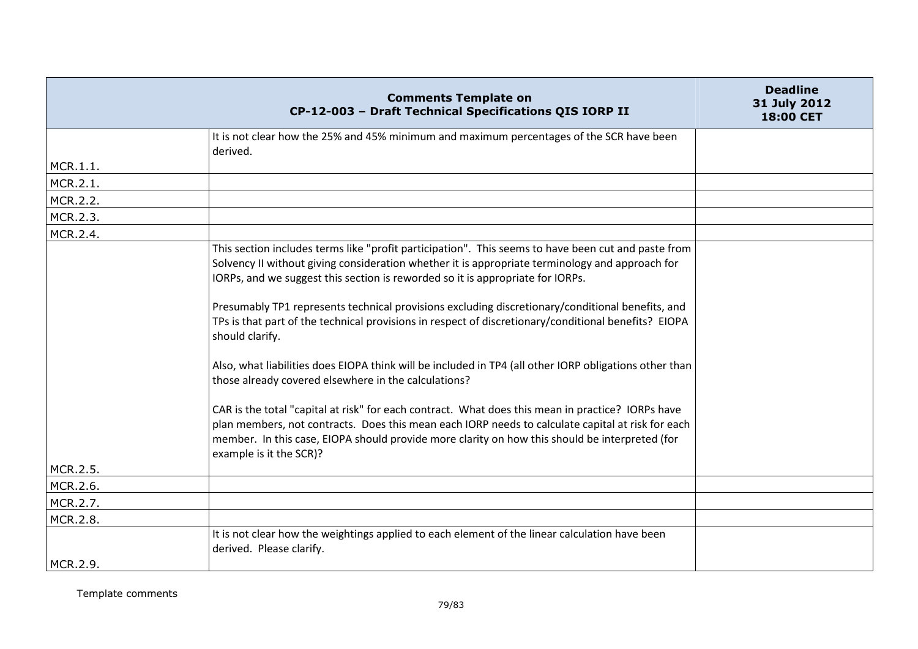|          | <b>Comments Template on</b><br>CP-12-003 - Draft Technical Specifications QIS IORP II                                                                                                                                                                                                                                               | <b>Deadline</b><br>31 July 2012<br>18:00 CET |
|----------|-------------------------------------------------------------------------------------------------------------------------------------------------------------------------------------------------------------------------------------------------------------------------------------------------------------------------------------|----------------------------------------------|
|          | It is not clear how the 25% and 45% minimum and maximum percentages of the SCR have been                                                                                                                                                                                                                                            |                                              |
|          | derived.                                                                                                                                                                                                                                                                                                                            |                                              |
| MCR.1.1. |                                                                                                                                                                                                                                                                                                                                     |                                              |
| MCR.2.1. |                                                                                                                                                                                                                                                                                                                                     |                                              |
| MCR.2.2. |                                                                                                                                                                                                                                                                                                                                     |                                              |
| MCR.2.3. |                                                                                                                                                                                                                                                                                                                                     |                                              |
| MCR.2.4. |                                                                                                                                                                                                                                                                                                                                     |                                              |
|          | This section includes terms like "profit participation". This seems to have been cut and paste from                                                                                                                                                                                                                                 |                                              |
|          | Solvency II without giving consideration whether it is appropriate terminology and approach for                                                                                                                                                                                                                                     |                                              |
|          | IORPs, and we suggest this section is reworded so it is appropriate for IORPs.                                                                                                                                                                                                                                                      |                                              |
|          | Presumably TP1 represents technical provisions excluding discretionary/conditional benefits, and                                                                                                                                                                                                                                    |                                              |
|          | TPs is that part of the technical provisions in respect of discretionary/conditional benefits? EIOPA<br>should clarify.                                                                                                                                                                                                             |                                              |
|          | Also, what liabilities does EIOPA think will be included in TP4 (all other IORP obligations other than<br>those already covered elsewhere in the calculations?                                                                                                                                                                      |                                              |
|          | CAR is the total "capital at risk" for each contract. What does this mean in practice? IORPs have<br>plan members, not contracts. Does this mean each IORP needs to calculate capital at risk for each<br>member. In this case, EIOPA should provide more clarity on how this should be interpreted (for<br>example is it the SCR)? |                                              |
| MCR.2.5. |                                                                                                                                                                                                                                                                                                                                     |                                              |
| MCR.2.6. |                                                                                                                                                                                                                                                                                                                                     |                                              |
| MCR.2.7. |                                                                                                                                                                                                                                                                                                                                     |                                              |
| MCR.2.8. |                                                                                                                                                                                                                                                                                                                                     |                                              |
|          | It is not clear how the weightings applied to each element of the linear calculation have been<br>derived. Please clarify.                                                                                                                                                                                                          |                                              |
| MCR.2.9. |                                                                                                                                                                                                                                                                                                                                     |                                              |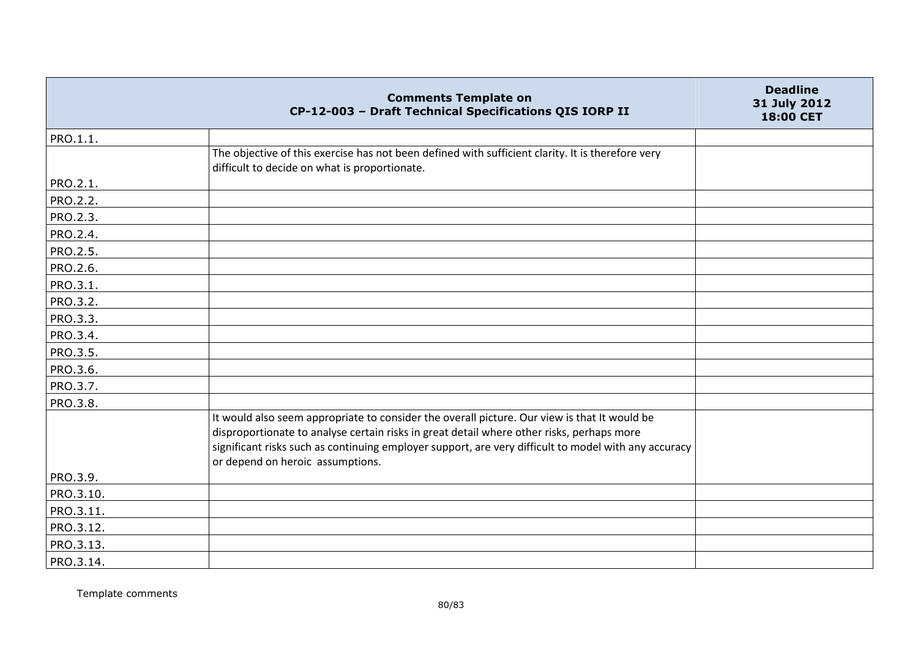|           | <b>Comments Template on</b><br>CP-12-003 - Draft Technical Specifications QIS IORP II                                                                                                                                                                                                                                                 | <b>Deadline</b><br>31 July 2012<br>18:00 CET |
|-----------|---------------------------------------------------------------------------------------------------------------------------------------------------------------------------------------------------------------------------------------------------------------------------------------------------------------------------------------|----------------------------------------------|
| PRO.1.1.  |                                                                                                                                                                                                                                                                                                                                       |                                              |
|           | The objective of this exercise has not been defined with sufficient clarity. It is therefore very<br>difficult to decide on what is proportionate.                                                                                                                                                                                    |                                              |
| PRO.2.1.  |                                                                                                                                                                                                                                                                                                                                       |                                              |
| PRO.2.2.  |                                                                                                                                                                                                                                                                                                                                       |                                              |
| PRO.2.3.  |                                                                                                                                                                                                                                                                                                                                       |                                              |
| PRO.2.4.  |                                                                                                                                                                                                                                                                                                                                       |                                              |
| PRO.2.5.  |                                                                                                                                                                                                                                                                                                                                       |                                              |
| PRO.2.6.  |                                                                                                                                                                                                                                                                                                                                       |                                              |
| PRO.3.1.  |                                                                                                                                                                                                                                                                                                                                       |                                              |
| PRO.3.2.  |                                                                                                                                                                                                                                                                                                                                       |                                              |
| PRO.3.3.  |                                                                                                                                                                                                                                                                                                                                       |                                              |
| PRO.3.4.  |                                                                                                                                                                                                                                                                                                                                       |                                              |
| PRO.3.5.  |                                                                                                                                                                                                                                                                                                                                       |                                              |
| PRO.3.6.  |                                                                                                                                                                                                                                                                                                                                       |                                              |
| PRO.3.7.  |                                                                                                                                                                                                                                                                                                                                       |                                              |
| PRO.3.8.  |                                                                                                                                                                                                                                                                                                                                       |                                              |
|           | It would also seem appropriate to consider the overall picture. Our view is that It would be<br>disproportionate to analyse certain risks in great detail where other risks, perhaps more<br>significant risks such as continuing employer support, are very difficult to model with any accuracy<br>or depend on heroic assumptions. |                                              |
| PRO.3.9.  |                                                                                                                                                                                                                                                                                                                                       |                                              |
| PRO.3.10. |                                                                                                                                                                                                                                                                                                                                       |                                              |
| PRO.3.11. |                                                                                                                                                                                                                                                                                                                                       |                                              |
| PRO.3.12. |                                                                                                                                                                                                                                                                                                                                       |                                              |
| PRO.3.13. |                                                                                                                                                                                                                                                                                                                                       |                                              |
| PRO.3.14. |                                                                                                                                                                                                                                                                                                                                       |                                              |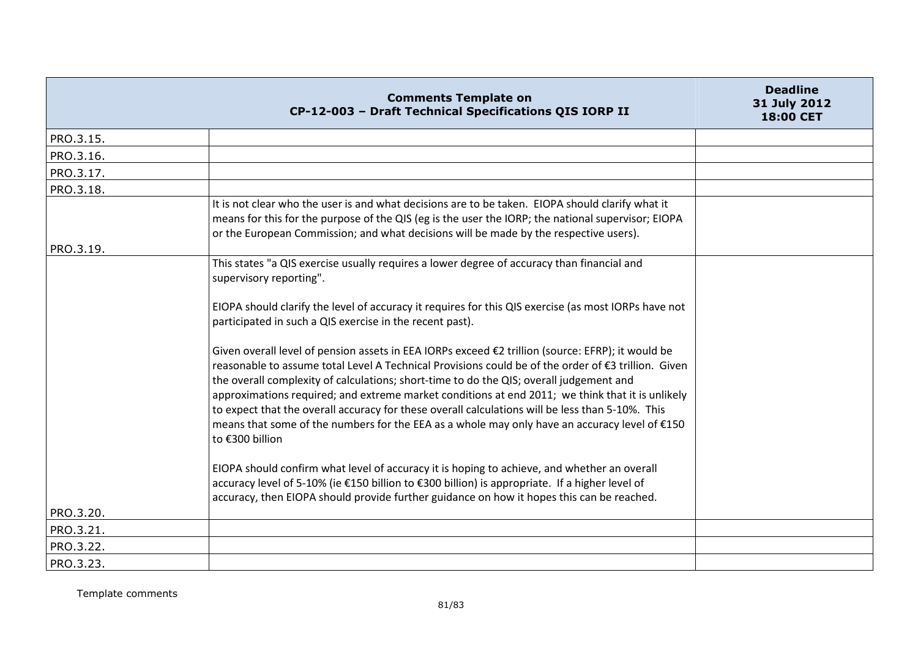|           | <b>Comments Template on</b><br>CP-12-003 - Draft Technical Specifications QIS IORP II                                                                                                                                                                                                                                                                                                                                                                                                                                                                                                                                           | <b>Deadline</b><br>31 July 2012<br><b>18:00 CET</b> |
|-----------|---------------------------------------------------------------------------------------------------------------------------------------------------------------------------------------------------------------------------------------------------------------------------------------------------------------------------------------------------------------------------------------------------------------------------------------------------------------------------------------------------------------------------------------------------------------------------------------------------------------------------------|-----------------------------------------------------|
| PRO.3.15. |                                                                                                                                                                                                                                                                                                                                                                                                                                                                                                                                                                                                                                 |                                                     |
| PRO.3.16. |                                                                                                                                                                                                                                                                                                                                                                                                                                                                                                                                                                                                                                 |                                                     |
| PRO.3.17. |                                                                                                                                                                                                                                                                                                                                                                                                                                                                                                                                                                                                                                 |                                                     |
| PRO.3.18. |                                                                                                                                                                                                                                                                                                                                                                                                                                                                                                                                                                                                                                 |                                                     |
|           | It is not clear who the user is and what decisions are to be taken. EIOPA should clarify what it<br>means for this for the purpose of the QIS (eg is the user the IORP; the national supervisor; EIOPA<br>or the European Commission; and what decisions will be made by the respective users).                                                                                                                                                                                                                                                                                                                                 |                                                     |
| PRO.3.19. |                                                                                                                                                                                                                                                                                                                                                                                                                                                                                                                                                                                                                                 |                                                     |
|           | This states "a QIS exercise usually requires a lower degree of accuracy than financial and<br>supervisory reporting".                                                                                                                                                                                                                                                                                                                                                                                                                                                                                                           |                                                     |
|           | EIOPA should clarify the level of accuracy it requires for this QIS exercise (as most IORPs have not<br>participated in such a QIS exercise in the recent past).                                                                                                                                                                                                                                                                                                                                                                                                                                                                |                                                     |
|           | Given overall level of pension assets in EEA IORPs exceed €2 trillion (source: EFRP); it would be<br>reasonable to assume total Level A Technical Provisions could be of the order of €3 trillion. Given<br>the overall complexity of calculations; short-time to do the QIS; overall judgement and<br>approximations required; and extreme market conditions at end 2011; we think that it is unlikely<br>to expect that the overall accuracy for these overall calculations will be less than 5-10%. This<br>means that some of the numbers for the EEA as a whole may only have an accuracy level of €150<br>to €300 billion |                                                     |
|           | EIOPA should confirm what level of accuracy it is hoping to achieve, and whether an overall<br>accuracy level of 5-10% (ie €150 billion to €300 billion) is appropriate. If a higher level of<br>accuracy, then EIOPA should provide further guidance on how it hopes this can be reached.                                                                                                                                                                                                                                                                                                                                      |                                                     |
| PRO.3.20. |                                                                                                                                                                                                                                                                                                                                                                                                                                                                                                                                                                                                                                 |                                                     |
| PRO.3.21. |                                                                                                                                                                                                                                                                                                                                                                                                                                                                                                                                                                                                                                 |                                                     |
| PRO.3.22. |                                                                                                                                                                                                                                                                                                                                                                                                                                                                                                                                                                                                                                 |                                                     |
| PRO.3.23. |                                                                                                                                                                                                                                                                                                                                                                                                                                                                                                                                                                                                                                 |                                                     |